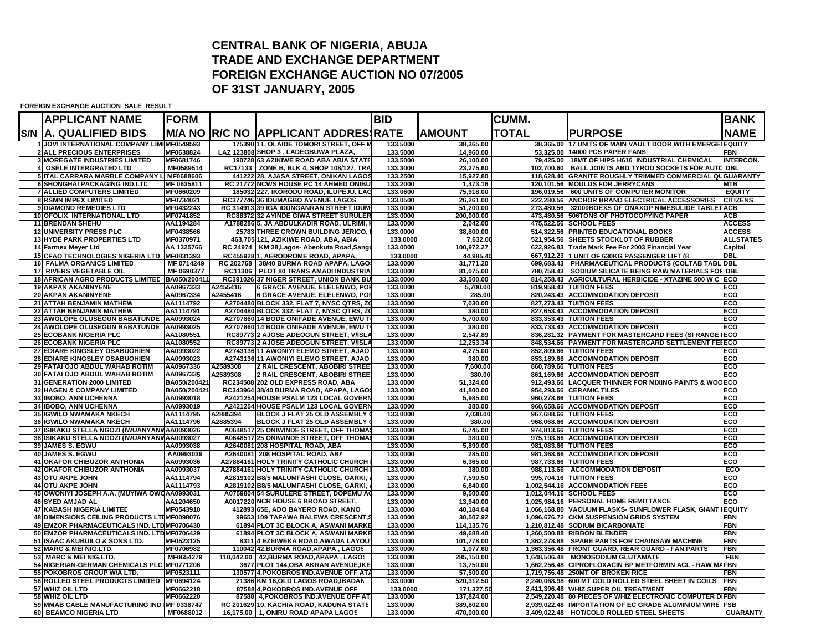## **CENTRAL BANK OF NIGERIA, ABUJA TRADE AND EXCHANGE DEPARTMENTFOREIGN EXCHANGE AUCTION NO 07/2005 OF 31ST JANUARY, 2005**

**FOREIGN EXCHANGE AUCTION SALE RESULT**

| <b>APPLICANT NAME</b>                                             | FORM                   |          |                                                                                  | <b>BID</b>           |                         | <b>CUMM.</b> |                                                                                                   | <b>BANK</b>      |
|-------------------------------------------------------------------|------------------------|----------|----------------------------------------------------------------------------------|----------------------|-------------------------|--------------|---------------------------------------------------------------------------------------------------|------------------|
| <b>S/N A. QUALIFIED BIDS</b>                                      |                        |          | M/A NO R/C NO  APPLICANT ADDRES(RATE                                             |                      | AMOUNT                  | <b>TOTAL</b> | <b>PURPOSE</b>                                                                                    | <b>NAME</b>      |
| <b>1 JOVI INTERNATIONAL COMPANY LIMIMF0549593</b>                 |                        |          | 175390 11, OLAIDE TOMORI STREET, OFF M                                           | 133.5000             | 38,365.00               |              | 38.365.00 117 UNITS OF MAIN VAULT DOOR WITH EMERGE EQUITY                                         |                  |
| <b>2 ALL PRECIOUS ENTERPRISES</b>                                 | MF0638824              |          | LAZ 123808 SHOP 3, LADEGBUWA PLAZA,                                              | 133.5000             | 14,960.00               |              | 53.325.00 14000 PCS PAPER FANS                                                                    | FBN              |
| <b>3 MOREGATE INDUSTRIES LIMITED</b>                              | MF0681746              |          | 190728 63 AZIKIWE ROAD ABA ABIA STATE                                            | 133.5000             | 26,100.00               |              | 79,425.00   18MT OF HIPS H616 INDUSTRIAL CHEMICAL                                                 | <b>INTERCON.</b> |
| 4 OSELE INTERGRATED LTD                                           | MF0589514              |          | RC17133 ZONE B, BLK 4, SHOP 108/127. TRA                                         | 133.3000             | 23,275.60               |              | 102,700.60   BALL JOINTS ABD TYROD SOCKETS FOR AUTO DBL                                           |                  |
| 5 ITAL CARRARA MARBLE COMPANY L MF0688606                         |                        |          | 441222 28, AJASA STREET, ONIKAN LAGOS                                            | 133.2500             | 15,927.80               |              | 118,628.40 GRANITE ROUGHLY TRIMMED COMMERCIAL QUGUARANTY                                          |                  |
| <b>6 SHONGHAI PACKAGING IND.LTD</b>                               | MF 0635811             |          | RC 21772 NCWS HOUSE PC 14 AHMED ONIBU                                            | 133.2000             | 1,473.16                |              | 120,101.56 MOULDS FOR JERRYCANS                                                                   | <b>MTB</b>       |
| <b>7 ALLIED COMPUTERS LIMITED</b>                                 | MF0660209              |          | 185032 227. IKORODU ROAD. ILUPEJU. LAG                                           | 133.0600             | 75,918.00               |              | 196,019.56 600 UNITS OF COMPUTER MONITOR                                                          | <b>EQUITY</b>    |
| <b>8 RSMN IMPEX LIMITED</b>                                       | MF0734021              |          | RC377746 36 IDUMAGBO AVENUE LAGOS                                                | 133.0500             | 26.261.00               |              | 222.280.56 ANCHOR BRAND ELECTRICAL ACCESSORIES                                                    | <b>CITIZENS</b>  |
| 9 DIAMOND REMEDIES LTD<br><b>10 OFOLIX INTERNATIONAL LTD</b>      | MF0432243<br>MF0741852 |          | RC 314913 39 IGA IDUNGANRAN STREET IDUM<br>RC88372 32 AYINDE GIWA STREET SURULER | 133.0000<br>133,0000 | 51,200.00<br>200.000.00 |              | 273,480.56 32000BOEXS OF ONAXOP NIMESULIDE TABLET ACB<br>473,480.56 506TONS OF PHOTOCOPYING PAPER | <b>ACB</b>       |
| <b>11 BRENDAN SHEHU</b>                                           | AA1194284              |          | A1788286 5, JA ABDULKADIR ROAD, ULRIMI, I                                        | 133.0000             | 2,042.00                |              | 475,522.56 SCHOOL FEES                                                                            | <b>ACCESS</b>    |
| <b>12 UNIVERSITY PRESS PLC</b>                                    | MF0438566              |          | 25783 THREE CROWN BUILDING JERICO,                                               | 133.0000             | 38,800.00               |              | 514,322.56 PRINTED EDUCATIONAL BOOKS                                                              | <b>ACCESS</b>    |
| <b>13 HYDE PARK PROPERTIES LTD</b>                                | MF0370971              |          | 463,705 121, AZIKIWE ROAD, ABA, ABIA                                             | 133,000              | 7.632.00                |              | 521.954.56 SHEETS STOCKLOT OF RUBBER                                                              | <b>ALLSTATES</b> |
| 14 Farmex Meyer Ltd                                               | AA 1325766             |          | RC 24974   KM 38, Lagos- Abeokuta Road, Sango                                    | 133.0000             | 100,972.27              |              | 622,926.83 Trade Mark Fee For 2003 Financial Year                                                 | Capital          |
| 15 CFAO TECHNOLOGIES NIGERIA LTD MF0831393                        |                        |          | RC455928 1. AERODROME ROAD, APAPA                                                | 133,0000             | 44.985.40               |              | 667,912.23 1 UNIT OF 630KG PASSENGER LIFT (8                                                      | DBL              |
| <b>16 FALMA ORGANICS LIMITED</b>                                  | MF 0714249             |          | RC 202768   38/40 BURMA ROAD APAPA, LAGOS                                        | 133.0000             | 31,771.20               |              | 699,683.43   PHARMACEUTICAL PRODUCTS (COLTAB TABL DBL                                             |                  |
| 17 RIVERS VEGETABLE OIL                                           | MF 0690377             |          | RC11306   PLOT 80 TRANS AMADI INDUSTRIA                                          | 133.0000             | 81,075.00               |              | 780,758.43   SODIUM SILICATE BEING RAW MATERIALS FOR DBL                                          |                  |
| <b>18 AFRICAN AGRO PRODUCTS LIMITED</b>                           | BA050/200411           |          | RC391026 37 NIGER STREET, UNION BANK BU                                          | 133.0000             | 33.500.00               |              | 814.258.43 AGRICULTURAL HERBICIDE - XTAZINE 500 W C                                               | <b>ECO</b>       |
| <b>19 AKPAN AKANINYENE</b>                                        | AA0967333              | A2455416 | <b>6 GRACE AVENUE, ELELENWO, POI</b>                                             | 133.0000             | 5,700.00                |              | 819,958.43 TUITION FEES                                                                           | ECO              |
| <b>20 AKPAN AKANINYENE</b>                                        | AA0967334              | A2455416 | 6 GRACE AVENUE, ELELENWO, POR                                                    | 133.0000             | 285.00                  |              | 820,243.43 ACCOMMODATION DEPOSIT                                                                  | ECO              |
| <b>21 ATTAH BENJAMIN MATHEW</b>                                   | AA1114792              |          | A2704480 BLOCK 332, FLAT 7, NYSC QTRS, ZO                                        | 133,0000             | 7.030.00                |              | 827.273.43 TUITION FEES                                                                           | ECO              |
| <b>22 ATTAH BENJAMIN MATHEW</b>                                   | AA1114791              |          | A2704480 BLOCK 332, FLAT 7, NYSC QTRS, ZO                                        | 133.0000             | 380.00                  |              | 827,653.43 ACCOMMODATION DEPOSIT                                                                  | ECO              |
| 23 AWOLOPE OLUSEGUN BABATUNDE                                     | AA0993024              |          | A2707860 14 BODE ONIFADE AVENUE, EWU T                                           | 133,0000             | 5,700.00                |              | 833,353.43 TUITION FEES                                                                           | ECO              |
| 24 AWOLOPE OLUSEGUN BABATUNDE AA0993025                           |                        |          | A2707860 14 BODE ONIFADE AVENUE, EWU T                                           | 133.0000             | 380.00                  |              | 833.733.43 ACCOMMODATION DEPOSIT                                                                  | ECO              |
| <b>25 ECOBANK NIGERIA PLC</b>                                     | AA1080551              |          | RC89773 2 AJOSE ADEOGUN STREET, V/ISLA                                           | 133.0000             | 2,547.89                |              | 836,281.32 PAYMENT FOR MASTERCARD FEES (SI RANGE JECO                                             |                  |
| <b>26 ECOBANK NIGERIA PLC</b>                                     | AA1080552              |          | RC89773 2 AJOSE ADEOGUN STREET, V/ISLA                                           | 133.0000             | 12,253.34               |              | 848,534.66 PAYMENT FOR MASTERCARD SETTLEMENT FEEECO                                               |                  |
| 27 EDIARE KINGSLEY OSABUOHIEN                                     | AA0993022              |          | A2743136 11 AWONIYI ELEMO STREET, AJAO                                           | 133.0000             | 4,275.00                |              | 852,809.66 TUITION FEES                                                                           | ECO              |
| 28 EDIARE KINGSLEY OSABUOHIEN                                     | AA0993023              |          | A2743136 11 AWONIYI ELEMO STREET, AJAO                                           | 133.0000             | 380.00                  |              | 853,189.66 ACCOMMODATION DEPOSIT                                                                  | ECO              |
| 29 FATAI OJO ABDUL WAHAB ROTIM                                    | AA0967336              | A2589308 | 2 RAIL CRESCENT, ABOBIRI STREE                                                   | 133,0000             | 7,600.00                |              | 860,789.66 TUITION FEES                                                                           | ECO              |
| 30 FATAI OJO ABDUL WAHAB ROTIM                                    | AA0967335              | A2589308 | 2 RAIL CRESCENT, ABOBIRI STREET                                                  | 133.0000             | 380.00                  |              | 861,169.66 ACCOMMODATION DEPOSIT                                                                  | ECO              |
| 31 GENERATION 2000 LIMITED                                        | BA050/200421           |          | RC234508 202 OLD EXPRESS ROAD, ABA                                               | 133.0000             | 51,324.00               |              | 912,493.66 LACQUER THINNER FOR MIXING PAINTS & WOOECO                                             |                  |
| 32 HAGEN & COMPANY LIMITED                                        | BA050/200421           |          | RC343964 38/40 BURMA ROAD, APAPA, LAGO                                           | 133.0000             | 41,800.00               |              | 954,293.66 CERAMIC TILES                                                                          | ECO              |
| 33 IBOBO, ANN UCHENNA                                             | AA0993018              |          | A2421254 HOUSE PSALM 123 LOCAL GOVERN                                            | 133.0000             | 5,985.00                |              | 960,278.66 TUITION FEES                                                                           | ECO              |
| <b>34 IBOBO, ANN UCHENNA</b>                                      | AA0993019              |          | A2421254 HOUSE PSALM 123 LOCAL GOVERN                                            | 133,0000             | 380.00                  |              | 960,658.66 ACCOMMODATION DEPOSIT                                                                  | ECO              |
| 35 IGWILO NWAMAKA NKECH                                           | AA1114795              | A2885394 | <b>BLOCK J FLAT 25 OLD ASSEMBLY</b>                                              | 133.0000             | 7,030.00                |              | 967,688.66 TUITION FEES                                                                           | ECO              |
| <b>36 IGWILO NWAMAKA NKECH</b>                                    | AA1114796              | A2885394 | BLOCK J FLAT 25 OLD ASSEMBLY                                                     | 133,0000             | 380.00                  |              | 968.068.66 ACCOMMODATION DEPOSIT                                                                  | ECO              |
| 37 ISIKAKU STELLA NGOZI (IWUANYANVAA0093026                       |                        |          | A0648517 25 ONIWINDE STREET, OFF THOMA                                           | 133,0000             | 6,745.00                |              | 974.813.66 TUITION FEES                                                                           | ECO              |
| 38 ISIKAKU STELLA NGOZI (IWUANYANVAA0093027                       |                        |          | A0648517 25 ONIWINDE STREET, OFF THOMAS                                          | 133.0000             | 380.00                  |              | 975,193.66 ACCOMMODATION DEPOSIT                                                                  | ECO              |
| 39 JAMES S. EGWU                                                  | AA0993038              |          | A2640081 208 HOSPITAL ROAD, ABA                                                  | 133,0000             | 5,890.00                |              | 981,083.66 TUITION FEES                                                                           | ECO              |
| 40 JAMES S. EGWU                                                  | AA0993039              |          | A2640081 208 HOSPITAL ROAD, ABA                                                  | 133.0000             | 285.00                  |              | 981,368.66 ACCOMMODATION DEPOSIT                                                                  | ECO              |
| 41 OKAFOR CHIBUZOR ANTHONIA                                       | AA0993036              |          | A27884161 HOLY TRINITY CATHOLIC CHURCH                                           | 133.0000             | 6,365.00                |              | 987,733.66 TUITION FEES                                                                           | ECO              |
| <b>42 OKAFOR CHIBUZOR ANTHONIA</b>                                | AA0993037              |          | A27884161 HOLY TRINITY CATHOLIC CHURCH                                           | 133.0000             | 380.00                  |              | 988,113.66 ACCOMMODATION DEPOSIT                                                                  | ECO              |
| 43 OTU AKPE JOHN                                                  | AA1114794              |          | A2819102 B8/5 MALUMFASHI CLOSE, GARKI,                                           | 133.0000             | 7,590.50                |              | 995,704.16 TUITION FEES                                                                           | ECO<br>ECO       |
| <b>44 OTU AKPE JOHN</b>                                           | AA1114793              |          | A2819102 B8/5 MALUMFASHI CLOSE, GARKI,<br>A0759804 54 SURULERE STREET, DOPEMU AO | 133.0000<br>133,0000 | 6.840.00<br>9.500.00    |              | 1,002,544.16 ACCOMMODATION FEES<br>1.012.044.16 SCHOOL FEES                                       | ECO              |
| 45 OWONIYI JOSEPH A.A. (MUYIWA OWO AA0993031<br>46 SYED AMJAD ALI | AA1204650              |          | A0017220 NCR HOUSE 6 BROAD STREET                                                | 133.0000             | 13,940.00               |              | 1,025,984.16 PERSONAL HOME REMITTANCE                                                             | ECO              |
| 47 KABASH NIGERIA LIMITED                                         | MF0543910              |          | 412893 65E, ADO BAYERO ROAD, KANO                                                | 133.0000             | 40.184.64               |              | 1,066,168.80 VACUUM FLASKS-SUNFLOWER FLASK, GIANT                                                 | <b>IEQUITY</b>   |
| 48 DIMENSIONS CEILING PRODUCTS LTIMF0098076                       |                        |          | 99653 109 TAFAWA BALEWA CRESCENT,                                                | 133.0000             | 30,507.92               |              | 1,096,676.72 CKM SUSPENSION GRIDS SYSTEM                                                          | FBN              |
| 49 EMZOR PHARMACEUTICALS IND. LTD MF0706430                       |                        |          | 61894 PLOT 3C BLOCK A, ASWANI MARKE                                              | 133.0000             | 114,135.76              |              | 1,210,812.48 SODIUM BICARBONATE                                                                   | FBN              |
| 50 EMZOR PHARMACEUTICALS IND. LTDMF0706429                        |                        |          | 61894 PLOT 3C BLOCK A, ASWANI MARKE                                              | 133,0000             | 49,688.40               |              | 1.260.500.88 RIBBON BLENDER                                                                       | FBN              |
| 51 ISAAC AKUBUILO & SONS LTD.                                     | MF0523125              |          | 8311 4 EZEIWEKA ROAD, AWADA LAYOU                                                | 133.0000             | 101,778.00              |              | 1,362,278.88 SPARE PARTS FOR CHAINSAW MACHINE                                                     | FBN              |
| 52 MARC & MEI NIG.LTD.                                            | MF0706982              |          | 110042 42, BURMA ROAD, APAPA, LAGOS                                              | 133,0000             | 1,077.60                |              | 1,363,356.48 FRONT GUARD, REAR GUARD - FAN PARTS                                                  | FBN              |
| 53 MARC & MEI NIG.LTD.                                            | MF0654279              |          | 110,042.00 42, BURMA ROAD, APAPA, LAGOS                                          | 133.0000             | 285,150.00              |              | 1.648.506.48   MONOSODIUM GLUTAMATE                                                               | <b>FBN</b>       |
| 54 NIGERIAN-GERMAN CHEMICALS PLC MF0771206                        |                        |          | 3677 PLOT 144, OBA AKRAN AVENUE, IKE                                             | 133.0000             | 13,750.00               |              | 1,662,256.48 CIPROFLOXACIN BP METFORMIN ACL - RAW MAFBN                                           |                  |
| 55 POKOBROS GROUP W/A LTD.                                        | MF0523111              |          | 130577 4, POKOBROS IND. AVENUE OFF AT/                                           | 133.0000             | 57,500.00               |              | 1,719,756.48 250MT OF BROKEN RICE                                                                 | FBN              |
| 56 ROLLED STEEL PRODUCTS LIMITED MF0694124                        |                        |          | 21386 KM 16, OLD LAGOS ROAD, IBADAN                                              | 133.0000             | 520,312.50              |              | 2,240,068.98 600 MT COLD ROLLED STEEL SHEET IN COILS                                              | <b>IFBN</b>      |
| 57 WHIZ OIL LTD                                                   | MF0662218              |          | 87588 4.POKOBROS IND.AVENUE OFF                                                  | 133.000              | 171,327.50              |              | 2,411,396.48 WHIZ SUPER OIL TREATMENT                                                             | <b>FBN</b>       |
| 58 WHIZ OIL LTD                                                   | MF0662220              |          | 87588 4, POKOBROS IND. AVENUE OFF AT                                             | 133.0000             | 137,824.00              |              | 2,549,220.48 80 PIECES OF WHIZ ELECTRONIC COMPUTER DIFBN                                          |                  |
| 59 MMAB CABLE MANUFACTURING IND MF 0338747                        |                        |          | RC 201629 10, KACHIA ROAD, KADUNA STATE                                          | 133.0000             | 389,802.00              |              | 2,939,022.48 IMPORTATION OF EC GRADE ALUMINIUM WIRE                                               | <b>FSB</b>       |
| 60 BEAMCO NIGERIA LTD                                             | MF0688012              |          | 16,175.00   1, ONIRU ROAD APAPA LAGOS                                            | 133,0000             | 470.000.00              |              | 3,409,022.48   HOT/COLD ROLLED STEEL SHEETS                                                       | <b>GUARANTY</b>  |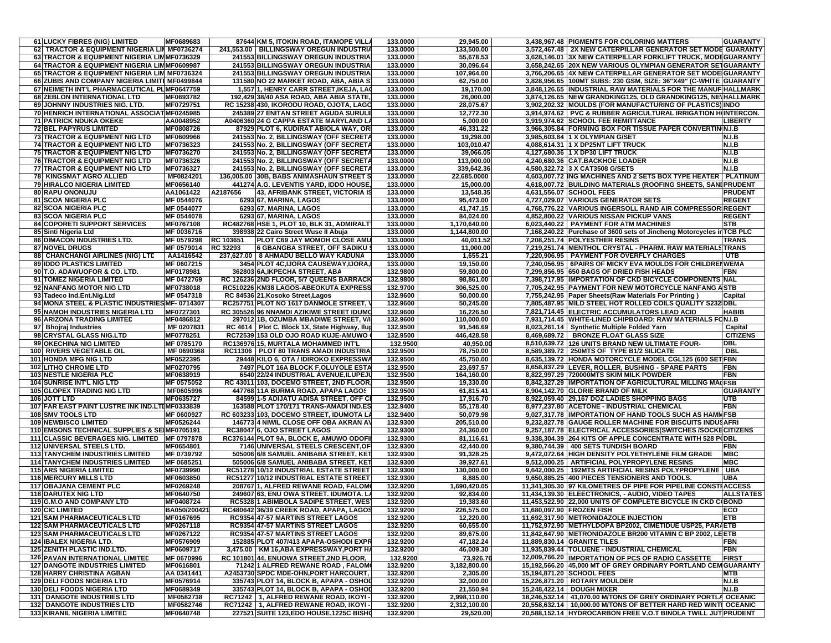| 61 LUCKY FIBRES (NIG) LIMITED                   | MF0689683    |                 | 87644 KM 5, ITOKIN ROAD, ITAMOPE VILLA          | 133.0000 | 29,945.00    |                           | 3,438,967.48 PIGMENTS FOR COLORING MATTERS                            | <b>GUARANTY</b>  |
|-------------------------------------------------|--------------|-----------------|-------------------------------------------------|----------|--------------|---------------------------|-----------------------------------------------------------------------|------------------|
|                                                 |              |                 |                                                 |          |              |                           |                                                                       |                  |
| 62 TRACTOR & EQUIPMENT NIGERIA LII MF0736274    |              |                 | 241,553.00   BILLINGSWAY OREGUN INDUSTRIA       | 133.0000 | 133,500.00   |                           | 3,572,467.48 2X NEW CATERPILLAR GENERATOR SET MODE GUARANTY           |                  |
| 63 TRACTOR & EQUIPMENT NIGERIA LIMMF0736329     |              |                 | 241553 BILLINGSWAY OREGUN INDUSTRIA             | 133.0000 | 55,678.53    |                           | 3,628,146.01 3X NEW CATERPILLAR FORKLIFT TRUCK, MODEGUARANTY          |                  |
| 64 TRACTOR & EQUIPMENT NIGERIA LIMMF0609987     |              |                 | 241553 BILLINGSWAY OREGUN INDUSTRIA             | 133.0000 | 30,096.64    |                           | 3,658,242.65 20X NEW VARIOUS OLYMPIAN GENERATOR SETGUARANTY           |                  |
| 65 TRACTOR & EQUIPMENT NIGERIA LIM MF0736324    |              |                 | 241553 BILLINGSWAY OREGUN INDUSTRIA             | 133.0000 | 107,964.00   |                           | 3,766,206.65 4X NEW CATERPILLAR GENERATOR SET MODE GUARANTY           |                  |
| 66 ZUBIS AND COMPANY NIGERIA LIMITI MF0499844   |              |                 | 131580 NO 22 MARKET ROAD, ABA, ABIA S           | 133.0000 | 62,750.00    |                           | 3,828,956.65   100MT SUBS: 230 GSM, SIZE: 36"X49" (C-WHITE GUARANTY   |                  |
|                                                 |              |                 |                                                 | 133.0000 | 19,170.00    |                           |                                                                       |                  |
| 67 NEIMETH INT'L PHARMACEUTICAL PL MF0647759    |              |                 | 1,557 1, HENRY CARR STREET, IKEJA, LAC          |          |              |                           | 3,848,126.65 INDUSTRIAL RAW MATERIALS FOR THE MANUF HALLMARK          |                  |
| 68 ZEBLON INTERNATIONAL LTD                     | MF0693782    |                 | 192,429 38/40 ASA ROAD, ABA ABIA STATE,         | 133.0000 | 26,000.00    |                           | 3,874,126.65 NEW GRANDKING125, OLD GRANDKING125, NEVHALLMARK          |                  |
| 69 JOHNNY INDUSTRIES NIG. LTD.                  | MF0729751    |                 | RC 15238 430, IKORODU ROAD, OJOTA, LAGO         | 133.0000 | 28,075.67    |                           | 3,902,202.32 MOULDS (FOR MANUFACTURING OF PLASTICS) INDO              |                  |
| 70 HENRICH INTERNATIONAL ASSOCIAT MF0245985     |              |                 | 245389 27 ENITAN STREET AGUDA SURULE            | 133.0000 | 12,772.30    |                           | 3,914,974.62 PVC & RUBBER AGRICULTURAL IRRIGATION HIINTERCON.         |                  |
| <b>71 PATRICK NDUKA OKEKE</b>                   | AA0048952    |                 | A0406360 24 G CAPPA ESTATE MARYLAND LA          | 133.0000 | 5,000.00     |                           | 3,919,974.62 SCHOOL FEE REMITTANCE                                    | LIBERTY          |
|                                                 |              |                 |                                                 |          |              |                           |                                                                       |                  |
| 72 BEL PAPYRUS LIMITED                          | MF0808726    |                 | 87929 PLOT 6, KUDIRAT ABIOLA WAY, ORI           | 133.0000 | 46,331.22    |                           | 3,966,305.84 FORMING BOX FOR TISSUE PAPER CONVERTININ.I.B             |                  |
| 73 TRACTOR & EQUIPMENT NIG LTD                  | MF0609966    |                 | 241553 No. 2, BILLINGSWAY (OFF SECRETA          | 133.0000 | 19,298.00    |                           | 3,985,603.84 1 X OLYMPIAN G/SET                                       | <b>N.I.B</b>     |
| <b>74 TRACTOR &amp; EQUIPMENT NIG LTD</b>       | MF0736323    |                 | 241553 No. 2, BILLINGSWAY (OFF SECRETA          | 133.0000 | 103,010.47   |                           | 4,088,614.31 1 X DP25NT LIFT TRUCK                                    | N.I.B            |
| 75 TRACTOR & EQUIPMENT NIG LTD                  | MF0736270    |                 | 241553 No. 2, BILLINGSWAY (OFF SECRETA          | 133.0000 | 39,066.05    |                           | 4,127,680.36 1 X DP30 LIFT TRUCK                                      | N.I.B            |
| 76 TRACTOR & EQUIPMENT NIG LTD                  | MF0736326    |                 | 241553 No. 2, BILLINGSWAY (OFF SECRETA          | 133.0000 | 113,000.00   |                           | 4,240,680.36 CAT.BACKHOE LOADER                                       | N.I.B            |
|                                                 |              |                 |                                                 |          |              |                           |                                                                       |                  |
| 77 TRACTOR & EQUIPMENT NIG LTD                  | MF0736327    |                 | 241553 No. 2, BILLINGSWAY (OFF SECRETA          | 133.0000 | 339,642.36   |                           | 4,580,322.72 3 X CAT3508 G/SETS                                       | <b>N.I.B</b>     |
| <b>78 KINGSMAT AGRO ALLIED</b>                  | MF0824201    |                 | 136,005.00 30B, BABS ANIMASHAUN STREET S        | 133.0000 | 22.685.0000  |                           | 4,603,007.72 ING MACHINES AND 2 SETS BOX TYPE HEATER   PLATINUM       |                  |
| 79 HIRALCO NIGERIA LIMITED                      | MF0656140    |                 | 441274 A.G. LEVENTIS YARD, IDDO HOUSE,          | 133.0000 | 15,000.00    |                           | 4,618,007.72 BUILDING MATERIALS (ROOFING SHEETS, SANI PRUDENT         |                  |
| 80 RAPU ONONUJU                                 | AA1061422    | A2187656        | 43, AFRIBANK STREET, VICTORIA IS                | 133.0000 | 13,548.35    |                           | 4,631,556.07 SCHOOL FEES                                              | <b>PRUDENT</b>   |
|                                                 |              |                 |                                                 |          |              |                           |                                                                       |                  |
| 81 SCOA NIGERIA PLC                             | MF 0544076   |                 | 6293 67, MARINA, LAGOS                          | 133.0000 | 95,473.00    |                           | 4,727,029.07 VARIOUS GENERATOR SETS                                   | <b>REGENT</b>    |
| 82 SCOA NIGERIA PLC                             | MF 0544077   |                 | 6293 67, MARINA, LAGOS                          | 133.0000 | 41,747.15    |                           | 4,768,776.22 VARIOUS INGERSOLL RAND AIR COMPRESSOR REGENT             |                  |
| 83 SCOA NIGERIA PLC                             | MF 0544078   |                 | 6293 67, MARINA, LAGOS                          | 133.0000 | 84,024.00    |                           | 4,852,800.22 VARIOUS NISSAN PICKUP VANS                               | <b>REGENT</b>    |
| 84 COPORETI SUPPORT SERVICES                    | MF0767108    |                 | RC482768 HSE 1, PLOT 10, BLK 31, ADMIRALT       | 133.0000 | 1,170,640.00 |                           | 6,023,440.22   PAYMENT FOR ATM MACHINES                               | STB              |
|                                                 | MF 0036716   |                 |                                                 | 133.0000 |              |                           | 7,168,240.22 Purchase of 3600 sets of Jincheng Motorcycles in TCB PLC |                  |
| 85 Sinti Nigeria Ltd                            |              |                 | 398938 22 Cairo Street Wuse II Abuja            |          | 1,144,800.00 |                           |                                                                       |                  |
| 86 DIMACON INDUSTRIES LTD.                      | MF 0579298   | RC 103651       | PLOT C69 JAY MOMOH CLOSE AMU                    | 133.0000 | 40,011.52    |                           | 7,208,251.74 POLYESTHER RESINS                                        | <b>TRANS</b>     |
| 87 NOVEL DRUGS                                  | MF 0579014   | <b>RC 32293</b> | <b>6 GBANGBA STREET, OFF SADIKU \</b>           | 133.0000 | 11,000.00    |                           | 7,219,251.74   MENTHOL CRYSTAL - PHARM. RAW MATERIALS TRANS           |                  |
| 88 CHANCHANGI AIRLINES (NIG) LTD                | AA1416542    |                 | 237,627.00   8 AHMADU BELLO WAY KADUNA          | 133.0000 | 1,655.21     |                           | 7,220,906.95 PAYMENT FOR OVERFLY CHARGES                              | UTB              |
| <b>89 IDDO PLASTICS LIMITED</b>                 | MF 0607215   |                 | 3454 PLOT 4C, IJORA CAUSEWAY, IJORA,            | 133.0000 | 19,150.00    |                           | 7,240,056.95   6PAIRS OF MICKY EVA MOULDS FOR CHILDRENWEMA            |                  |
| 90 T.O. ADAWUOFOR & CO. LTD.                    | MF0178981    |                 |                                                 |          | 59,800.00    |                           |                                                                       | FBN              |
|                                                 |              |                 | 362803 6A, IKPECHA STREET, ABA                  | 132.9800 |              |                           | 7,299,856.95 650 BAGS OF DRIED FISH HEADS                             |                  |
| 91 TOMEZ NIGERIA LIMITED                        | MF 0472769   |                 | RC 126236 2ND FLOOR, 5/7 QUEENS BARRACK         | 132.9800 | 98,861.00    |                           | 7,398,717.95 IMPORTATION OF CKD BICYCLE COMPONENTS NAL                |                  |
| 92 NANFANG MOTOR NIG LTD                        | MF0738018    |                 | RC510226 KM38 LAGOS-ABEOKUTA EXPRESS            | 132.9700 | 306,525.00   |                           | 7.705.242.95 PAYMENT FOR NEW MOTORCYCLE NANFANG ASTB                  |                  |
| 93 Tadeco Ind.Ent.Nig.Ltd                       | MF 0547318   |                 | RC 84536 21, Kosoko Street, Lagos               | 132.9600 | 50,000.00    |                           | 7,755,242.95 Paper Sheets (Raw Materials For Printing                 | Capital          |
| 94 MONA STEEL & PLASTIC INDUSTRIES MF- 0714307  |              |                 | RC257751 PLOT NO 1617 DANMOLE STREET,           | 132.9600 | 50,245.00    |                           | 7,805,487.95 MILD STEEL HOT ROLLED COILS QUALITY S232 DBL             |                  |
|                                                 |              |                 |                                                 |          |              |                           |                                                                       |                  |
| 95 NAMOH INDUSTRIES NIGERIA LTD                 | MF0727301    |                 | RC 305526 96 NNAMDI AZIKIWE STREET IDUMO        | 132.9600 | 16,226.50    |                           | 7,821,714.45 ELECTRIC ACCUMULATORS LEAD ACID                          | <b>HABIB</b>     |
| 96 ARIZONA TRADING LIMITED                      | MF0486812    |                 | 297012 1B, OZUMBA MBADIWE STREET, V/I           | 132.9600 | 110,000.00   |                           | 7,931,714.45 WHITE-LINED CHIPBOARD: RAW MATERIALS FON.I.B             |                  |
| 97 Bhojraj Industries                           | MF 0207831   |                 | RC 4614   Plot C, Block 1X, State Highway, Ilup | 132.9500 | 91,546.69    |                           | 8,023,261.14   Synthetic Multiple Folded Yarn                         | Capital          |
| 98 CRYSTAL GLASS NIG.LTD                        | MF0778251    |                 | RC72539 153 OLD OJO ROAD KUJE-AMUWO             | 132.9500 | 446,428.58   |                           | 8,469,689.72   BRONZE FLOAT GLASS SIZE                                | <b>CITIZENS</b>  |
|                                                 |              |                 |                                                 |          |              |                           |                                                                       | <b>DBL</b>       |
| 99 OKECHINA NIG LIMITED                         | MF 0785170   |                 | RC136976 15, MURTALA MOHAMMED INT'L             | 132.9500 | 40,950.00    |                           | 8,510,639.72 126 UNITS BRAND NEW ULTIMATE FOUR-                       |                  |
| 100 RIVERS VEGETABLE OIL                        | MF 0690368   |                 | RC11306   PLOT 80 TRANS AMADI INDUSTRIA         | 132.9500 | 78,750.00    |                           | 8,589,389.72   250MTS OF TYPE B1/2 SILICATE                           | <b>DBL</b>       |
| <b>101 HONDA MFG NIG LTD</b>                    | MF0522395    |                 | 29448 KILO 6, OTA / IDIROKO EXPRESSWA           | 132.9500 | 45,750.00    |                           | 8,635,139.72 HONDA MOTORCYCLE MODEL CGL125 (600 SETIFBN               |                  |
| <b>102 LITHO CHROME LTD</b>                     | MF0270795    |                 | 7497 PLOT 16A BLOCK F, OLUYOLE ESTA             | 132.9500 | 23,697.57    |                           | 8,658,837.29 LEVER, ROLLER, BUSHING - SPARE PARTS                     | <b>FBN</b>       |
| <b>103 NESTLE NIGERIA PLC</b>                   | MF0638919    |                 | 6540 22/24 INDUSTRIAL AVENUE, ILUPEJU           | 132.9500 | 164,160.00   |                           | 8,822,997.29 720000MTS SKIM MILK POWDER                               | <b>FBN</b>       |
| 104 SUNRISE INT'L NIG LTD                       | MF 0575052   |                 | RC 43011 103, DOCEMO STREET, 2ND FLOOR,         | 132.9500 | 19,330.00    |                           | 8,842,327.29 IMPORTATION OF AGRICULTURAL MILLING MACFSB               |                  |
|                                                 |              |                 |                                                 |          |              |                           |                                                                       |                  |
| <b>105 GLOPEX TRADING NIG LTD</b>               | MF0605996    |                 | 447768 11A BURMA ROAD, APAPA LAGOS              | 132.9500 | 61,815.41    |                           | 8,904,142.70 GLORIE BRAND OF MILK                                     | <b>GUARANTY</b>  |
| 106 JOTT LTD                                    | MF0635727    |                 | 84599 1-5 ADIJATU ADISA STREET, OFF C           | 132.9500 | 17,916.70    |                           | 8,922,059.40 29,167 DOZ LADIES SHOPPING BAGS                          | UTB              |
| 107 FAR EAST PAINT LUSTRE INK IND.LTIMF0333839  |              |                 | 163588 PLOT 170/171 TRANS-AMADI IND.ES          | 132.9400 | 55,178.40    |                           | 8,977,237.80 ACETONE - INDUSTRIAL CHEMICAL                            | <b>FBN</b>       |
| 108 SMV TOOLS LTD                               | MF 0600927   |                 | RC 603233 103, DOCEMO STREET, IDUMOTA LA        | 132.9400 | 50,079.98    |                           | 9,027,317.78 IMPORTATION OF HAND TOOLS SUCH AS HAMMFSB                |                  |
| <b>109 NEWBISCO LIMITED</b>                     | MF0526244    |                 | 146773 4 NIWIL CLOSE OFF OBA AKRAN AV           | 132.9300 | 205,510.00   |                           | 9,232,827.78 GAUGE ROLLER MACHINE FOR BISCUITS INDUSAFRI              |                  |
|                                                 |              |                 |                                                 |          |              |                           |                                                                       |                  |
| 110 EMSONS TECHNICAL SUPPLIES & SEIMF0705191    |              |                 | RC38047 6, OJO STREET LAGOS                     | 132.9300 | 24,360.00    |                           | 9,257,187.78 ELECTRICAL ACCESSORIES(SWITCHES /SOCKECITIZENS           |                  |
| 111 CLASSIC BEVERAGES NIG. LIMITED   MF 0797878 |              |                 | RC376144 PLOT 9A, BLOCK E, AMUWO ODOFI          | 132.9300 | 81,116.61    |                           | 9,338,304.39 264 KITS OF APPLE CONCENTRATE WITH 528 P(DBL             |                  |
| 112 UNIVERSAL STEELS LTD.                       | MF0654801    |                 | 7146 UNIVERSAL STEELS CRESCENT, OF              | 132.9300 | 42,440.00    |                           | 9,380,744.39   400 SETS TUNDISH BOARD                                 | <b>FBN</b>       |
| <b>113 TANYCHEM INDUSTRIES LIMITED</b>          | MF 0739792   |                 | 505006 6/8 SAMUEL ANIBABA STREET, KET           | 132.9300 | 91,328.25    |                           | 9,472,072.64 HIGH DENSITY POLYETHYLENE FILM GRADE                     | <b>MBC</b>       |
| <b>114 TANYCHEM INDUSTRIES LIMITED</b>          | MF 0685251   |                 | 505006 6/8 SAMUEL ANIBABA STREET, KET           | 132.9300 | 39,927.61    |                           | 9,512,000.25   ARTIFICIAL POLYPROPYLENE RESINS                        | <b>MBC</b>       |
| <b>115 ARS NIGERIA LIMITED</b>                  |              |                 |                                                 |          |              |                           |                                                                       |                  |
|                                                 |              |                 |                                                 |          |              |                           |                                                                       |                  |
|                                                 | MF0739990    |                 | RC51278 10/12 INDUSTRIAL ESTATE STREET          | 132.9300 | 130,000.00   |                           | 9,642,000.25   192MTS ARTIFICIAL RESINS POLYPROPYLENE                 | <b>UBA</b>       |
| <b>116 MERCURY MILLS LTD</b>                    | MF0603850    |                 | RC51277 10/12 INDUSTRIAL ESTATE STREET          | 132.9300 | 8,885.00     |                           | 9,650,885.25 400 PIECES TENSIONERS AND TOOLS.                         | <b>UBA</b>       |
| <b>117 OBAJANA CEMENT PLC</b>                   | MF0269248    |                 | 208767 1, ALFRED REWANE ROAD, FALOM             | 132.9200 | 1,690,420.05 |                           | 11,341,305.30 97 KILOMETRES OF PIPE FOR PIPELINE CONSTIACCESS         |                  |
|                                                 |              |                 | 249607 63. ENU OWA STREET, IDUMOTA, LA          |          |              |                           |                                                                       |                  |
| <b>118 DARUTEX NIG LTD</b>                      | MF0640750    |                 |                                                 | 132.9200 | 92,834.00    |                           | 11,434,139.30 ELEECTRONICS, - AUDIO, VIDEO TAPES                      | <b>ALLSTATES</b> |
| 119 G.M.O AND COMPANY LTD                       | MF0408724    |                 | RC5328 1 ABIMBOLA SADIPE STREET, WEST           | 132.9200 | 19,383.60    |                           | 11,453,522.90 22,000 UNITS OF COMPLETE BICYCLE IN CKD C(BOND          |                  |
| <b>120 CIC LIMITED</b>                          | BA050/200421 |                 | RC480642 36/39 CREEK ROAD, APAPA, LAGOS         | 132.9200 | 226,575.00   | 11,680,097.90 FROZEN FISH |                                                                       | <b>ECO</b>       |
| <b>121 SAM PHARMACEUTICALS LTD</b>              | MF0167695    |                 | RC9354 47-57 MARTINS STREET LAGOS               | 132.9200 | 12,220.00    |                           | 11,692,317.90 METRONIDAZOLE INJECTION                                 | ETB              |
| <b>122 SAM PHARMACEUTICALS LTD</b>              | MF0267118    |                 | RC9354 47-57 MARTINS STREET LAGOS               | 132.9200 | 60,655.00    |                           | 11,752,972.90 METHYLDOPA BP2002, CIMETIDUE USP25, PARAETB             |                  |
|                                                 |              |                 |                                                 |          |              |                           |                                                                       |                  |
| <b>123 SAM PHARMACEUTICALS LTD</b>              | MF0267122    |                 | RC9354 47-57 MARTINS STREET LAGOS               | 132.9200 | 89,675.00    |                           | 11.842.647.90 METRONIDAZOLE BR200 VITAMIN C BP 2002. LEETB            |                  |
| 124 IBALEX NIGERIA LTD.                         | MF0576909    |                 | 152885 PLOT 407/413 APAPA-OSHODI EXPR           | 132.9200 | 47,182.24    |                           | 11,889,830.14 GRANITE TILES                                           | FBN              |
| 125 ZENITH PLASTIC IND.LTD.                     | MF0609717    |                 | 3,475.00   KM 16,ABA EXPRESSWAY, PORT HA        | 132.9200 | 46,009.30    |                           | 11,935,839.44 TOLUENE - INDUSTRIAL CHEMICAL                           | <b>FBN</b>       |
| <b>126 PAVAN INTERNATIONAL LIMITED</b>          | MF 0670996   |                 | RC 101801 44, ENUOWA STREET, 2ND FLOOR,         | 132.9200 | 73,926.76    |                           | 12,009,766.20 IMPORTATION OF PCS OF RADIO CASSETTE                    | <b>FIRST</b>     |
| <b>127 DANGOTE INDUSTRIES LIMITED</b>           | MF0616801    |                 | 71242 1 ALFRED REWANE ROAD, FALOM               | 132.9200 | 3,182,800.00 |                           | 15,192,566.20 45,000 MT OF GREY ORDINARY PORTLAND CEMIGUARANTY        |                  |
|                                                 |              |                 |                                                 |          |              |                           |                                                                       | <b>MTB</b>       |
| <b>128 HARRY CHRISTINA AGBAN</b>                | AA 0341441   |                 | A2453730 SPDC MDE-OHN, PORT HARCOURT,           | 132.9200 | 2,305.00     |                           | 15,194,871.20 SCHOOL FEES                                             |                  |
| <b>129 DELI FOODS NIGERIA LTD</b>               | MF0576914    |                 | 335743 PLOT 14, BLOCK B, APAPA - OSHOD          | 132.9200 | 32,000.00    |                           | 15,226,871.20   ROTARY MOULDER                                        | <b>N.I.B</b>     |
| <b>130 DELI FOODS NIGERIA LTD</b>               | MF0689349    |                 | 335743 PLOT 14, BLOCK B, APAPA - OSHOD          | 132.9200 | 21,550.94    |                           | 15,248,422.14   DOUGH MIXER                                           | N.I.B            |
| <b>131 DANGOTE INDUSTRIES LTD</b>               | MF0582738    |                 | RC71242   1, ALFRED REWANE ROAD, IKOYI -        | 132.9200 | 2,998,110.00 |                           | 18,246,532.14   41,070.00 M/TONS OF GREY ORDINARY PORTLA OCEANIC      |                  |
| <b>132 DANGOTE INDUSTRIES LTD</b>               | MF0582746    |                 | RC71242   1, ALFRED REWANE ROAD, IKOYI -        | 132.9200 | 2,312,100.00 |                           | 20,558,632.14   10,000.00 M/TONS OF BETTER HARD RED WINTI OCEANIC     |                  |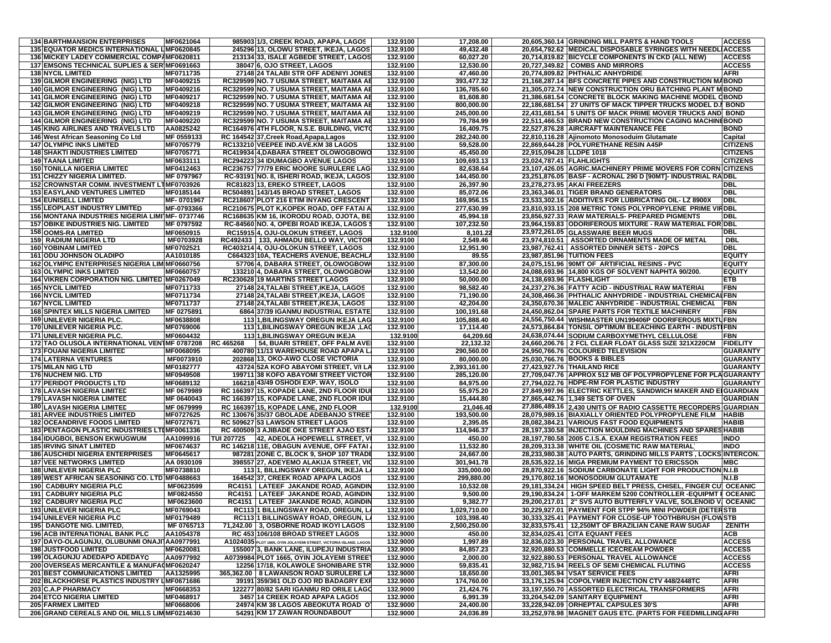| <b>134 BARTHMANSION ENTERPRISES</b>            | MF0621064  |            | 985903 1/3, CREEK ROAD, APAPA, LAGOS                             | 132.9100 | 17,208.00    |                          | 20,605,360.14 GRINDING MILL PARTS & HAND TOOLS                   | <b>ACCESS</b>   |
|------------------------------------------------|------------|------------|------------------------------------------------------------------|----------|--------------|--------------------------|------------------------------------------------------------------|-----------------|
| 135 EQUATOR MEDICS INTERNATIONAL LIMF0620845   |            |            | 245296 13, OLOWU STREET, IKEJA, LAGOS                            | 132.9100 | 49,432.48    |                          | 20,654,792.62 MEDICAL DISPOSABLE SYRINGES WITH NEEDLIACCESS      |                 |
| 136 MICKEY LADEY COMMERCIAL COMPAMF0620811     |            |            |                                                                  |          |              |                          |                                                                  | <b>ACCESS</b>   |
|                                                |            |            | 213134 33, ISALE AGBEDE STREET, LAGOS                            | 132.9100 | 60,027.20    |                          | 20,714,819.82 BICYCLE COMPONENTS IN CKD (ALL NEW)                |                 |
| 137 EMSONS TECHNICAL SUPLIES & SER MF0691663   |            |            | 38047 6, OJO STREET, LAGOS                                       | 132.9100 | 12,530.00    |                          | 20,727,349.82 COMBS AND MIRRORS                                  | <b>ACCESS</b>   |
| <b>138 NYCIL LIMITED</b>                       | MF0711735  |            | 27148 24 TALABI STR OFF ADENIYI JONES                            | 132.9100 | 47,460.00    |                          | 20,774,809.82 PHTHALIC ANHYDRIDE                                 | AFRI            |
| 139 GILMOR ENGINEERING (NIG) LTD               | MF0409215  |            | RC329599 NO. 7 USUMA STREET, MAITAMA AE                          | 132.9100 | 393,477.32   |                          | 21,168,287.14 BFS CONCRETE PIPES AND CONSTRUCTION MABOND         |                 |
| 140 GILMOR ENGINEERING (NIG) LTD               | MF0409216  |            | RC329599 NO. 7 USUMA STREET, MAITAMA AE                          | 132.9100 | 136,785.60   |                          | 21,305,072.74 NEW CONSTRUCTION ORU BATCHING PLANT M BOND         |                 |
| <b>141 GILMOR ENGINEERING (NIG) LTD</b>        | MF0409217  |            | RC329599 NO. 7 USUMA STREET, MAITAMA AE                          | 132.9100 | 81,608.80    |                          | 21,386,681.54 CONCRETE BLOCK MAKING MACHINE MODEL CBOND          |                 |
| <b>142 GILMOR ENGINEERING (NIG) LTD</b>        | MF0409218  |            | RC329599 NO. 7 USUMA STREET, MAITAMA AE                          | 132.9100 | 800.000.00   |                          | 22,186,681.54 27 UNITS OF MACK TIPPER TRUCKS MODEL D.I BOND      |                 |
| <b>143 GILMOR ENGINEERING (NIG) LTD</b>        | MF0409219  |            | RC329599 NO. 7 USUMA STREET, MAITAMA AE                          | 132.9100 | 245,000.00   |                          | 22,431,681.54   5 UNITS OF MACK PRIME MOVER TRUCKS AND BOND      |                 |
| <b>144 GILMOR ENGINEERING (NIG) LTD</b>        | MF0409220  |            | RC329599 NO. 7 USUMA STREET, MAITAMA AE                          | 132.9100 | 79,784.99    |                          | 22,511,466.53 BRAND NEW CONSTRUCTION CAGING MACHINEBOND          |                 |
| <b>145 KING AIRLINES AND TRAVELS LTD</b>       | AA0825242  |            | RC164976 4TH FLOOR, N.S.E. BUILDING, VICTO                       | 132.9100 | 16,409.75    |                          | 22,527,876.28 AIRCRAFT MAINTENANCE FEE                           | <b>BOND</b>     |
| 146 West African Seasoning Co Ltd              | MF 0559133 |            | RC 164542 37, Creek Road, Apapa, Lagos                           | 132.9100 | 282,240.00   |                          | 22,810,116.28 Ajinomoto Monosoduim Glutamate                     | Capital         |
| <b>147 OLYMPIC INKS LIMITED</b>                | MF0705779  |            | RC133210 VEEPEE IND.AVE.KM 38 LAGOS                              | 132.9100 | 59.528.00    |                          | 22,869,644.28 POLYURETHANE RESIN A45P                            | <b>CITIZENS</b> |
| <b>148 SHAKTI INDUSTRIES LIMITED</b>           | MF0705771  |            | RC419934 4, DABARA STREET OLOWOGBOWO                             | 132.9100 | 45,450.00    | 22,915,094.28 LLDPE 1018 |                                                                  | <b>CITIZENS</b> |
| <b>149 TAANA LIMITED</b>                       | MF0633111  |            | RC294223 34 IDUMAGBO AVENUE LAGOS                                | 132.9100 | 109.693.13   | 23.024.787.41 FLAHLIGHTS |                                                                  | <b>CITIZENS</b> |
|                                                |            |            | RC236757 77/79 ERIC MOORE SURULERE LAG                           |          |              |                          |                                                                  |                 |
| <b>150 TONILLA NIGERIA LIMITED</b>             | MF0412463  |            |                                                                  | 132.9100 | 82,638.64    |                          | 23,107,426.05 AGRIC.MACHINERY PRIME MOVERS FOR CORN CITIZENS     |                 |
| <b>151 CHIZZY NIGERIA LIMITED.</b>             | MF 0797967 |            | RC-93191 NO. 8, ISHERI ROAD, IKEJA, LAGOS                        | 132.9100 | 144,450.00   |                          | 23,251,876.05 BASF - ACRONAL 290 D [90MT]- INDUSTRIAL RADBL      |                 |
| 152 CROWNSTAR COMM. INVESTMENT LTMF0703926     |            |            | RC81823 13, EREKO STREET, LAGOS                                  | 132.9100 | 26,397.90    |                          | 23,278,273.95 AKAI FREEZERS                                      | DBL             |
| <b>153 EASYLAND VENTURES LIMITED</b>           | MF0185144  |            | RC504891 143/145 BROAD STREET, LAGOS                             | 132.9100 | 85,072.06    |                          | 23,363,346.01 TIGER BRAND GENERATORS                             | DBL             |
| <b>154 EUNISELL LIMITED</b>                    | MF-0701967 |            | RC218607 PLOT 216 ETIM INYANG CRESCENT                           | 132.9100 | 169,956.15   |                          | 23,533,302.16 ADDITIVES FOR LUBRICATING OIL- LZ 8900X            | DBL             |
| <b>155 LEOPLAST INDUSTRY LIMITED</b>           | MF-0793366 |            | RC210675 PLOT K, KOPEK ROAD, OFF FATAI A                         | 132.9100 | 277,630.99   |                          | 23,810,933.15 208 METRIC TONS POLYPROPYLENE PRIME VIRDBL         |                 |
| 156 MONTANA INDUSTRIES NIGERIA LIMITMF-0737746 |            |            | RC168635 KM 16, IKORODU ROAD, OJOTA, BE                          | 132.9100 | 45,994.18    |                          | 23,856,927.33 RAW MATERIALS- PREPARED PIGMENTS                   | DBL             |
| <b>157 OBIKE INDUSTRIES NIG. LIMITED</b>       | MF 0797592 |            | RC-84560 NO. 4, OPEBI ROAD IKEJA, LAGOS                          | 132.9100 | 107,232.50   |                          | 23,964,159.83 ODORIFEROUS MIXTURE - RAW MATERIAL FOR DBL         |                 |
| <b>158 OOMS-RA LIMITED</b>                     | MF0650915  |            | RC15915 4, OJU-OLOKUN STREET, LAGOS                              | 132.9100 | 8,101.22     |                          | 23,972,261.05 GLASSWARE BEER MUGS                                | DBL             |
| <b>159 RADIUM NIGERIA LTD</b>                  | MF0703928  |            | RC492433   133, AHMADU BELLO WAY, VICTOR                         | 132.9100 | 2,549.46     |                          | 23,974,810.51   ASSORTED ORNAMENTS MADE OF METAL                 | <b>DBL</b>      |
| <b>160 YOBINAM LIMITED</b>                     | MF0702521  |            | RC403214 4, OJU-OLOKUN STREET, LAGOS                             | 132.9100 | 12,951.90    |                          | 23,987,762.41   ASSORTED DINNER SETS - 20PCS                     | DBL             |
| <b>161 ODU JOHNSON OLADIPO</b>                 | AA1010185  |            | C664323 10A, TEACHERS AVENUE, BEACHL                             | 132.9100 | 89.55        |                          | 23,987,851.96 TUITION FEES                                       | EQUITY          |
| 162 OLYMPIC ENTERPRISES NIGERIA LIM MF0660756  |            |            | 57706 4, DABARA STREET, OLOWOGBOW                                | 132.9100 | 87,300.00    |                          | 24,075,151.96 90MT OF ARTIFICIAL RESINS - PVC                    | <b>EQUITY</b>   |
| <b>163 OLYMPIC INKS LIMITED</b>                | MF0660757  |            | 133210 4, DABARA STREET, OLOWOGBOW                               | 132.9100 | 13,542.00    |                          | 24,088,693.96 14,800 KGS OF SOLVENT NAPHTA 90/200.               | EQUITY          |
| 164 VIKREN CORPORATION NIG. LIMITED MF0267049  |            |            | RC230628 19 MARTINS STREET LAGOS                                 | 132.9100 | 50,000.00    | 24,138,693.96 FLASHLIGHT |                                                                  | FTB             |
| <b>165 NYCIL LIMITED</b>                       | MF0711733  |            | 27148 24, TALABI STREET, IKEJA, LAGOS                            | 132.9100 | 98,582.40    |                          | 24,237,276.36 FATTY ACID - INDUSTRIAL RAW MATERIAL               | -BN             |
| <b>166 NYCIL LIMITED</b>                       | MF0711734  |            | 27148 24, TALABI STREET, IKEJA, LAGOS                            | 132.9100 | 71,190.00    |                          | 24,308,466.36 PHTHALIC ANHYDRIDE - INDUSTRIAL CHEMICAL FBN       |                 |
| <b>167 NYCIL LIMITED</b>                       | MF0711737  |            | 27148 24, TALABI STREET, IKEJA, LAGOS                            | 132.9100 | 42,204.00    |                          | 24,350,670.36 MALEIC ANHYDRIDE - INDUSTRIAL CHEMICAL             | FBN             |
| <b>168 SPINTEX MILLS NIGERIA LIMITED</b>       | MF 0275891 |            | 6864 37/39 IGANMU INDUSTRIAL ESTATE                              | 132.9100 | 100,191.68   |                          | 24,450,862.04 SPARE PARTS FOR TEXTILE MACHINERY                  | FBN             |
| <b>169 UNILEVER NIGERIA PLC.</b>               | MF0638808  |            | 11311.BILINGSWAY OREGUN IKEJA LAG                                | 132.9100 | 105,888.40   |                          | 24,556,750.44 WISHMASTER UN199406P ODORIFEROUS MIXTUFBN          |                 |
| 170 UNILEVER NIGERIA PLC.                      | MF0769006  |            | 113 1, BILINGSWAY OREGUN IKEJA ,LAG                              | 132.9100 | 17,114.40    |                          | 24,573,864.84 TONSIL OPTIMUM BLEACHING EARTH - INDUSTIFBN        |                 |
| 171 UNILEVER NIGERIA PLC.                      | MF0604432  |            | 1131, BILINGSWAY OREGUN IKEJA                                    | 132.9100 | 64,209.60    |                          | 24,638,074.44 SODIUM CARBOXYMETHYL CELLULOSE                     | -BN             |
| 172 TAO OLUSOLA INTERNATIONAL VENTMF 0787208   |            | RC 465268  | 54, BUARI STREET, OFF PALM AVE                                   | 132.9100 | 22,132.32    |                          | 24,660,206.76   2 FCL CLEAR FLOAT GLASS SIZE 321X220CM           | FIDELITY        |
| <b>173 FOUANI NIGERIA LIMITED</b>              | MF0068095  |            | 400780 11/13 WAREHOUSE ROAD APAPA L.                             | 132.9100 | 290,560.00   |                          | 24,950,766.76 COLOURED TELEVISION                                | GUARANTY        |
| <b>174 LATERNA VENTURES</b>                    | MF0073910  |            | 202868 13, OKO-AWO CLOSE VICTORIA                                | 132.9100 | 80,000.00    |                          | 25,030,766.76 BOOKS & BIBLES                                     | GUARANTY        |
| 175 MILAN NIG LTD                              | MF0182777  |            | 43724 52A KOFO ABAYOMI STREET, V/I LA                            | 132.9100 | 2,393,161.00 |                          | 27,423,927.76 THAILAND RICE                                      | GUARANTY        |
| <b>176 NUCHEM NIG. LTD</b>                     | MF0949508  |            | 199711 38 KOFO ABAYOMI STREET VICTOR                             | 132.9100 | 285,120.00   |                          | 27,709,047.76 APPROX 512 MB OF POLYPROPYLENE FOR PLAGUARANTY     |                 |
| <b>177 PERIDOT PRODUCTS LTD</b>                | MF0689132  |            | 166218 43/49 OSHODI EXP. WAY, ISOLO                              | 132.9100 |              |                          | 27,794,022.76 HDPE-RM FOR PLASTIC INDUSTRY                       | GUARANTY        |
|                                                |            |            | RC 166397 15, KOPADE LANE, 2ND FLOOR IDU                         |          | 84,975.00    |                          | 27,849,997.96 ELECTRIC KETTLES, SANDWICH MAKER AND EIGUARDIAN    |                 |
| <b>178 LAVASH NIGERIA LIMITED</b>              | MF 0679989 |            |                                                                  | 132.9100 | 55,975.20    |                          |                                                                  |                 |
| <b>179 LAVASH NIGERIA LIMITED</b>              | MF 0640043 |            | RC 166397 15, KOPADE LANE, 2ND FLOOR IDU                         | 132.9100 | 15,444.80    |                          | 27,865,442.76 1,349 SETS OF OVEN                                 | GUARDIAN        |
| <b>180 LAVASH NIGERIA LIMITED</b>              | MF 0679999 |            | RC 166397 15, KOPADE LANE, 2ND FLOOR                             | 132.9100 | 21,046.40    |                          | 27,886,489.16 2,430 UNITS OF RADIO CASSETTE RECORDERS GUARDIAN   |                 |
| <b>181 ARVEE INDUSTRIES LIMITED</b>            | MF0727625  |            | RC 130676 35/37 GBOLADE ADEBANJO STREE                           | 132.9100 | 193,500.00   |                          | 28,079,989.16 BIAXIALLY ORIENTED POLYPROPYLENE FILM              | <b>HABIB</b>    |
| <b>182 OCEANDRIVE FOODS LIMITED</b>            | MF0727671  |            | RC 509627 53 LAWSON STREET LAGOS                                 | 132.9100 | 2,395.05     |                          | 28,082,384.21 VARIOUS FAST FOOD EQUIPMENTS                       | HABIB           |
| 183 PENTAGON PLASTIC INDUSTRIES LTIMF0061336   |            |            | RC 400509 3 AJIBADE OKE STREET AJAO EST                          | 132.9100 | 114,946.37   |                          | 28,197,330.58 INJECTION MOULDING MACHINES AND SPARES HABIB       |                 |
| <b>184 IDUGBOI, BENSON EKWUGWUM</b>            | AA1099916  | TUI 207725 | 42, ADEOLA HOPEWELL STREET, V                                    | 132.9100 | 450.00       |                          | 28,197,780.58 2005 C.I.S.A. EXAM REGISTRATION FEES               | INDO            |
| <b>185 IRVING SINAT LIMITED</b>                | MF0674637  |            | RC 146218 11E, OBAGUN AVENUE, OFF FATAI                          | 132.9100 | 11,532.80    |                          | 28,209,313.38 WHITE OIL (COSMETIC RAW MATERIAL)                  | INDO            |
| <b>186 AUSCHIDI NIGERIA ENTERPRISES</b>        | MF0645617  |            | 987281 ZONE C, BLOCK 9, SHOP 107 TRADE                           | 132.9100 | 24,667.00    |                          | 28,233,980.38 AUTO PARTS, GRINDING MILLS PARTS , LOCKS INTERCON. |                 |
| <b>187 VEE NETWORKS LIMITED</b>                | AA 0930109 |            | 398557 27, ADEYEMO ALAKIJA STREET, VIC                           | 132.9100 | 301,941.78   |                          | 28,535,922.16 MIGA PREMIUM PAYMENT TO ERICSSON                   | MBC             |
| <b>188 UNILEVER NIGERIA PLC</b>                | MF0738810  |            | 11311, BILLINGSWAY OREGUN, IKEJA L                               | 132.9100 | 335,000.00   |                          | 28,870,922.16 SODIUM CARBONATE LIGHT FOR PRODUCTION N.I.B        |                 |
| 189 WEST AFRICAN SEASONING CO. LTD MF0488663   |            |            | 164542 37, CREEK ROAD APAPA LAGOS                                | 132.9100 | 299,880.00   |                          | 29,170,802.16 MONOSODIUM GLUTAMATE                               | N.I.B           |
| 190 CADBURY NIGERIA PLC                        | MF0623599  |            | <b>RC4151 LATEEF JAKANDE ROAD, AGINDIN</b>                       | 132.9100 | 10,532.08    |                          | 29,181,334.24   HIGH SPEED BELT PRESS, CHISEL, FINGER CU OCEANIC |                 |
| 191 CADBURY NIGERIA PLC                        | MF0824550  |            | RC4151   LATEEF JAKANDE ROAD, AGINDIN                            | 132.9100 | 9,500.00     |                          | 29,190,834.24   1-OFF MARKEM 5200 CONTROLLER -EQUIPMT I OCEANIC  |                 |
| 192 CADBURY NIGERIA PLC                        | MF0623600  |            | RC4151   LATEEF JAKANDE ROAD, AGINDIN                            | 132.9100 | 9,382.77     |                          | 29,200,217.01   2" SVS AUTO BUTTERFLY VALVE, SOLENOID V, OCEANIC |                 |
| <b>193 UNILEVER NIGERIA PLC</b>                | MF0769043  |            | RC113 1 BILLINGSWAY ROAD, OREGUN, LA                             | 132.9100 | 1,029,710.00 |                          | 30,229,927.01 PAYMENT FOR STPP 94% MINI POWDER (DETERSTB         |                 |
| <b>194 UNILEVER NIGERIA PLC</b>                | MF0179489  |            | RC113 1 BILLINGSWAY ROAD, OREGUN, LA                             | 132.9100 | 103,398.40   |                          | 30,333,325.41 PAYMENT FOR CLOSE-UP TOOTHBRUSH (FLOWSTB           |                 |
| 195 DANGOTE NIG. LIMITED,                      | MF 0765713 |            | 71,242.00 3, OSBORNE ROAD IKOYI LAGOS                            | 132.9100 | 2,500,250.00 |                          | 32,833,575.41   12,250MT OF BRAZILIAN CANE RAW SUGAR             | <b>ZENITH</b>   |
| <b>196 ACB INTERNATIONAL BANK PLC</b>          | AA1054378  |            | RC 453 106/108 BROAD STREET LAGOS                                | 132.9000 | 450.00       |                          | 32,834,025.41 CITA EQUANT FEES                                   | ACB             |
| 197 DAYO-OLAGUNJU, OLUBUNMI ONAJI AA0977991    |            |            | A1024035 PLOT 1665, OYIN JOLAYEMI STREET, VICTORIA ISLAND, LAGOS | 132.9000 | 1,997.89     |                          | 32,836,023.30 PERSONAL TRAVEL ALLOWANCE                          | <b>ACCESS</b>   |
| <b>198 JUSTFOOD LIMITED</b>                    | MF0620081  |            | 155007 3, BANK LANE, ILUPEJU INDUSTRIA                           | 132.9000 | 84,857.23    |                          | 32,920,880.53 COMMELLE ICECREAM POWDER                           | <b>ACCESS</b>   |
| 199 OLAGUNJU ADEDAPO ADEDAYC                   | AA0977992  |            | A0739984 PLOT 1665, OYIN JOLAYEMI STREET                         | 132.9000 | 2,000.00     |                          | 32,922,880.53 PERSONAL TRAVEL ALLOWANCE                          | <b>ACCESS</b>   |
| 200 OVERSEAS MERCANTILE & MANUFA(MF0620247     |            |            | 12256 17/18, KOLAWOLE SHONIBARE STR                              | 132.9000 | 59,835.41    |                          | 32,982,715.94 REELS OF SEMI CHEMICAL FLUTING                     | <b>ACCESS</b>   |
| <b>201 BEST COMMUNICATIONS LIMITED</b>         | AA1325995  |            | 365,362.00 8 LAWANSON ROAD SURULERE LA                           | 132.9000 | 18,650.00    |                          | 33,001,365.94 VSAT SERVICE FEES                                  | AFRI            |
| 202 BLACKHORSE PLASTICS INDUSTRY LMF0671686    |            |            | 39191 359/361 OLD OJO RD BADAGRY EXP                             | 132.9000 | 174,760.00   |                          | 33,176,125.94 COPOLYMER INJECTION CTV 448/2448TC                 | AFRI            |
| 203 C.A.P PHARMACY                             | MF0668353  |            | 122277 80/82 SARI IGANMU RD ORILE LAGO                           | 132.9000 | 21,424.76    |                          | 33,197,550.70 ASSORTED ELECTRICAL TRANSFORMERS                   | AFRI            |
| <b>204 ETCO NIGERIA LIMITED</b>                | MF0468917  |            | 3457 14 CREEK ROAD APAPA LAGOS                                   | 132.9000 | 6,991.39     |                          | 33.204.542.09 SANITARY EQUIPMENT                                 | AFRI            |
| <b>205 FARMEX LIMITED</b>                      | MF0668006  |            | 24974 KM 38 LAGOS ABEOKUTA ROAD OT                               | 132.9000 | 24,400.00    |                          | 33,228,942.09 ORHEPTAL CAPSULES 30'S                             | AFRI            |
| 206 GRAND CEREALS AND OIL MILLS LIM MF0214630  |            |            | 54291 KM 17 ZAWAN ROUNDABOUT                                     | 132.9000 | 24,036.89    |                          | 33,252,978.98 MAGNET GAUS ETC. (PARTS FOR FEEDMILLING AFRI       |                 |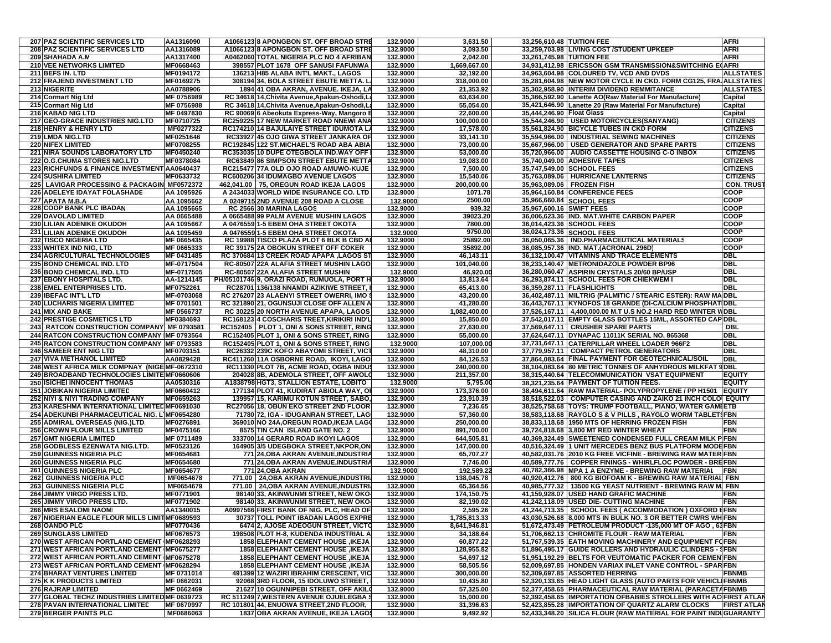| 207 PAZ SCIENTIFIC SERVICES LTD                                                | AA1316090              | A1066123 8 APONGBON ST. OFF BROAD STRE                                           | 132.9000             | 3,631.50                     | 33,256,610.48 TUITION FEE                                                                                                | AFRI                               |
|--------------------------------------------------------------------------------|------------------------|----------------------------------------------------------------------------------|----------------------|------------------------------|--------------------------------------------------------------------------------------------------------------------------|------------------------------------|
| 208 PAZ SCIENTIFIC SERVICES LTD                                                | AA1316089              | A1066123 8 APONGBON ST. OFF BROAD STRE                                           | 132.9000             | 3,093.50                     | 33,259,703.98 LIVING COST /STUDENT UPKEEP                                                                                | AFRI                               |
| 209 SHAHADA A.M                                                                | AA1317400              | A0462060 TOTAL NIGERIA PLC NO 4 AFRIBAN                                          | 132.9000             | 2,042.00                     | 33,261,745.98 TUITION FEE                                                                                                | AFRI                               |
| 210 VEE NETWORKS LIMITED                                                       | MF0668463              | 398557 PLOT 1678 OFF SANUSI FAFUNWA                                              | 132.9000             | 1,669,667.00                 | 34,931,412.98 ERICSSON GSM TRANSMISSION&SWITCHING EQAFRI                                                                 |                                    |
| 211 BEFS IN, LTD                                                               | MF0194172              | 136213 H85 ALABA INT'L MAKT., LAGOS                                              | 132.9000             | 32.192.00                    | 34,963,604.98 COLOURED TV, VCD AND DVDS                                                                                  | ALLSTATES                          |
| 212 FRAJEND INVESTMENT LTD                                                     | MF0169275              | 308194 34, BOLA STREET EBUTE METTA. L                                            | 132.9000             | 318,000.00                   | 35,281,604.98 NEW MOTOR CYCLE IN CKD. FORM CG125, FRA ALLSTATES                                                          |                                    |
| 213 NIGERITE                                                                   | AA0788906              | 1894 41 OBA AKRAN, AVENUE. IKEJA, LA                                             | 132.9000             | 21.353.92                    | 35,302,958.90 INTERIM DIVIDEND REMMITANCE                                                                                | <b>ALLSTATES</b>                   |
| 214 Cormart Nig Ltd                                                            | MF 0756989             | RC 34618 14, Chivita Avenue, Apakun-Oshodi, L                                    | 132.9000             | 63,634.00                    | 35,366,592.90 Lanette AO(Raw Material For Manufacture)                                                                   | Capital                            |
| 215 Cormart Nig Ltd                                                            | MF 0756988             | RC 34618 14. Chivita Avenue. Apakun-Oshodi. L                                    | 132.9000             | 55,054.00                    | 35,421,646.90 Lanette 20 (Raw Material For Manufacture)                                                                  | Capital                            |
| 216 KABAD NIG LTD                                                              | MF 0497830             | RC 90069 6 Abeokuta Express-Way, Mangoro B                                       | 132.9000             | 22,600.00                    | 35.444.246.90 Float Glass                                                                                                | Capital                            |
| 217 GEO-GRACE INDUSTRIES NIG.LTD                                               | MF0710725<br>MF0277322 | RC259225 17 NEW MARKET ROAD NNEWI ANA                                            | 132.9000             | 100,000.00                   | 35,544,246.90 USED MOTORCYCLES(SANYANG)                                                                                  | <b>CITIZENS</b><br><b>CITIZENS</b> |
| 218 HENRY & HENRY LTD<br>219 LMDA NIG.LTD                                      |                        | RC174210 14 BAJULAIYE STREET IDUMOTA LA                                          | 132.9000<br>132.9000 | 17,578.00                    | 35,561,824.90 BICYCLE TUBES IN CKD FORM                                                                                  |                                    |
| <b>220 NIFEX LIMITED</b>                                                       | MF0251646<br>MF0708255 | RC33927 45 OJO GIWA STREET JANKARA OF<br>RC192845 122 ST.MICHAEL'S ROAD ABA ABIA | 132.9000             | 33,141.10<br>73,000.00       | 35,594,966.00   INDUSTRIAL SEWING MACHINES<br>35,667,966.00   USED GENERATOR AND SPARE PARTS                             | <b>CITIZENS</b><br><b>CITIZENS</b> |
| 221 NIRA SOUNDS LABORATORY LTD                                                 | MF0450240              | RC353035 10 DUPE OTEGBOLA IND.WAY OFF                                            | 132.9000             | 53,000.00                    | 35,720,966.00   AUDIO CASSETTE HOUSING C-O INBOX                                                                         | <b>CITIZENS</b>                    |
| 222 O.G.CHUMA STORES NIG.LTD                                                   | MF0378084              | RC63849 86 SIMPSON STREET EBUTE METTA                                            | 132.9000             | 19,083.00                    | 35,740,049.00 ADHESIVE TAPES                                                                                             | <b>CITIZENS</b>                    |
| 223 RICHFUNDS & FINANCE INVESTMENT AA0640437                                   |                        | RC215477 77A OLD OJO ROAD AMUWO-KUJE                                             | 132.9000             | 7,500.00                     | 35,747,549.00 SCHOOL FEES                                                                                                | <b>CITIZENS</b>                    |
| <b>224 SUSHIRA LIMITED</b>                                                     | MF0633732              | RC600206 34 IDUMAGBO AVENUE LAGOS                                                | 132.9000             | 15,540.06                    | 35,763,089.06   HURRICANE LANTERNS                                                                                       | <b>CITIZENS</b>                    |
| 225 LAVIGAR PROCESSING & PACKAGIN MF0572372                                    |                        | 462,041.00 75, OREGUN ROAD IKEJA LAGOS                                           | 132.9000             | 200,000.00                   | 35,963,089.06 FROZEN FISH                                                                                                | <b>CON. TRUS</b>                   |
| 226 ADELEYE IDAYAT FOLASHADE                                                   | AA 1095926             | A 2434033 WORLD WIDE INSURANCE CO. LTD                                           | 132.9000             | 1071.78                      | 35,964,160.84 CONFERENCE FEES                                                                                            | COOP                               |
| 227 APATA M.B.A                                                                | AA 1095662             | A 0249715 2ND AVENUE 208 ROAD A CLOSE                                            | 132.9000             | 2500.00                      | 35,966,660.84 SCHOOL FEES                                                                                                | COOP                               |
| 228 COOP BANK PLC IBADAN                                                       | AA 1095665             | RC 2566 30 MARINA LAGOS                                                          | 132.9000             | 939.32                       | 35,967,600.16 SWIFT FEES                                                                                                 | COOP                               |
| 229 DAVOLAD LIMITED                                                            | AA 0665488             | A 0665488 99 PALM AVENUE MUSHIN LAGOS                                            | 132.9000             | 39023.20                     | 36,006,623.36 IND. MAT.WHITE CARBON PAPER                                                                                | COOP                               |
| 230 LILIAN ADENIKE OKUDOH                                                      | AA 1095667             | A 0476559 1-5 EBEM OHA STREET OKOTA                                              | 132.9000             | 7800.00                      | 36,014,423.36 SCHOOL FEES                                                                                                | COOP                               |
| 231 LILIAN ADENIKE OKUDOH                                                      | AA 1095459             | A 0476559 1-5 EBEM OHA STREET OKOTA                                              | 132.9000             | 9750.00                      | 36,024,173.36 SCHOOL FEES                                                                                                | COOP                               |
| 232 TISCO NIGERIA LTD                                                          | MF 0665435             | RC 19988 TISCO PLAZA PLOT 6 BLK B CBD A                                          | 132.9000             | 25892.00                     | 36,050,065.36   IND.PHARMACEUTICAL MATERIALS                                                                             | COOP                               |
| 233 WHITEX IND NIG, LTD                                                        | MF 0665333             | RC 39175 2A OBOKUN STREET OFF COKER                                              | 132.9000             | 35892.00                     | 36,085,957.36  IND. MAT.(ACRONAL 296D)                                                                                   | COOP                               |
| 234 AGRICULTURAL TECHNOLOGIES                                                  | MF 0431485             | RC 370684 13 CREEK ROAD APAPA ,LAGOS ST                                          | 132.9000             | 46,143.11                    | 36,132,100.47 VITAMINS AND TRACE ELEMENTS                                                                                | DBL                                |
| 235 BOND CHEMICAL IND. LTD                                                     | MF-0717504             | RC-80507 22A ALAFIA STREET MUSHIN LAGO                                           | 132.9000             | 101,040.00                   | 36,233,140.47 METRONIDAZOLE POWDER BP96                                                                                  | DBI                                |
| <b>236 BOND CHEMICAL IND. LTD</b>                                              | MF-0717505             | RC-80507 22A ALAFIA STREET MUSHIN                                                | 132.9000             | 46.920.00                    | 36,280,060.47 ASPIRIN CRYSTALS 20/60 BP/USP                                                                              | DBL                                |
| 237 EBONY HOSPITALS LTD.                                                       | AA-1214145             | PH/05101746 9, ORAZI ROAD, RUMUOLA, PORT H                                       | 132.9000             | 13,813.64                    | 36,293,874.11 SCHOOL FEES FOR CHIEKWEM I                                                                                 | DBI                                |
| 238 EMEL ENTERPRISES LTD.                                                      | MF0752261              | RC28701 136/138 NNAMDI AZIKIWE STREET,                                           | 132.9000             | 65,413.00                    | 36,359,287.11 FLASHLIGHTS                                                                                                | dbl                                |
| 239 IBEFAC INT'L LTD                                                           | MF-0703068             | RC 276207 23 ALAENYI STREET OWERRI, IMO \$                                       | 132.9000             | 43,200.00                    | 36,402,487.11 MILTRIG (PALMITIC / STEARIC ESTER): RAW MA DBL                                                             |                                    |
| 240 LUCHARIS NIGERIA LIMITED                                                   | MF 0701501             | RC 321890 21, OGUNSUJI CLOSE OFF ALLEN A                                         | 132.9000             | 41,280.00                    | 36,443,767.11 KYNOFOS 18 GRANDE (DI-CALCIUM PHOSPHATIDBL                                                                 |                                    |
| 241 MIX AND BAKE                                                               | MF 0566737             | RC 30225 20 NORTH AVENUE APAPA, LAGOS                                            | 132.9000             | 1,082,400.00                 | 37,526,167.11   4,400,000.00 M.T U.S NO.2 HARD RED WINTER WDBL                                                           |                                    |
| <b>242 PRESTIGE COSMETICS LTD</b>                                              | MF0384693              | RC168123 4 COSCHARIS TREET, KIRIKIRI IND'L                                       | 132.9000             | 15,850.00                    | 37,542,017.11 EMPTY GLASS BOTTLES 15ML, ASSORTED CAP DBL                                                                 |                                    |
| 243 RATCON CONSTRUCTION COMPANY MF 0793581                                     |                        | RC152405 PLOT 1, ONI & SONS STREET, RING                                         | 132.9000             | 27.630.00                    | 37,569,647.11 CRUSHER SPARE PARTS                                                                                        | DBL                                |
| 244 RATCON CONSTRUCTION COMPANY MF 0793564                                     |                        | RC152405 PLOT 1, ONI & SONS STREET, RING                                         | 132.9000             | 55,000.00                    | 37,624,647.11 DYNAPAC 11011K SERIAL NO. 865368                                                                           | DBL                                |
| 245 RATCON CONSTRUCTION COMPANY MF 0793583<br><b>246 SAMEER ENT NIG LTD</b>    | MF0703151              | RC152405 PLOT 1, ONI & SONS STREET, RING                                         | 132.9000<br>132.9000 | 107,000.00<br>48,310.00      | 37,731,647.11 CATERPILLAR WHEEL LOADER 966F2<br>37,779,957.11   COMPACT PETROL GENERATORS                                | DBI<br>DBL                         |
| <b>247 VIVA METHANOL LIMITED</b>                                               | AA0829428              | RC26332 239C KOFO ABAYOMI STREET, VICT<br>RC411260 11A OSBORNE ROAD, IKOYI, LAGO | 132.9000             | 84,126.53                    | 37,864,083.64 FINAL PAYMENT FOR GEOTECHNICAL/SOIL                                                                        | DBL                                |
| 248 WEST AFRICA MILK COMPNAY (NIGE MF-0672310                                  |                        | RC11330 PLOT 7B, ACME ROAD, OGBA INDUS                                           | 132.9000             | 240,000.00                   | 38,104,083.64 80 METRIC TONNES OF ANHYDROUS MILKFAT 9DBL                                                                 |                                    |
| 249 BROADBAND TECHNOLOGIES LIMITE MF0660606                                    |                        | 204028 8B, ADEMOLA STREET, OFF AWOLD                                             | 132.9000             | 211,357.00                   | 38,315,440.64 TELECOMMUNICATION VSAT EQUIPMENT                                                                           | EQUITY                             |
| <b>250 ISICHEI INNOCENT THOMAS</b>                                             | AA0530316              | A1838798 HGT3, STALLION ESTATE, LOBITO                                           | 132.9000             | 5,795.00                     | 38,321,235.64 PAYMENT OF TUITION FEES.                                                                                   | <b>EQUITY</b>                      |
| <b>251 JOBIKAN NIGERIA LIMITED</b>                                             | MF0660412              | 177134 PLOT 41, KUDIRAT ABIOLA WAY, OI                                           | 132.9000             | 173,376.00                   | 38,494,611.64 RAW MATERIAL- POLYPROPYLENE / PP H1501                                                                     | <b>EQUITY</b>                      |
| 252 NIYI & NIYI TRADING COMPANY                                                | MF0659263              | 139957 15, KARIMU KOTUN STREET, SABO,                                            | 132.9000             | 23,910.39                    | 38,518,522.03 COMPUTER CASING AND ZAIKO 21 INCH COLO                                                                     | <b>EQUITY</b>                      |
| 253 KARESHMA INTERNATIONAL LIMITED MF0691030                                   |                        | RC27056 18, OBUN EKO STREET 2ND FLOOR                                            | 132.9000             | 7,236.65                     | 38,525,758.68 TOYS: TRUMP FOOTBALL, PIANO, WATER GAMEETB                                                                 |                                    |
| 254 ADEKUNBI PHARMACEUTICAL NIG. LIMF0654280                                   |                        | 71780 72, IGA - IDUGANRAN STREET, LAG                                            | 132.9000             | 57,360.00                    | 38,583,118.68 RAYGLO S & V PILLS , RAYGLO WORM TABLET\$FBN                                                               |                                    |
| 255 ADMIRAL OVERSEAS (NIG.)LTD                                                 | MF0276891              | 369010 NO 24A, OREGUN ROAD, IKEJA LAGO                                           | 132.9000             | 250,000.00                   | 38,833,118.68 1950 MTS OF HERRING FROZEN FISH                                                                            | FBN                                |
| 256 CROWN FLOUR MILLS LIMITED                                                  | MF0475166              | 8575 TIN CAN ISLAND GATE NO. 2                                                   | 132.9000             | 891,700.00                   | 39,724,818.68 3,800 MT RED WINTER WHEAT                                                                                  | FBN                                |
| <b>257 GMT NIGERIA LIMITED</b>                                                 | MF 0711489             | 333700 14 GERARD ROAD IKOYI LAGOS                                                | 132.9000             | 644,505.81                   | 40,369,324.49 SWEETENED CONDENSED FULL CREAM MILK PFBN                                                                   |                                    |
| 258 GODBLESS EZENWATA NIG.LTD.                                                 | MF0523126              | 164905 3/5 UDEGBOKA STREET, NKPOR, ON                                            | 132.9000             | 147,000.00                   | 40,516,324.49 1 UNIT MERCEDES BENZ BUS PLATFORM MODEFBN                                                                  |                                    |
| <b>259 GUINNESS NIGERIA PLC</b>                                                | MF0654681              | 771 24, OBA AKRAN AVENUE, INDUSTRIA                                              | 132.9000             | 65,707.27                    | 40,582,031.76 2010 KG FREE VICFINE - BREWING RAW MATER FBN                                                               |                                    |
| 260 GUINNESS NIGERIA PLC                                                       | MF0654680              | 771 24, OBA AKRAN AVENUE, INDUSTRIA                                              | 132.9000             | 7,746.00                     | 40,589,777.76   COPPER FININGS - WHIRLFLOC POWDER - BREFBN                                                               |                                    |
| <b>261 GUINNESS NIGERIA PLC</b>                                                | MF0654677              | <b>771 24.0BA AKRAN</b>                                                          | 132.9000             | 192.589.22                   | 40,782,366.98 MPA 1 A ENZYME - BREWING RAW MATERIAL                                                                      | FBN                                |
| 262 GUINNESS NIGERIA PLC                                                       | MF0654678              | 771.00 24, OBA AKRAN AVENUE, INDUSTRIA                                           | 132.9000             | 138,045.78                   | 40,920,412.76   800 KG BIOFOAM K - BREWING RAW MATERIAL FBN                                                              |                                    |
| <b>GUINNESS NIGERIA PLC</b><br>263                                             | MF0654679              | 771.00 24, OBA AKRAN AVENUE, INDUSTRIA                                           | 132.9000             | 65,364.56                    | 40,985,777.32   13500 KG YEAST NUTRIENT - BREWING RAW M.                                                                 | <b>FBN</b>                         |
| 264 JIMMY VIRGO PRESS LTD.                                                     | MF0771901              | 98140 33, AKINWUNMI STREET, NEW OKO-                                             | 132.9000             | 174,150.75                   | 41,159,928.07 USED HAND GRAFIC MACHINE                                                                                   | FBN                                |
| 265 JIMMY VIRGO PRESS LTD.                                                     | MF0771902              | 98140 33, AKINWUNMI STREET, NEW OKO-                                             | 132.9000             | 82.190.02                    | 41.242.118.09 USED DIE- CUTTING MACHINE                                                                                  | FBN                                |
| <b>266 MRS ESALOMI NAOMI</b><br>267 NIGERIAN EAGLE FLOUR MILLS LIMIT MF0689593 | AA1340015              | A0997566 FIRST BANK OF NIG. PLC, HEAD OF<br>30737 TOLL POINT IBADAN LAGOS EXPRE  | 132.9000             | 2,595.26                     | 41,244,713.35   SCHOOL FEES ( ACCOMMODATION ) OXFORD EFBN<br>43,030,526.68 8,000 MTS IN BULK NO. 3 OR BETTER CWRS WH FBN |                                    |
| 268 OANDO PLC                                                                  | MF0770436              | 6474 2, AJOSE ADEOGUN STREET, VICTO                                              | 132.9000<br>132.9000 | 1,785,813.33<br>8,641,946.81 | 51,672,473.49 PETROLEUM PRODUCT -135,000 MT OF AGO, 63FBN                                                                |                                    |
| <b>269 SUNGLASS LIMITED</b>                                                    | MF0676573              | 198508 PLOT H-8, KUDENDA INDUSTRIAL A                                            | 132.9000             | 34,188.64                    | 51,706,662.13 CHROMITE FLOUR - RAW MATERIAL                                                                              | FBN                                |
| 270 WEST AFRICAN PORTLAND CEMENT MF0628293                                     |                        | <b>1858 ELEPHANT CEMENT HOUSE .IKEJA</b>                                         | 132.9000             | 60,877.22                    | 51,767,539.35 EATH MOVING MACHINERY AND EQUIPMENT FOFBN                                                                  |                                    |
| 271 WEST AFRICAN PORTLAND CEMENT MF0675277                                     |                        | <b>1858 ELEPHANT CEMENT HOUSE, IKEJA</b>                                         | 132.9000             | 128,955.82                   | 51,896,495.17 GUIDE ROLLERS AND HYDRAULIC CLINDERS - SFBN                                                                |                                    |
| 272 WEST AFRICAN PORTLAND CEMENT MF0675278                                     |                        | 1858 ELEPHANT CEMENT HOUSE, IKEJA                                                | 132.9000             | 54,697.12                    | 51,951,192.29 BELTS FOR VEUTOMATIC PACKER FOR CEMEN FBN                                                                  |                                    |
| 273 WEST AFRICAN PORTLAND CEMENT MF0628294                                     |                        | <b>1858 ELEPHANT CEMENT HOUSE, IKEJA</b>                                         | 132.9000             | 58,505.56                    | 52,009,697.85 HONDEN VARIAX INLET VANE CONTROL - SPARFBN                                                                 |                                    |
| <b>274 BHARAT VENTURES LIMITED</b>                                             | MF 0731014             | 491399 12 WAZIRI IBRAHIM CRESCENT, VIC                                           | 132.9000             | 300.000.00                   | 52,309,697.85 ASSORTED HERRING                                                                                           | FBNMB                              |
| <b>275 K K PRODUCTS LIMITED</b>                                                | MF 0662031             | 92068 3RD FLOOR, 15 IDOLUWO STREET,                                              | 132.9000             | 10,435.80                    | 52,320,133.65 HEAD LIGHT GLASS (AUTO PARTS FOR VEHICL FBNMB                                                              |                                    |
| 276 RAJRAP LIMITED                                                             | MF 0662469             | 21627 10 OGUNNIPEBI STREET, OFF AKILO                                            | 132.9000             | 57,325.00                    | 52,377,458.65 PHARMACEUTICAL RAW MATERIAL (PARACETAFBNMB                                                                 |                                    |
| 277 GLOBAL TECHZ INDUSTRIES LIMITED MF 0639723                                 |                        | RC 511249 7, WESTERN AVENUE OJUELEGBA S                                          | 132.9000             | 15,000.00                    | 52,392,458.65 IMPORTATION OFBABIES STROLLERS WITH ACIFIRST ATLAI                                                         |                                    |
| 278 PAVAN INTERNATIONAL LIMITED                                                | MF 0670997             | RC 101801 44, ENUOWA STREET, 2ND FLOOR,                                          | 132.9000             | 31,396.63                    | 52,423,855.28 IMPORTATION OF QUARTZ ALARM CLOCKS                                                                         | FIRST ATLAN                        |
| 279 BERGER PAINTS PLC                                                          | MF0686063              | 1837 OBA AKRAN AVENUE, IKEJA LAGOS                                               | 132.9000             | 9,492.92                     | 52,433,348.20 SILICA FLOUR (RAW MATERIAL FOR PAINT INDUGUARANTY                                                          |                                    |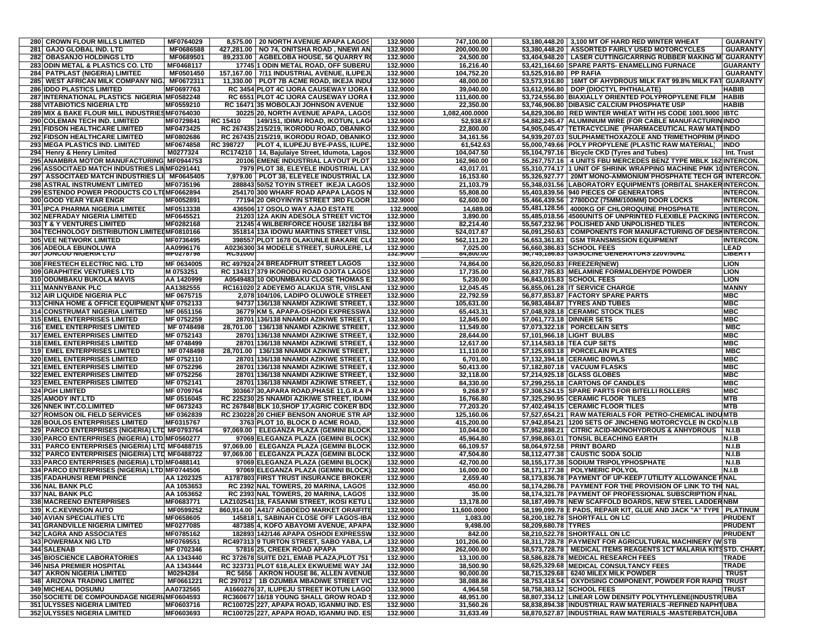| 280 CROWN FLOUR MILLS LIMITED                                                                | MF0764029              |                 | 8.575.00 20 NORTH AVENUE APAPA LAGOS                                                   | 132.9000             | 747,100.00             |                           | 53,180,448.20   3,100 MT OF HARD RED WINTER WHEAT                                                                                    | <b>GUARANTY</b>                  |
|----------------------------------------------------------------------------------------------|------------------------|-----------------|----------------------------------------------------------------------------------------|----------------------|------------------------|---------------------------|--------------------------------------------------------------------------------------------------------------------------------------|----------------------------------|
| <b>GAJO GLOBAL IND. LTD</b><br>281                                                           | MF0686588              |                 | 427,281.00   NO 74, ONITSHA ROAD, NNEWI AN                                             | 132.9000             | 200,000.00             |                           | 53,380,448.20   ASSORTED FAIRLY USED MOTORCYCLES                                                                                     | <b>GUARANTY</b>                  |
| <b>OBASANJO HOLDINGS LTD</b><br>282                                                          | MF0689501              |                 | 89,233.00   AGBELOBA HOUSE, 56 QUARRY RO                                               | 132.9000             | 24,500.00              |                           | 53,404,948.20   LASER CUTTING/CARRING RUBBER MAKING M                                                                                | <b>GUARANTY</b>                  |
| 283 ODIN METAL & PLASTICS CO. LTD                                                            | MF0468117              |                 | 17745 1 ODIN METAL ROAD, OFF SUBERU                                                    | 132.9000             | 16,216.40              |                           | 53,421,164.60 SPARE PARTS- ENAMELLING FURNACE                                                                                        | GUARANTY                         |
| 284 PATPLAST (NIGERIA) LIMITED                                                               | MF0501450              |                 | 157,167.00   7/11 INDUSTRIAL AVENUE, ILUPEJU                                           | 132.9000             | 104,752.20             | 53,525,916.80 PP RAFIA    |                                                                                                                                      | <b>GUARANTY</b>                  |
| 285<br>WEST AFRICAN MILK COMPANY NIG.                                                        | MF0672311              |                 | 11,330.00   PLOT 7B ACME ROAD, IIKEJA INDU                                             | 132.9000             | 48,000.00              |                           | 53,573,916.80   16MT OF AHYDROUS MILK FAT 99.8% MILK FAT                                                                             | <b>GUARANTY</b>                  |
| <b>286 IDDO PLASTICS LIMITED</b>                                                             | MF0697763              |                 | RC 3454 PLOT 4C IJORA CAUSEWAY IJORA                                                   | 132.9000             | 39,040.00              |                           | 53,612,956.80   DOP (DIOCTYL PHTHALATE)                                                                                              | HABIB                            |
| 287 INTERNATIONAL PLASTICS NIGERIA MF0582248                                                 |                        |                 | RC 6551 PLOT 4C IJORA CAUSEWAY IJORA                                                   | 132.9000             | 111,600.00             |                           | 53,724,556.80 BIAXIALLY ORIENTED POLYPROPYLENE FILM                                                                                  | HABIB                            |
| <b>288 VITABIOTICS NIGERIA LTD</b>                                                           | MF0559210              |                 | RC 16471 35 MOBOLAJI JOHNSON AVENUE                                                    | 132.9000             | 22,350.00              |                           | 53.746.906.80 DIBASIC CALCIUM PHOSPHATE USP                                                                                          | HABIB                            |
| 289 MIX & BAKE FLOUR MILL INDUSTRIES MF0764030                                               |                        |                 | 30225 20, NORTH AVENUE APAPA, LAGOS                                                    | 132.9000             | 1,082,400.0000         |                           | 54,829,306.80 RED WINTER WHEAT WITH HS CODE 1001.9000                                                                                | <b>IBTC</b>                      |
| <b>290 COLEMAN TECH IND. LIMITED</b>                                                         | MF0729841              | <b>RC 15410</b> | 149/151, IDIMU ROAD, IKOTUN, LAG                                                       | 132.9000             | 52,938.67              |                           | 54,882,245.47 ALUMINIUM WIRE (FOR CABLE MANUFACTURIN INDO                                                                            |                                  |
| 291 FIDSON HEALTHCARE LIMITED                                                                | MF0473425              |                 | RC 267435 215/219, IKORODU ROAD, OBANIKO                                               | 132.9000             | 22,800.00              |                           | 54,905,045.47  TETRACYCLINE (PHARMACEUTICAL RAW MATHINDO                                                                             |                                  |
| 292 FIDSON HEALTHCARE LIMITED                                                                | MF0802686              |                 | RC 267435 215/219, IKORODU ROAD, OBANIKO                                               | 132.9000             | 34,161.56              |                           | 54,939,207.03 SULPHAMETHOXAZOLE AND TRIMETHOPRIM (PINDO                                                                              |                                  |
| 293 MEGA PLASTICS IND. LIMITED                                                               | MF0674858              | RC 398727       | <b>PLOT 4, ILUPEJU BYE-PASS, ILUPE,</b>                                                | 132.9000             | 61,542.63              |                           | 55,000,749.66 POLY PROPYLENE (PLASTIC RAW MATERIAL)                                                                                  | <b>INDO</b>                      |
| 294 Henry & Henry Limited                                                                    | M0277324               |                 | RC174210   14, Bajulaiye Street, Idumota, Lagos                                        | 132.9000             | 104,047.50             |                           | 55,104,797.16   Bicycle CKD (Tyres and Tubes)                                                                                        | Int. Trust                       |
| 295 ANAMBRA MOTOR MANUFACTURING MF0944753                                                    |                        |                 | 20106 EMENE INDUSTRIAL LAYOUT PLOT                                                     | 132.9000             | 162,960.00             |                           | 55,267,757.16   4 UNITS FBU MERCEDES BENZ TYPE MBLK 162 INTERCON.<br>55.310.774.17 1 UNIT OF SHRINK WRAPPING MACHINE PMK 10INTERCON. |                                  |
| 296 ASSOCITAED MATCH INDUSTRIES LINMF0291441<br>297 ASSOCITAED MATCH INDUSTRIES LI MF0645405 |                        |                 | 7979 PLOT 38, ELEYELE INDUSTRIAL LAT<br>7,979.00 PLOT 38, ELEYELE INDUSTRIAL LA        | 132.9000<br>132.9000 | 43,017.01<br>16,153.60 |                           |                                                                                                                                      |                                  |
|                                                                                              |                        |                 |                                                                                        |                      |                        |                           | 55,326,927.77   20MT MONO-AMMONIUM PHOSPHATE TECH GR INTERCON.                                                                       |                                  |
| 298 ASTRAL INSTRUMENT LIMITED<br>299 ESTENDO POWER PRODUCTS CO LTIMF0662894                  | MF0735196              |                 | 288843 50/52 TOYIN STREET IKEJA LAGOS<br>254170 300 WHARF ROAD APAPA LAGOS N           | 132.9000<br>132.9000 | 21,103.79<br>55,808.00 |                           | 55,348,031.56 LABORATORY EQUIPMENTS (ORBITAL SHAKERINTERCON.                                                                         | <b>INTERCON.</b>                 |
| 300 GOOD YEAR YEAR ENGR                                                                      | MF0052891              |                 | 77194 20 OROYINYIN STREET 3RD FLOOR                                                    | 132.9000             | 62,600.00              |                           | 55,403,839.56 940 PIECES OF GENERATORS<br>55,466,439.56   2780DOZ (75MM/100MM) DOOR LOCKS                                            | INTERCON.                        |
|                                                                                              |                        |                 |                                                                                        |                      |                        |                           |                                                                                                                                      |                                  |
| <b>301 IPCA PHARMA NIGERIA LIMITED</b><br>302 NEFRADAY NIGERIA LIMITED                       | MF0513338<br>MF0645521 |                 | 436506 17 OSOLO WAY AJAO ESTATE<br>21203 12A AKIN ADESOLA STREET VICTOI                | 132.9000<br>132.9000 | 14,689.00<br>3,890.00  |                           | 55,481,128.56   4000KG OF CHLOROQUINE PHOSPHATE<br>55,485,018.56 4500UNITS OF UNPRINTED FLEXIBLE PACKING INTERCON.                   | <b>INTERCON.</b>                 |
| 303 T & Y VENTURES LIMITED                                                                   | MF0282168              |                 | 21245 4 WILBERFORCE HOUSE 182/184 BR                                                   | 132.9000             | 82,214.40              |                           | 55,567,232.96   POLISHED AND UNPOLISHED TILES                                                                                        | <b>INTERCON.</b>                 |
| 304 TECHNOLOGY DISTRIBUTION LIMITED MF0810166                                                |                        |                 | 351814 13A IDOWU MARTINS STREET V/ISL                                                  | 132.9000             | 524,017.67             |                           | 56,091,250.63 COMPONENTS FOR MANUFACTURING OF DESHINTERCON.                                                                          |                                  |
| 305 VEE NETWORK LIMITED                                                                      | MF0736495              |                 | 398557 PLOT 1678 OLAKUNLE BAKARE CL(                                                   | 132.9000             | 562,111.20             |                           | 56,653,361.83 GSM TRANSMISSION EQUIPMENT                                                                                             | <b>INTERCON.</b>                 |
| 306 ADEOLA EBUNOLUWA                                                                         | AA0996176              |                 | A0236300 34 MODELE STREET, SURULERE, L                                                 | 132.9000             | 7,025.00               |                           | 56,660,386.83 SCHOOL FEES                                                                                                            | .EAD                             |
| <b>307 JUNGUD NIGERIA LTD</b>                                                                | <b>MLAS10190</b>       | <b>RCOTUUU</b>  |                                                                                        | 122.9000             | 04,0UU.UU              |                           | 36,743,166.63 GASULINE GENERATURS ZZUV/3UHZ                                                                                          | <u>ו ה</u> ספר.                  |
| 308 FRESTECH ELECTRIC NIG. LTD                                                               | MF 0634005             |                 | RC 497924 24 BREADFRUIT STREET LAGOS                                                   | 132.9000             | 74,864.00              |                           | 56,820,050.83 FREEZER(NEW)                                                                                                           | LION                             |
| <b>309 GRAPHITEK VENTURES LTD</b>                                                            | M 0753251              |                 | RC 134317 379 IKORODU ROAD OJOTA LAGOS                                                 | 132.9000             | 17,735.00              |                           | 56.837.785.83 MELAMINE FORMALDEHYDE POWDER                                                                                           | <b>JON</b>                       |
| 310 ODUMBAKU BUKOLA MAVIS                                                                    | AA 1420999             |                 | A0549483 10 ODUNMBAKU CLOSE THOMAS E                                                   | 132.9000             | 5,230.00               |                           | 56,843,015.83 SCHOOL FEES                                                                                                            | LION                             |
| <b>311 MANNYBANK PLC</b>                                                                     | AA1382555              |                 | RC161020 2 ADEYEMO ALAKIJA STR, V/ISLANI                                               | 132.9000             | 12,045.45              |                           | 56,855,061.28 IT SERVICE CHARGE                                                                                                      | <b>MANNY</b>                     |
| 312 AIR LIQUIDE NIGERIA PLC                                                                  | MF 0675715             |                 | 2,078 104/106, LADIPO OLUWOLE STREET                                                   | 132.9000             | 22,792.59              |                           | 56,877,853.87 FACTORY SPARE PARTS                                                                                                    | мвс                              |
| 313 CHINA HOME & OFFICE EQUIPMENT NMF 0752133                                                |                        |                 | 94737 136/138 NNAMDI AZIKIWE STREET.                                                   | 132.9000             | 105,631.00             |                           | 56,983,484.87 TYRES AND TUBES                                                                                                        | мвс                              |
| 314 CONSTRUMAT NIGERIA LIMITED                                                               | MF 0651156             |                 | 36779 KM 5, APAPA-OSHODI EXPRESSWA                                                     | 132.9000             | 65,443.31              |                           | 57,048,928.18 CERAMIC STOCK TILES                                                                                                    | мвс                              |
| <b>315 EMEL ENTERPRISES LIMITED</b>                                                          | MF 0752259             |                 | 28701 136/138 NNAMDI AZIKIWE STREET,                                                   | 132.9000             | 12,845.00              | 57,061,773.18 DINNER SETS |                                                                                                                                      | мвс                              |
| 316 EMEL ENTERPRISES LIMITED                                                                 | MF 0748498             | 28,701.00       | 136/138 NNAMDI AZIKIWE STREET                                                          | 132.9000             | 11,549.00              |                           | 57,073,322.18   PORCELAIN SETS                                                                                                       | <b>MBC</b>                       |
| <b>317 EMEL ENTERPRISES LIMITED</b>                                                          | MF 0752143             |                 | 28701 136/138 NNAMDI AZIKIWE STREET,                                                   | 132.9000             | 28,644.00              |                           | 57,101,966.18 LIGHT BULBS                                                                                                            | МВС                              |
| 318 EMEL ENTERPRISES LIMITED                                                                 | MF 0748499             |                 | 28701 136/138 NNAMDI AZIKIWE STREET,                                                   | 132.9000             | 12,617.00              |                           | 57,114,583.18 TEA CUP SETS                                                                                                           | МВС                              |
| 319 EMEL ENTERPRISES LIMITED                                                                 | MF 0748498             | 28,701.00       | 136/138 NNAMDI AZIKIWE STREET                                                          | 132.9000             | 11,110.00              |                           | 57,125,693.18   PORCELAIN PLATES                                                                                                     | <b>MBC</b>                       |
| 320 EMEL ENTERPRISES LIMITED                                                                 | MF 0752110             |                 | 28701 136/138 NNAMDI AZIKIWE STREET,                                                   | 132.9000             | 6,701.00               |                           | 57,132,394.18 CERAMIC BOWLS                                                                                                          | МВС                              |
| <b>321 EMEL ENTERPRISES LIMITED</b>                                                          | MF 0752296             |                 | 28701 136/138 NNAMDI AZIKIWE STREET,                                                   | 132.9000             | 50,413.00              |                           | 57,182,807.18   VACUUM FLASKS                                                                                                        | МВС                              |
| 322 EMEL ENTERPRISES LIMITED                                                                 | MF 0752256             |                 | 28701 136/138 NNAMDI AZIKIWE STREET,                                                   | 132.9000             | 32,118.00              |                           | 57,214,925.18 GLASS GLOBES                                                                                                           | МВС                              |
| 323 EMEL ENTERPRISES LIMITED                                                                 | MF 0752141             |                 | 28701 136/138 NNAMDI AZIKIWE STREET,                                                   | 132.9000             | 84,330.00              |                           | 57,299,255.18 CARTONS OF CANDLES                                                                                                     | MBC                              |
| <b>324 PGH LIMITED</b>                                                                       | MF 0709764             |                 | 303667 30, APARA ROAD, PHASE 11, G.R.A P                                               | 132.9000             | 9,268.97               |                           | 57,308,524.15 SPARE PARTS FOR BITELLI ROLLERS                                                                                        | MBC                              |
| 325 AMODY INT.LTD                                                                            | MF 0516045             |                 | RC 225230 25 NNAMDI AZIKIWE STREET, IDUM                                               | 132.9000             | 16,766.80              |                           | 57,325,290.95 CERAMIC FLOOR TILES                                                                                                    | MTB                              |
| <b>326 NNEK INT.CO.LIMITED</b>                                                               | MF 0673243             |                 | RC 267848 BLK 10, SHOP 17, AGRIC COKER BDG                                             | 132.9000             | 77,203.20              |                           | 57,402,494.15 CERAMIC FLOOR TILES                                                                                                    | МТВ                              |
| 327 ROMSON OIL FIELD SERVICES                                                                | MF 0362839             |                 | RC 230228 20 CHIEF BENSON ANORUE STR AP                                                | 132.9000             | 125,160.06             |                           | 57,527,654.21   RAW MATERIALS FOR PETRO-CHEMICAL INDUMTB                                                                             |                                  |
| <b>328 BOULOS ENTERPRISES LIMITED</b>                                                        | MF0315767              |                 | 3763 PLOT 10, BLOCK D ACME ROAD,                                                       | 132.9000             | 415,200.00             |                           | 57,942,854.21 1200 SETS OF JINCHENG MOTORCYCLE IN CKD N.I.B                                                                          |                                  |
| 329 PARCO ENTERPRISES (NIGERIA) LTD MF0793764                                                |                        |                 | 97,069.00   ELEGANZA PLAZA (GEMINI BLOCK                                               | 132.9000             | 10,044.00              |                           | 57,952,898.21 CITRIC ACID-MONOHYDROUS & ANHYDROUS                                                                                    | N.I.B                            |
| 330 PARCO ENTERPRISES (NIGERIA) LTD MF0560277                                                |                        |                 | 97069 ELEGANZA PLAZA (GEMINI BLOCK                                                     | 132.9000             | 45,964.80              |                           | 57,998,863.01 TONSIL BLEACHING EARTH                                                                                                 | N.I.B                            |
| 331 PARCO ENTERPRISES (NIGERIA) LTD MF0488715                                                |                        |                 | 97,069.00   ELEGANZA PLAZA (GEMINI BLOCK                                               | 132.9000             | 66,109.57              |                           | 58,064,972.58 PRINT BOARD                                                                                                            | <b>N.I.B</b>                     |
| 332 PARCO ENTERPRISES (NIGERIA) LTD MF0488722                                                |                        |                 | 97,069.00 ELEGANZA PLAZA (GEMINI BLOCK                                                 | 132.9000             | 47,504.80              |                           | 58,112,477.38   CAUSTIC SODA SOLID                                                                                                   | <b>N.I.B</b>                     |
| 333 PARCO ENTERPRISES (NIGERIA) LTD MF0488141                                                |                        |                 | 97069 ELEGANZA PLAZA (GEMINI BLOCK                                                     | 132.9000             | 42,700.00              |                           | 58,155,177.38 SODIUM TRIPOLYPHOSPHATE                                                                                                | N.I.B                            |
| 334 PARCO ENTERPRISES (NIGERIA) LTD MF0744506                                                |                        |                 | 97069 ELEGANZA PLAZA (GEMINI BLOCK                                                     | 132.9000             | 16,000.00              |                           | 58,171,177.38   POLYMERIC POLYOL                                                                                                     | N.I.B                            |
| 335 FADAHUNSI REMI PRINCE                                                                    | AA 1202325             |                 | A1787803 FIRST TRUST INSURANCE BROKER                                                  | 132.9000             | 2,659.40               |                           | 58,173,836.78 PAYMENT OF UP-KEEP / UTILITY ALLOWANCE FINAL                                                                           |                                  |
| 336 NAL BANK PLC                                                                             | AA 1053653             |                 | RC 2392 NAL TOWERS, 20 MARINA, LAGOS                                                   | 132.9000             | 450.00                 |                           | 58,174,286.78   PAYMENT FOR THE PROVISION OF LINK TO THE NAL                                                                         |                                  |
| 337 NAL BANK PLC<br><b>338 MACREENO ENTERPRISES</b>                                          | AA 1053652             |                 | RC 2393 NAL TOWERS, 20 MARINA, LAGOS                                                   | 132.9000             | 35.00                  |                           | 58,174,321.78 PAYMENT OF PROFESSIONAL SUBSCRIPTION FINAL                                                                             |                                  |
|                                                                                              | MF0683771              |                 | LAZ102541 18, FASANMI STREET, IKOSI KETU L<br>860,914.00 A41/7 AGBOEDO MARKET ORAIFITE | 132.9000             | 13,178.00              |                           | 58,187,499.78 NEW SCAFFOLD BOARDS, NEW STEEL LADDER NBM                                                                              |                                  |
| 339 K.C.KEVINSON AUTO                                                                        | MF0599252              |                 |                                                                                        | 132.9000             | 11,600.0000            |                           | 58,199,099.78 E PADS, REPAIR KIT, GLUE AND JACK "A" TYPE   PLATINUM                                                                  | <b>PRUDENT</b>                   |
| <b>340 AVIAN SPECIALITIES LTD</b>                                                            | MF0658605              |                 | 145818 1, SABINAH CLOSE OFF LAGOS-IBA                                                  | 132.9000             | 1,083.00               |                           | 58,200,182.78 SHORTFALL ON LC                                                                                                        |                                  |
| <b>341 GRANDVILLE NIGERIA LIMITED</b><br><b>342 LAGRA AND ASSOCIATES</b>                     | MF0277085<br>MF0785162 |                 | 487385 4, KOFO ABAYOMI AVENUE, APAPA<br>182893 142/146 APAPA OSHODI EXPRESSW           | 132.9000<br>132.9000 | 9,498.00               | 58,209,680.78 TYRES       | 58,210,522.78 SHORTFALL ON LC                                                                                                        | <b>PRUDENT</b><br><b>PRUDENT</b> |
| <b>343 POWERMAX NIG LTD</b>                                                                  | MF0769551              |                 | RC497313 9 TURTON STREET, SABO YABA, LA                                                | 132.9000             | 842.00<br>101,206.00   |                           | 58.311.728.78 PAYMENT FOR AGRICULTURAL MACHINERY (WISTB                                                                              |                                  |
| 344 SALENAB                                                                                  | MF 0702346             |                 | 57816 25, CREEK ROAD APAPA                                                             | 132.9000             | 262,000.00             |                           | 58,573,728.78   MEDICAL ITEMS REAGENTS 1CT MALARIA KITSSTD. CHART.                                                                   |                                  |
| 345 BIOSCIENCE LABORATORIES                                                                  | AA 1343440             |                 | RC 372678 SUITE D21, EMAB PLAZA, PLOT 751                                              | 132.9000             | 13,100.00              |                           | 58,586,828.78 MEDICAL RESEARCH FEES                                                                                                  | TRADE                            |
| <b>346 NISA PREMIER HOSPITAL</b>                                                             | AA 1343444             |                 | RC 323731 PLOT 618, ALEX EKWUEME WAY JA                                                | 132.9000             | 38,500.90              |                           | 58,625,329.68 MEDICAL CONSULTANCY FEES                                                                                               | TRADE                            |
| 347 AKRON NIGERIA LIMITED                                                                    | M0294284               |                 | RC 5656   AKRON HOUSE 86, ALLEN AVENUE                                                 | 132.9000             | 90,000.00              |                           | 58,715,329.68   6240 MILEX MILK POWDER                                                                                               | <b>TRUST</b>                     |
| <b>348 ARIZONA TRADING LIMITED</b>                                                           | MF0661221              |                 | RC 297012   1B OZUMBA MBADIWE STREET VIC                                               | 132.9000             | 38,088.86              |                           | 58,753,418.54   OXYDISING COMPONENT, POWDER FOR RAPID TRUST                                                                          |                                  |
| <b>349 MICHEAL DOSUMU</b>                                                                    | AA0732565              |                 | A1660276 37, ILUPEJU STREET IKOTUN LAGO                                                | 132.9000             | 4,964.58               |                           | 58,758,383.12 SCHOOL FEES                                                                                                            | TRUST                            |
| 350 SOCIETE DE COMPOUNDAGE NIGERI MF0604593                                                  |                        |                 | RC360677 16/18 YOUNG SHALL GROW ROAD S                                                 | 132.9000             | 48,951.00              |                           | 58,807,334.12 LINEAR LOW DENSITY POLYTHYLENE(INDUSTRUBA                                                                              |                                  |
| <b>351 ULYSSES NIGERIA LIMITED</b>                                                           | MF0603716              |                 | RC100725 227, APAPA ROAD, IGANMU IND. ESI                                              | 132.9000             | 31,560.26              |                           | 58,838,894.38 INDUSTRIAL RAW MATERIALS -REFINED NAPHTUBA                                                                             |                                  |
| <b>352 ULYSSES NIGERIA LIMITED</b>                                                           | MF0603693              |                 | RC100725 227, APAPA ROAD, IGANMU IND. ES                                               | 132.9000             | 31,633.49              |                           | 58,870,527.87 INDUSTRIAL RAW MATERIALS -MASTERBATCH, UBA                                                                             |                                  |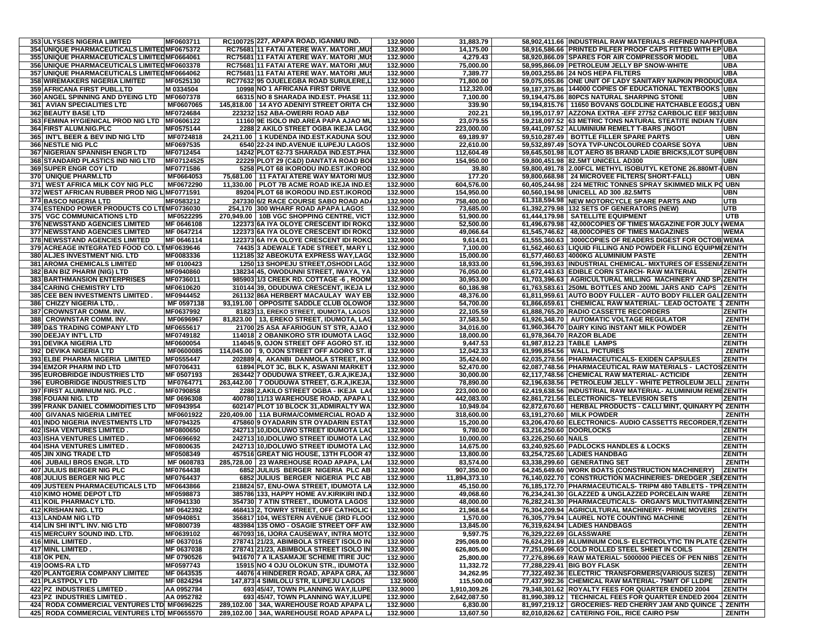| 353 ULYSSES NIGERIA LIMITED                  | MF0603711  |           | RC100725 227, APAPA ROAD, IGANMU IND.       | 132.9000 | 31,883.79     |                     | 58,902,411.66 INDUSTRIAL RAW MATERIALS -REFINED NAPHTUBA        |               |
|----------------------------------------------|------------|-----------|---------------------------------------------|----------|---------------|---------------------|-----------------------------------------------------------------|---------------|
| 354 UNIQUE PHARMACEUTICALS LIMITED MF0675372 |            |           | RC75681 11 FATAI ATERE WAY. MATORI , MUS    | 132.9000 | 14,175.00     |                     | 58,916,586.66 PRINTED PILFER PROOF CAPS FITTED WITH EP UBA      |               |
| 355 UNIQUE PHARMACEUTICALS LIMITED MF0664061 |            |           | RC75681 11 FATAI ATERE WAY. MATORI , MUS    | 132.9000 | 4,279.43      |                     | 58,920,866.09 SPARES FOR AIR COMPRESSOR MODEL                   | <b>UBA</b>    |
|                                              |            |           |                                             |          | 75.000.00     |                     |                                                                 |               |
| 356 UNIQUE PHARMACEUTICALS LIMITED MF0603378 |            |           | RC75681 11 FATAI ATERE WAY. MATORI , MUS    | 132.9000 |               |                     | 58,995,866.09 PETROLEUM JELLY BP SNOW-WHITE                     | <b>UBA</b>    |
| 357 UNIQUE PHARMACEUTICALS LIMITED MF0664062 |            |           | RC75681 11 FATAI ATERE WAY. MATORI ,MUS     | 132.9000 | 7,389.77      |                     | 59,003,255.86 24 NOS HEPA FILTERS                               | <b>UBA</b>    |
| 358 WIREMAKERS NIGERIA LIMITED               | MF0525130  |           | RC77632 95 OJUELEGBA ROAD SURULERE,L        | 132.9000 | 71,800.00     |                     | 59,075,055.86 ONE UNIT OF LADY SANITARY NAPKIN PRODUCUBA        |               |
| 359 AFRICANA FIRST PUBL.LTD                  | M 0334504  |           | 10998 NO 1 AFRICANA FIRST DRIVE             | 132.9000 | 112,320.00    |                     | 59.187.375.86 144000 COPIES OF EDUCATIONAL TEXTBOOKS UBN        |               |
| 360 ANGEL SPINNING AND DYEING LTD            | MF0607378  |           | 66315 NO 8 SHARADA IND.EST. PHASE 11        | 132.9000 | 7,100.00      |                     | 59,194,475.86 80PCS NATURAL SHARPING STONE                      | <b>UBN</b>    |
| <b>361 AVIAN SPECIALITIES LTD</b>            | MF0607065  |           | 145,818.00   14 AYO ADENIYI STREET ORITA CH | 132.9000 | 339.90        |                     | 59,194,815.76   11650 BOVANS GOLDLINE HATCHABLE EGGS,2 UBN      |               |
| <b>362 BEAUTY BASE LTD</b>                   | MF0724684  |           | 223232 152 ABA-OWERRI ROAD ABA              | 132.9000 | 202.21        |                     | 59.195.017.97 AZZONA EXTRA - EFF 27752 CARBOLIC EEF 9833UBN     |               |
| 363 FEMINA HYGIENICAL PROD NIG LTD           | MF0606122  |           | 11160 9E ISOLO IND.AREA PAPA AJAO MU        | 132.9000 | 23,079.55     |                     | 59,218,097.52 63 METRIC TONS NATURAL STEATITE INDIAN TAUBN      |               |
| <b>364 FIRST ALUM.NIG.PLC</b>                | MF0575144  |           | 2288 2 AKILO STREET OGBA IKEJA LAGO         | 132.9000 | 223,000.00    |                     | 59,441,097.52 ALUMINIUM REMELT T-BARS ,INGOT                    | <b>UBN</b>    |
| 365 INT'L BEER & BEV IND NIG LTD             | MF0724818  |           | 24,211.00   1 KUDENDA IND.EST.KADUNA SOU    | 132.9000 | 69,189.97     |                     | 59,510,287.49   BOTTLE FILLER SPARE PARTS                       | <b>UBN</b>    |
| <b>366 NESTLE NIG PLC</b>                    | MF0697535  |           | 6540 22-24 IND.AVENUE ILUPEJU LAGOS         | 132.9000 | 22,610.00     |                     | 59.532.897.49 SOYA TVP-UNCOLOURED COARSE SOYA                   | <b>UBN</b>    |
| 367 NIGERIAN SPANNISH ENGR LTD               |            |           |                                             |          |               |                     |                                                                 |               |
|                                              | MF0712454  |           | 14242 PLOT 62-73 SHARADA IND.EST.PHA        | 132.9000 | 112,604.49    |                     | 59,645,501.98 ILOT AERO 85 BRAND LADIE BRICKS,ILOT SUPEUBN      |               |
| 368 STANDARD PLASTICS IND NIG LTD            | MF07124525 |           | 22229 PLOT 29 (C&D) DANTATA ROAD BOI        | 132.9000 | 154,950.00    |                     | 59,800,451.98 82.5MT UNICELL AD300                              | <b>UBN</b>    |
| 369 SUPER ENGR COY LTD                       | MF0771586  |           | 5258 PLOT 68 IKORODU IND.EST.IKOROD         | 132.9000 | 39.80         |                     | 59,800,491.78 2.00FCL METHYL ISOBUTYL KETONE 26.880MT-HUBN      |               |
| <b>370 UNIQUE PHARM.LTD</b>                  | MF0664053  |           | 75,681.00   11 FATAI ATERE WAY MATORI MUS   | 132.9000 | 177.20        |                     | 59,800,668.98 24 MICROVEE FILTERS( SHORT-FALL)                  | <b>UBN</b>    |
| 371<br><b>WEST AFRICA MILK COY NIG PLC</b>   | MF0672290  | 11.330.00 | PLOT 7B ACME ROAD IKEJA IND.E!              | 132.9000 | 604,576.00    |                     | 60,405,244.98   224 METRIC TONNES SPRAY SKIMMED MILK PO UBN     |               |
| 372 WEST AFRICAN RUBBER PROD NIG L MF0771591 |            |           | 89204 PLOT 68 IKORODU IND.EST.IKOROD        | 132.9000 | 154,950.00    |                     | 60,560,194.98 UNICELL AD 300 .82.5MTS                           | <b>UBN</b>    |
| 373 BASCO NIGERIA LTD                        | MF0583212  |           | 247330 6/2 RACE COURSE SABO ROAD AD/        | 132.9000 | 758,400.00    |                     | 61,318,594.98 NEW MOTORCYCLE SPARE PARTS AND                    | <b>UTB</b>    |
| 374 ESTENDO POWER PRODUCTS CO LTIMF0736030   |            |           | 254,170 300 WHARF ROAD APAPA LAGOS          | 132.9000 | 73,685.00     |                     | 61,392,279.98 132 SETS OF GENERATORS (NEW)                      | UTB           |
| 375 VGC COMMUNICATIONS LTD                   | MF0522295  |           | 270,949.00   10B VGC SHOPPING CENTRE, VICT  | 132.9000 | 51,900.00     |                     | 61,444,179.98   SATELLITE EQUIPMENT                             | <b>UTB</b>    |
| 376 NEWSSTAND AGENCIES LIMITED               | MF 0646108 |           | 122373 6A IYA OLOYE CRESCENT IDI ROKO       | 132.9000 | 52,500.00     |                     | 61,496,679.98   42,000COPIES OF TIMES MAGAZINE FOR JULY (WEMA   |               |
| 377 NEWSSTAND AGENCIES LIMITED               | MF 0647214 |           | 122373 6A IYA OLOYE CRESCENT IDI ROKO       | 132.9000 | 49,066.64     |                     | 61,545,746.62   48,000COPIES OF TIMES MAGAZINES                 | <b>WEMA</b>   |
| 378 NEWSSTAND AGENCIES LIMITED               | MF 0646114 |           | 122373 6A IYA OLOYE CRESCENT IDI ROKO       | 132.9000 | 9,614.01      |                     | 61,555,360.63 3000COPIES OF READERS DIGEST FOR OCTOB WEMA       |               |
|                                              |            |           |                                             |          |               |                     |                                                                 |               |
| 379 ACREAGE INTEGRATED FOOD CO. LTMF0639646  |            |           | 74435 3 ADEWALE TADE STREET, MARY L         | 132.9000 | 7,100.00      |                     | 61,562,460.63 LIQUID FILLING AND POWDER FILLING EQUIPMEZENITH   |               |
| 380 ALJES INVESTMENT NIG. LTD                | MF0083336  |           | 112185 32 ABEOKUTA EXPRESS WAY, LAGO        | 132.9000 | 15,000.00     |                     | 61,577,460.63 4000KG ALUMINIUM PASTE                            | <b>ZENITH</b> |
| 381 AROMA CHEMICALS LIMITED                  | MF 0100423 |           | 1250 13 SHOPEJU STREET, OSHODI LAGO         | 132.9000 | 18,933.00     |                     | 61,596,393.63 INDUSTRIAL CHEMICAL- MIXTURES OF ESSENIAZENITH    |               |
| 382 BAN BIZ PHARM (NIG) LTD                  | MF0940860  |           | 138234 45, OWODUNNI STREET, IWAYA, YA       | 132.9000 | 76,050.00     |                     | 61,672,443.63 EDIBLE CORN STARCH- RAW MATERIAL                  | <b>ZENITH</b> |
| <b>383 BARTHMANSION ENTERPRISES</b>          | MF0736011  |           | 985903 1/3 CREEK RD. COTTAGE -6, ROOM       | 132.9000 | 30,953.00     |                     | 61,703,396.63   AGRICULTURAL MILLING MACHINERY AND SPIZENITH    |               |
| <b>384 CARING CHEMISTRY LTD</b>              | MF0610620  |           | 310144 39, ODUDUWA CRESCENT, IKEJA L        | 132.9000 | 60,186.98     |                     | 61,763,583.61 250ML BOTTLES AND 200ML JARS AND CAPS             | <b>ZENITH</b> |
| 385 CEE BEN INVESTMENTS LIMITED.             | MF0944452  |           | 261132 86A HERBERT MACAULAY WAY EB          | 132.9000 | 48,376.00     |                     | 61,811,959.61 AUTO BODY FULLER - AUTO BODY FILLER GALIZENITH    |               |
| 386 CHIZZY NIGERIA LTD,                      | MF 0597138 |           | 93,191.00 OPPOSITE SADDLE CLUB OLOWOR       | 132.9000 | 54,700.00     |                     | 61,866,659.61 CHEMICAL RAW MATERIAL- LEAD OCTOATE 3 ZENITH      |               |
| 387 CROWNSTAR COMM. INV.                     | MF0637992  |           | 81823 13, EREKO STREET, IDUMOTA, LAGOS      | 132.9000 | 22,105.59     |                     | 61,888,765.20 RADIO CASSETTE RECORDERS                          | <b>ZENITH</b> |
| 388 CROWNSTAR COMM. INV.                     | MF0696967  |           | 81,823.00   13, EREKO STREET, IDUMOTA, LAG  | 132.9000 | 37,583.50     |                     | 61,926,348.70   AUTOMATIC VOLTAGE REGULATOR                     | <b>ZENITH</b> |
| <b>389 D&amp;S TRADING COMPANY LTD</b>       | MF0655617  |           | 21700 25 ASA AFARIOGUN ST STR, AJAO         | 132.9000 | 34,016.00     |                     | 61,960,364.70 DAIRY KING INSTANT MILK POWDER                    | <b>ZENITH</b> |
| 390 DEEJAY INT'L LTD                         | MF0749182  |           | 114018 2 OBANIKORO STR IDUMOTA LAGO         | 132.9000 | 18,000.00     |                     | 61,978,364.70 RAZOR BLADE                                       | <b>ZENITH</b> |
| <b>391 DEVIKA NIGERIA LTD</b>                | MF0600054  |           | 114045 9, OJON STREET OFF AGORO ST. ID      | 132.9000 | 9,447.53      |                     | 61,987,812.23 TABLE LAMPS                                       | <b>ZENITH</b> |
| 392 DEVIKA NIGERIA LTD                       | MF0600085  |           | 114,045.00 9, OJON STREET OFF AGORO ST. II  | 132.9000 | 12,042.33     |                     | 61,999,854.56   WALL PICTURES                                   | <b>ZENITH</b> |
| 393 ELBE PHARMA NIGERIA LIMITED              | MF0555447  |           | 202889 4, AKANBI DANMOLA STREET, IKO        | 132.9000 | 35,424.00     |                     | 62,035,278.56 PHARMACEUTICALS- EXIDEN CAPSULES                  | <b>ZENITH</b> |
|                                              |            |           |                                             |          | 52,470.00     |                     |                                                                 |               |
| <b>394 EMZOR PHARM IND LTD</b>               | MF0706431  |           | 61894 PLOT 3C, BLK K, ASWANI MARKET         | 132.9000 |               |                     | 62,087,748.56 PHARMACEUTICAL RAW MATERIALS - LACTOS ZENITH      |               |
| 395 EUROBRIDGE INDUSTRIES LTD                | MF 0507193 |           | 263442 7 ODUDUWA STREET, G.R.A,IKEJA,       | 132.9000 | 30,000.00     |                     | 62,117,748.56 CHEMICAL RAW MATERIAL- ACTICIDE                   | <b>ZENITH</b> |
| 396 EUROBRIDGE INDUSTRIES LTD                | MF0764771  |           | 263,442.00   7 ODUDUWA STREET, G.R.A, IKEJA | 132.9000 | 78,890.00     |                     | 62,196,638.56 PETROLEUM JELLY - WHITE PETROLEUM JELL            | <b>ZENITH</b> |
| 397 FIRST ALUMINIUM NIG. PLC                 | MF0790858  |           | 2288 2,AKILO STREET OGBA - IKEJA LAO        | 132.9000 | 223,000.00    |                     | 62,419,638.56 INDUSTRIAL RAW MATERIAL- ALUMINIUM REMEZENITH     |               |
| 398 FOUANI NIG. LTD                          | MF 0696308 |           | 400780 11/13 WAREHOUSE ROAD, APAPA L        | 132.9000 | 442,083.00    |                     | 62,861,721.56 ELECTRONICS- TELEVISION SETS                      | ZENITH        |
| 399 FRANK DANIEL COMMODITIES LTD             | MF0943954  |           | 602147 PLOT 10 BLOCK 31, ADMIRALTY WA       | 132.9000 | 10,949.04     |                     | 62,872,670.60   HERBAL PRODUCTS - CALLI MINT, QUINARY PO ZENITH |               |
| 400 GIVANAS NIGERIA LIMITED                  | MF0601922  |           | 220,409.00   11A BURMA/COMMERCIAL ROAD A    | 132.9000 | 318,600.00    |                     | 63,191,270.60   MILK POWDER                                     | <b>ZENITH</b> |
| 401 INDO NIGERIA INVESTMENTS LTD             | MF0794325  |           | 475860 9 OYADARIN STR OYADARIN ESTAT        | 132.9000 | 15,200.00     |                     | 63,206,470.60 ELECTRONICS- AUDIO CASSETTS RECORDER, TZENITH     |               |
| <b>402 ISHA VENTURES LIMITED</b>             | MF0800650  |           | 242713 10, IDOLUWO STREET IDUMOTA LAG       | 132.9000 | 9,780.00      |                     | 63,216,250.60 DOORLOCKS                                         | <b>ZENITH</b> |
| <b>403 ISHA VENTURES LIMITED</b>             | MF0696692  |           | 242713 10, IDOLUWO STREET IDUMOTA LAG       | 132.9000 | 10,000.00     | 63,226,250.60 NAILS |                                                                 | <b>ZENITH</b> |
| 404 ISHA VENTURES LIMITED.                   | MF0800635  |           | 242713 10, IDOLUWO STREET IDUMOTA LAC       | 132.9000 | 14,675.00     |                     | 63,240,925.60 PADLOCKS HANDLES & LOCKS                          | <b>ZENITH</b> |
| <b>405 JIN XING TRADE LTD</b>                | MF0508349  |           | 457516 GREAT NIG HOUSE, 13TH FLOOR 47       | 132.9000 | 13,800.00     |                     | 63,254,725.60 LADIES HANDBAG                                    | <b>ZENITH</b> |
| JUBAILI BROS ENGR. LTD<br>406                | MF 0608783 |           | 285,728.00   23 WAREHOUSE ROAD APAPA, LAO   | 132.9000 | 83,574.00     |                     | 63,338,299.60 GENERATING SET                                    | <b>ZENITH</b> |
|                                              | MF0764438  |           |                                             | 132.9000 | 907,350.00    |                     | 64,245,649.60 WORK BOATS (CONSTRUCTION MACHINERY)               | <b>ZENITH</b> |
| <b>407 JULIUS BERGER NIG PLC</b>             |            |           | 6852 JULIUS BERGER NIGERIA PLC ABI          |          |               |                     |                                                                 |               |
| 408 JULIUS BERGER NIG PLC                    | MF0764437  |           | 6852 JULIUS BERGER NIGERIA PLC AB           | 132.9000 | 11,894,373.10 |                     | 76,140,022.70 CONSTRUCTION MACHINERIES- DREDGER ,SEFZENITH      |               |
| <b>409 JUSTEEN PHARMACEUTICALS LTD</b>       | MF0643866  |           | 218824 57, ENU-OWA STREET, IDUMOTA LA       | 132.9000 | 45,150.00     |                     | 76,185,172.70 PHARMACEUTICALS- TRIPM 480 TABLETS - TPRZENITH    |               |
| <b>410 KIMO HOME DEPOT LTD</b>               | MF0598873  |           | 385786 133, HAPPY HOME AV.KIRIKIRI IND.E    | 132.9000 | 49,068.60     |                     | 76.234.241.30 GLAZZED & UNGLAZZED PORCELAIN WARE                | <b>ZENITH</b> |
| 411 KOIL PHARMACY LTD.                       | MF0941330  |           | 354730 7 ATIN STREET IDUMOTA LAGOS          | 132.9000 | 48,000.00     |                     | 76,282,241.30 PHARMACEUTICALS- ORGAN'S MULTIVITAMINSZENITH      |               |
| 412 KRISHAN NIG. LTD                         | MF 0642392 |           | 468413 2, TOWRY STREET, OFF CATHOLIC        | 132.9000 | 21,968.64     |                     | 76,304,209.94 AGRICULTURAL MACHINERY- PRIME MOVERS              | <b>ZENITH</b> |
| 413 LANDAM NIG LTD                           | MF0940851  |           | 356817 104, WESTERN AVENUE (3RD FLOOI       | 132.9000 | 1,570.00      |                     | 76,305,779.94 LAUREL NOTE COUNTING MACHINE                      | <b>ZENITH</b> |
| 414 LIN SHI INT'L INV. NIG LTD               | MF0800739  |           | 483984 135 OMO - OSAGIE STREET OFF AW       | 132.9000 | 13,845.00     |                     | 76,319,624.94 LADIES HANDBAGS                                   | <b>ZENITH</b> |
| 415 MERCURY SOUND IND. LTD.                  | MF0639102  |           | 467093 16, IJORA CAUSEWAY, INTRA MOTO       | 132.9000 | 9,597.75      |                     | 76,329,222.69 GLASSWARE                                         | <b>ZENITH</b> |
| 416 MINL LIMITED.                            | MF 0637016 |           | 278741 21/23, ABIMBOLA STREET ISOLO INI     | 132.9000 | 295,069.00    |                     | 76,624,291.69 ALUMINIUM COILS- ELECTROLYTIC TIN PLATE (ZENITH   |               |
| 417 MINL LIMITED.                            | MF 0637038 |           | 278741 21/23, ABIMBOLA STREET ISOLO INI     | 132.9000 | 626,805.00    |                     | 77,251,096.69 COLD ROLLED STEEL SHEET IN COILS                  | <b>ZENITH</b> |
| 418 OK PEN,                                  | MF 0790526 |           | 941670 7 A ILASAMAJE SCHEME ITIRE JUCT      | 132.9000 | 25,800.00     |                     | 77,276,896.69 RAW MATERIAL- 5000000 PIECES OF PEN NIBS ZENITH   |               |
| 419 OOMS-RALTD                               | MF0597743  |           | 15915 NO 4 OJU OLOKUN STR., IDUMOTA         | 132.9000 | 11,332.72     |                     | 77,288,229.41 BIG BOY FLASK                                     | <b>ZENITH</b> |
| <b>420 PLANTGERIA COMPANY LIMITED</b>        | MF 0643535 |           | 44076 4 HINDERER ROAD, APAPA GRA, AR        | 132.9000 | 34,262.95     |                     | 77,322,492.36 ELECTRIC TRANSFORMERS(VARIOUS SIZES)              | <b>ZENITH</b> |
| <b>421 PLASTPOLY LTD</b>                     | MF 0824294 |           | 147,873 4 SIMILOLU STR, ILUPEJU LAGOS       | 132.9000 | 115,500.00    |                     | 77,437,992.36 CHEMICAL RAW MATERIAL-75M/T OF LLDPE              | <b>ZENITH</b> |
| 422 PZ INDUSTRIES LIMITED.                   | AA 0952784 |           | 693 45/47, TOWN PLANNING WAY, ILUPE         | 132.9000 | 1,910,309.26  |                     | 79,348,301.62 ROYALTY FEES FOR QUARTER ENDED 2004               | <b>ZENITH</b> |
| 423 PZ INDUSTRIES LIMITED.                   | AA 0952782 |           | 693 45/47, TOWN PLANNING WAY, ILUPE         | 132.9000 | 2,642,087.50  |                     | 81,990,389.12   TECHNICAL FEES FOR QUARTER ENDED 2004   ZENITH  |               |
| 424 RODA COMMERCIAL VENTURES LTD MF0696225   |            |           | 289,102.00 34A, WAREHOUSE ROAD APAPA L      | 132.9000 | 6,830.00      |                     | 81,997,219.12 GROCERIES-RED CHERRY JAM AND QUINCE J ZENITH      |               |
|                                              |            |           |                                             |          |               |                     |                                                                 |               |
| 425 RODA COMMERCIAL VENTURES LTD MF0655570   |            |           | 289,102.00 34A, WAREHOUSE ROAD APAPA LA     | 132.9000 | 13,607.50     |                     | 82,010,826.62 CATERING FOIL, RICE CAIRO PSM                     | <b>ZENITH</b> |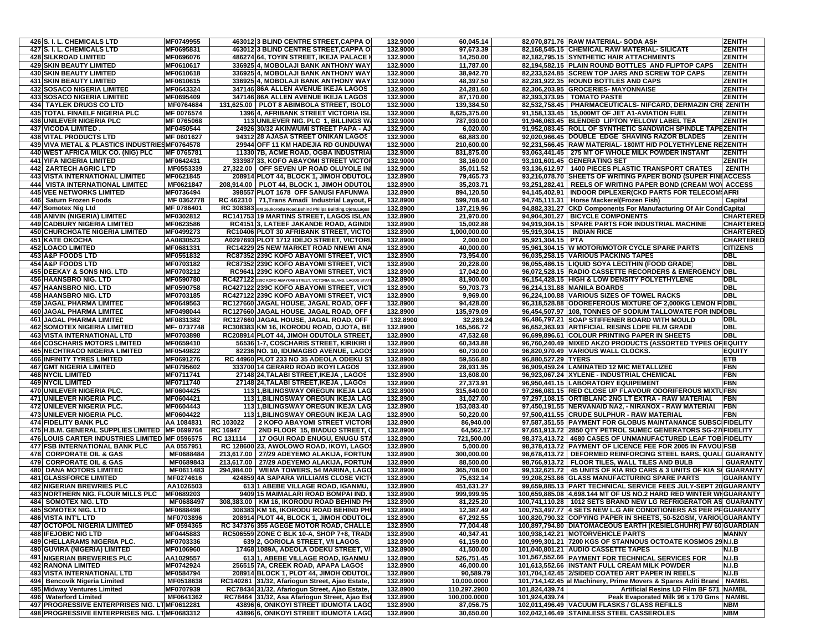| 426 S. I. L. CHEMICALS LTD                                                       | MF0749955               |                 | 463012 3 BLIND CENTRE STREET, CAPPA Of                                           | 132.9000             | 60,045.14               |                     | 82,070,871.76 RAW MATERIAL- SODA ASH                                                                                         | <b>ZENITH</b>         |
|----------------------------------------------------------------------------------|-------------------------|-----------------|----------------------------------------------------------------------------------|----------------------|-------------------------|---------------------|------------------------------------------------------------------------------------------------------------------------------|-----------------------|
| 427 S. I. L. CHEMICALS LTD                                                       | MF0695831               |                 | 463012 3 BLIND CENTRE STREET, CAPPA Of                                           | 132.9000             | 97,673.39               |                     | 82,168,545.15 CHEMICAL RAW MATERIAL- SILICATE                                                                                | <b>ZENITH</b>         |
| <b>428 SILKROAD LIMITED</b>                                                      | MF0696076               |                 | 486274 64, TOYIN STREET, IKEJA PALACE I                                          | 132.9000             | 14,250.00               |                     | 82,182,795.15 SYNTHETIC HAIR ATTACHMENTS                                                                                     | <b>ZENITH</b>         |
| <b>429 SKIN BEAUTY LIMITED</b>                                                   | MF0610617               |                 | 336925 4, MOBOLAJI BANK ANTHONY WAY                                              | 132.9000             | 11,787.00               |                     | 82.194.582.15 PLAIN ROUND BOTTLES AND FLIPTOP CAPS                                                                           | <b>ZENITH</b>         |
| <b>430 SKIN BEAUTY LIMITED</b>                                                   | MF0610618               |                 | 336925 4, MOBOLAJI BANK ANTHONY WAY                                              | 132.9000             | 38,942.70               |                     | 82,233,524.85 SCREW TOP JARS AND SCREW TOP CAPS                                                                              | <b>ZENITH</b>         |
| <b>431 SKIN BEAUTY LIMITED</b>                                                   | MF0610615               |                 | 336925 4, MOBOLAJI BANK ANTHONY WAY                                              | 132.9000             | 48,397.50               |                     | 82,281,922.35 ROUND BOTTLES AND CAPS                                                                                         | <b>ZENITH</b>         |
| <b>432 SOSACO NIGERIA LIMITED</b>                                                | MF0643324               |                 | 347146 86A ALLEN AVENUE IKEJA LAGOS                                              | 132.9000             | 24,281.60               |                     | 82,306,203.95 GROCERIES- MAYONNAISE                                                                                          | <b>ZENITH</b>         |
| <b>433 SOSACO NIGERIA LIMITED</b><br><b>434 TAYLEK DRUGS CO LTD</b>              | MF0695409<br>MF0764684  |                 | 347146 86A ALLEN AVENUE IKEJA LAGOS<br>131,625.00 PLOT 8 ABIMBOLA STREET, ISOLO  | 132.9000<br>132.9000 | 87,170.00<br>139,384.50 |                     | 82,393,373.95   TOMATO PASTE<br>82,532,758.45   PHARMACEUTICALS- NIFCARD, DERMAZIN CRE ZENITH                                | <b>ZENITH</b>         |
| 435 TOTAL FINAELF NIGERIA PLC                                                    | MF 0076574              |                 | 1396 4, AFRIBANK STREET VICTORIA ISL                                             | 132.9000             | 8,625,375.00            |                     | 91,158,133.45   15,000MT OF JET A1-AVIATION FUEL                                                                             | ZENITH                |
| 436 UNILEVER NIGERIA PLC                                                         | MF 0765068              |                 | 113 UNILEVER NIG. PLC 1, BILLINGS WA                                             | 132.9000             | 787,930.00              |                     | 91,946,063.45 BLENDED LIPTON YELLOW LABEL TEA                                                                                | ZENITH                |
| <b>437 VICODA LIMITED</b>                                                        | MF0450544               |                 | 24926 30/32 AKINWUMI STREET PAPA - AJ                                            | 132.9000             | 6,020.00                |                     | 91,952,083.45 ROLL OF SYNTHETIC SANDWICH SPINDLE TAPEZENITH                                                                  |                       |
| <b>438 VITAL PRODUCTS LTD</b>                                                    | MF 0601627              |                 | 94312 28 AJASA STREET ONIKAN LAGOS                                               | 132.9000             | 68,883.00               |                     | 92,020,966.45 DOUBLE EDGE SHAVING RAZOR BLADES                                                                               | ZENITH                |
| 439 VIVA METAL & PLASTICS INDUSTRIES MF0764578                                   |                         |                 | 29944 OFF 11 KM HADEJIA RD GUNDUWAY                                              | 132.9000             | 210,600.00              |                     | 92,231,566.45 RAW MATERIAL-180MT H/D POLYETHYLENE REZENITH                                                                   |                       |
| 440 WEST AFRICA MILK CO. (NIG) PLC                                               | MF 0765781              |                 | 11330 7B, ACME ROAD, OGBA INDUSTRIA                                              | 132.9000             | 831,875.00              |                     | 93,063,441.45   275 MT OF WHOLE MILK POWDER INSTANT                                                                          | <b>ZENITH</b>         |
| <b>441 YIFA NIGERIA LIMITED</b>                                                  | MF0642431               |                 | 333987 33, KOFO ABAYOMI STREET VICTOR                                            | 132.9000             | 38,160.00               |                     | 93,101,601.45 GENERATING SET                                                                                                 | <b>ZENITH</b>         |
| 442 ZARTECH AGRIC LT'D                                                           | MF0553339               |                 | 27,322.00 OFF SEVEN UP ROAD OLUYOLE INI                                          | 132.9000             | 35,011.52               |                     | 93,136,612.97   1400 PIECES PLASTIC TRANSPORT CRATES                                                                         | <b>ZENITH</b>         |
| <b>443 VISTA INTERNATIONAL LIMITED</b>                                           | MF0621845               |                 | 208914 PLOT 44, BLOCK 1, JIMOH ODUTOL.                                           | 132.8900             | 79,465.73               |                     | 93,216,078.70 SHEETS OF WRITING PAPER BOND (SUPER FINIACCESS                                                                 |                       |
| <b>444 VISTA INTERNATIONAL LIMITED</b>                                           | MF0621847               |                 | 208,914.00   PLOT 44, BLOCK 1, JIMOH ODUTOL                                      | 132.8900             | 35.203.71               |                     | 93,251,282.41   REELS OF WRITING PAPER BOND (CREAM WOV ACCESS                                                                |                       |
| <b>445 VEE NETWORKS LIMITED</b>                                                  | MF0736494               |                 | 398557 PLOT 1678 OFF SANUSI FAFUNWA                                              | 132.8900             | 894,120.50              |                     | 94,145,402.91   INDOOR DIPLEXER(CKD PARTS FOR TELECOM AFRI                                                                   |                       |
| 446 Saturn Frozen Foods                                                          | MF 0362778              |                 | RC 462310   71, Trans Amadi Industrial Layout, F                                 | 132.8900             | 599,708.40              |                     | 94,745,111.31   Horse Mackerel(Frozen Fish)                                                                                  | Capital               |
| 447 Somotex Nig Ltd<br>448 ANIVIN (NIGERIA) LIMITED                              | MF 0786401              |                 | RC 308383 KM 16, Ikorodu Road, Behind Philips Building, Ojota, Lagos             | 132.8900             | 137,219.96              |                     | 94,882,331.27 CKD Components For Manufacturing Of Air Cond Capital                                                           | <b>CHARTERED</b>      |
| <b>449 CADBURY NIGERIA LIMITED</b>                                               | MF0302812<br>MF0623586  |                 | RC141753 19 MARTINS STREET, LAGOS ISLAN<br>RC4151 3, LATEEF JAKANDE ROAD, AGINDI | 132.8900<br>132.8900 | 21,970.00<br>15,002.88  |                     | 94,904,301.27   BICYCLE COMPONENTS<br>94,919,304.15   SPARE PARTS FOR INDUSTRIAL MACHINE                                     | <b>CHARTERED</b>      |
| <b>450 CHURCHGATE NIGERIA LIMITED</b>                                            | MF0499273               |                 | RC10406 PLOT 30 AFRIBANK STREET, VICTO                                           | 132.8900             | 1,000,000.00            |                     | 95,919,304.15   INDIAN RICE                                                                                                  | <b>CHARTERED</b>      |
| <b>451 KATE OKOCHA</b>                                                           | AA0830523               |                 | A0297693 PLOT 1712 IDEJO STREET, VICTORIA                                        | 132.8900             | 2,000.00                | 95,921,304.15   PTA |                                                                                                                              | <b>CHARTERED</b>      |
| 452 LOACO LIMITED                                                                | MF0681331               |                 | RC14229 25 NEW MARKET ROAD NNEWI ANA                                             | 132.8900             | 40,000.00               |                     | 95,961,304.15 W MOTOR/MOTOR CYCLE SPARE PARTS                                                                                | <b>CITIZENS</b>       |
| 453 A&P FOODS LTD                                                                | MF0551832               |                 | RC87352 239C KOFO ABAYOMI STREET, VIC                                            | 132.8900             | 73,954.00               |                     | 96,035,258.15 VARIOUS PACKING TAPES                                                                                          | <b>DBL</b>            |
| 454 A&P FOODS LTD                                                                | MF0703182               |                 | RC87352 239C KOFO ABAYOMI STREET, VICT                                           | 132.8900             | 20,228.00               |                     | 96,055,486.15 LIQUID SOYA LECITHIN (FOOD GRADE)                                                                              | <b>DBL</b>            |
| 455 DEEKAY & SONS NIG. LTD                                                       | MF0703212               |                 | RC9641 239C KOFO ABAYOMI STREET, VICT                                            | 132.8900             | 17,042.00               |                     | 96,072,528.15 RADIO CASSETTE RECORDERS & EMERGENCY DBL                                                                       |                       |
| 456 HAANSBRO NIG. LTD                                                            | MF0590780               |                 | RC427122 239C KOFO ABAYOMI STREET, VICTORIA ISLAND, LAGOS STATI                  | 132.8900             | 81,900.00               |                     | 96,154,428.15 HIGH & LOW DENSITY POLYETHYLENE                                                                                | <b>DBL</b>            |
| 457 HAANSBRO NIG. LTD                                                            | MF0590758               |                 | RC427122 239C KOFO ABAYOMI STREET, VIC                                           | 132.8900             | 59,703.73               |                     | 96,214,131.88 MANILA BOARDS                                                                                                  | <b>DBL</b>            |
| <b>458 HAANSBRO NIG. LTD</b>                                                     | MF0703185               |                 | RC427122 239C KOFO ABAYOMI STREET, VIC                                           | 132.8900             | 9,969.00                |                     | 96,224,100.88 VARIOUS SIZES OF TOWEL RACKS                                                                                   | <b>DBL</b>            |
| 459 JAGAL PHARMA LIMITED                                                         | MF0649563               |                 | RC127660 JAGAL HOUSE, JAGAL ROAD, OFF                                            | 132.8900             | 94,428.00               |                     | 96,318,528.88 ODOREFEROUS MIXTURE OF 2,000KG LEMON FIDBL                                                                     |                       |
| 460 JAGAL PHARMA LIMITED                                                         | MF0498044               |                 | RC127660 JAGAL HOUSE, JAGAL ROAD, OFF                                            | 132.8900             | 135,979.09              |                     | 96,454,507.97 108, TONNES OF SODIUM TALLOWATE FOR INDIDBL                                                                    |                       |
| <b>461 JAGAL PHARMA LIMITED</b><br><b>462 SOMOTEX NIGERIA LIMITED</b>            | MF0831382               |                 | RC127660 JAGAL HOUSE, JAGAL ROAD, OFF<br>RC308383 KM 16, IKORODU ROAD, OJOTA, BE | 132.8900             | 32,289.2<br>165,566.72  |                     | 96,486,797.21 SOAP STIFFENER BOARD WITH MOULD                                                                                | DBL<br><b>DBL</b>     |
| <b>463 VISTA INTERNATIONAL LTD</b>                                               | MF-0737748<br>MF0703898 |                 | RC208914 PLOT 44, JIMOH ODUTOLA STREET.                                          | 132.8900<br>132.8900 | 47,532.68               |                     | 96,652,363.93 ARTIFICIAL RESINS LDPE FILM GRADE<br>96,699,896.61 COLOUR PRINTING PAPER IN SHEETS                             | <b>DBI</b>            |
| <b>464 COSCHARIS MOTORS LIMITED</b>                                              | MF0659410               |                 | 56536 1-7, COSCHARIS STREET, KIRIKIRI II                                         | 132.8900             | 60,343.88               |                     | 96,760,240.49 MIXED AKZO PRODUCTS (ASSORTED TYPES OF EQUITY                                                                  |                       |
| <b>465 NECHTRACO NIGERIA LIMITED</b>                                             | MF0549822               |                 | 82236 NO. 10, IDUMAGBO AVENUE, LAGOS                                             | 132.8900             | 60,730.00               |                     | 96,820,970.49 VARIOUS WALL CLOCKS.                                                                                           | <b>EQUITY</b>         |
| <b>466 INFINITY TYRES LIMITED</b>                                                | MF0691276               |                 | RC 44960 PLOT 233 NO 35 ADEOLA ODEKUS                                            | 132.8900             | 59,556.80               | 96,880,527.29 TYERS |                                                                                                                              | <b>ETB</b>            |
| <b>467 GMT NIGERIA LIMITED</b>                                                   | MF0795602               |                 | 333700 14 GERARD ROAD IKOYI LAGOS                                                | 132.8900             | 28,931.95               |                     | 96,909,459.24 LAMINATED 12 MIC METALLIZED                                                                                    | <b>FBN</b>            |
| <b>468 NYCIL LIMITED</b>                                                         | MF0711741               |                 | 27148 24, TALABI STREET, IKEJA, LAGOS                                            | 132.8900             | 13,608.00               |                     | 96,923,067.24 XYLENE - INDUSTRIAL CHEMICAL                                                                                   | <b>FBN</b>            |
| <b>469 NYCIL LIMITED</b>                                                         | MF0711740               |                 | 27148 24, TALABI STREET, IKEJA, LAGOS                                            | 132.8900             | 27,373.91               |                     | 96,950,441.15 LABORATORY EQUIPEMENT                                                                                          | <b>FBN</b>            |
| 470 UNILEVER NIGERIA PLC.                                                        | MF0604425               |                 | 113 1, BILINGSWAY OREGUN IKEJA LAG                                               | 132.8900             | 315,640.00              |                     | 97,266,081.15 RED CLOSE UP FLAVOUR ODORIFEROUS MIXTUFBN                                                                      |                       |
| 471 UNILEVER NIGERIA PLC.                                                        | MF0604421               |                 | 113 1, BILINGSWAY OREGUN IKEJA LAG                                               | 132.8900             | 31,027.00               |                     | 97,297,108.15 ORTIBLANC 2NG LT EXTRA - RAW MATERIAL                                                                          | <b>FBN</b>            |
| 472 UNILEVER NIGERIA PLC.                                                        | <b>MF0604443</b>        |                 | 113 1, BILINGSWAY OREGUN IKEJA LAG                                               | 132.8900             | 153,083.40              |                     | 97,450,191.55 NERVANAID NA2, - NIRANOX - RAW MATERIAI                                                                        | <b>FBN</b>            |
| 473 UNILEVER NIGERIA PLC.                                                        | MF0604422               |                 | 113 1, BILINGSWAY OREGUN IKEJA LAG                                               | 132.8900             | 50,220.00               |                     | 97,500,411.55 CRUDE SULPHUR - RAW MATERIAL                                                                                   | <b>FBN</b>            |
| <b>474 FIDELITY BANK PLC</b>                                                     | AA 1084831              | RC 103022       | 2 KOFO ABAYOMI STREET VICTORI                                                    | 132.8900             | 86,940.00               |                     | 97,587,351.55 PAYMENT FOR GLOBUS MAINTANANCE SUBSCIFIDELITY                                                                  |                       |
| 475 H.B.M. GENERAL SUPPLIES LIMITED   MF 0699764                                 |                         | <b>RC 16947</b> | 2ND FLOOR 15, BIADUO STREET, 0                                                   | 132.8900             | 64,562.17               |                     | 97,651,913.72 2850 QTY PETROL SUMEC GENERATORS SG-27 FIDELITY                                                                |                       |
| 476 LOUIS CARTER INDUSTRIES LIMITED MF 0596575<br>477 FSB INTERNATIONAL BANK PLC | AA 0557951              | RC 131114       | 17 OGUI ROAD ENUGU, ENUGU STA<br>RC 128600 23, AWOLOWO ROAD, IKOYI, LAGOS        | 132.8900<br>132.8900 | 721,500.00<br>5,000.00  |                     | 98,373,413.72   4680 CASES OF UNMANUFACTURED LEAF TOB FIDELITY<br>98.378.413.72 PAYMENT OF LICENCE FEE FOR 2005 IN FAVOUIFSB |                       |
| 478 CORPORATE OIL & GAS                                                          | MF0688484               |                 | 213,617.00   27/29 ADEYEMO ALAKIJA, FORTUN                                       | 132.8900             | 300,000.00              |                     | 98,678,413.72   DEFORMED REINFORCING STEEL BARS, QUALI GUARANTY                                                              |                       |
| 479 CORPORATE OIL & GAS                                                          | MF0689843               |                 | 213,617.00   27/29 ADEYEMO ALAKIJA, FORTUN                                       | 132.8900             | 88,500.00               |                     | 98,766,913.72   FLOOR TILES, WALL TILES AND BULB                                                                             | <b>GUARANTY</b>       |
| <b>480 DANA MOTORS LIMITED</b>                                                   | MF0611483               |                 | 294,984.00   WEMA TOWERS, 54 MARINA, LAGO                                        | 132.8900             | 365,708.00              |                     | 99,132,621.72   45 UNITS OF KIA RIO CARS & 3 UNITS OF KIA SI GUARANTY                                                        |                       |
| <b>481 GLASSFORCE LIMITED</b>                                                    | MF0274616               |                 | 424859 4A SAPARA WILLIAMS CLOSE VICT                                             | 132.8900             | 75,632.14               |                     | 99,208,253.86 GLASS MANUFACTURING SPARE PARTS                                                                                | <b>GUARANTY</b>       |
| <b>482 NIGERIAN BREWRIES PLC</b>                                                 | AA1026503               |                 | 613 1 ABEBE VILLAGE ROAD, IGANMU,                                                | 132.8900             | 451,631.27              |                     | 99,659,885.13 PART TECHNICAL SERVICE FEES JULY-SEPT 20 GUARANTY                                                              |                       |
| 483 NORTHERN NIG. FLOUR MILLS PLC                                                | MF0689203               |                 | 9409 15 MAIMALARI ROAD BOMPAI IND.                                               | 132.8900             | 999,999.95              |                     | 100,659,885.08 4,698.144 MT OF US NO.2 HARD RED WINTER WHGUARANTY                                                            |                       |
| <b>484 SOMOTEX NIG. LTD</b>                                                      | MF0688497               |                 | 308,383.00   KM 16, IKORODU ROAD BEHIND PH                                       | 132.8900             | 81,225.20               |                     | 100,741,110.28   1012 SETS BRAND NEW LG REFRIGERATOR AS GUARANTY                                                             |                       |
| 485 SOMOTEX NIG. LTD                                                             | MF0688498               |                 | 308383 KM 16, IKORODU ROAD BEHIND PHI                                            | 132.8900             | 12,387.49               |                     | 100,753,497.77 4 SETS NEW L.G AIR CONDITIONERS AS PER PF GUARANTY                                                            |                       |
| <b>486 VISTA INT'L LTD</b>                                                       | MF0703896               |                 | 208914 PLOT 44, BLOCK 1, JIMOH ODUTOL/                                           | 132.8900             | 67,292.55               |                     | 100,820,790.32 COPYING PAPER IN SHEETS, 50-52GSM, VARIOUGUARANTY                                                             |                       |
| <b>487 OCTOPOL NIGERIA LIMITED</b>                                               | MF 0594365              |                 | RC 347376 355 AGEGE MOTOR ROAD, CHALLEI                                          | 132.8900             | 77,004.48               |                     | 100,897,794.80 DIATOMACEOUS EARTH (KESIELGHUHR) FW 60 GUARDIAN                                                               |                       |
| <b>488 IFEJOBIC NIG LTD</b>                                                      | MF0445883               |                 | RC506559 ZONE C BLK 10-A, SHOP 7+8, TRADE                                        | 132.8900             | 40,347.41               |                     | 100,938,142.21 MOTORVEHICLE PARTS                                                                                            | <b>MANNY</b>          |
| 489 CHELLARAMS NIGERIA PLC.                                                      | MF0703336               |                 | 639 2, GORIOLA STREET, V/I LAGOS.                                                | 132.8900             | 61,159.00               |                     | 100,999,301.21 7200 KGS OF STANNOUS OCTOATE KOSMOS 29 N.I.B                                                                  |                       |
| 490 GUVIRA (NIGERIA) LIMITED                                                     | MF0106960               |                 | 17468 1089A, ADEOLA ODEKU STREET, V/I                                            | 132.8900             | 41,500.00               |                     | 101,040,801.21 AUDIO CASSETTE TAPES                                                                                          | N.I.B                 |
| <b>491 NIGERIAN BREWERIES PLC</b><br><b>492 RANONA LIMITED</b>                   | AA1029557<br>MF0742924  |                 | 6131, ABEBE VILLAGE ROAD, IGANMU<br>256515 7A, CREEK ROAD, APAPA LAGOS           | 132.8900<br>132.8900 | 526,751.45<br>46,000.00 |                     | 101,567,552.66 PAYMENT FOR TECHNICAL SERVICES FOR<br>101,613,552.66 INSTANT FULL CREAM MILK POWDER                           | N.I.B<br><b>N.I.B</b> |
| 493 VISTA INTERNATIONAL LTD                                                      | MF0584794               |                 | 208914 BLOCK 1, PLOT 44, JIMOH ODUTOL.                                           | 132.8900             | 90,589.79               |                     | 101,704,142.45 2/SIDED COATED ART PAPER IN REELS                                                                             | N.I.B                 |
| 494 Bencovik Nigeria Limited                                                     | MF0518638               |                 | RC140261 31/32, Afariogun Street, Ajao Estate,                                   | 132.8900             | 10,000.0000             |                     | 101,714,142.45 al Machinery, Prime Movers & Spares Aditi Brand                                                               | <b>NAMBL</b>          |
| 495 Midway Ventures Limited                                                      | MF0707939               |                 | RC78434 31/32, Afariogun Street, Ajao Estate,                                    | 132.8900             | 110,297.2900            | 101,824,439.74      | Artificial Resins LD Film BF 571 NAMBL                                                                                       |                       |
| 496 Waterford Limited                                                            | MF0641362               |                 | RC78464 31/32, Asa Afariogun Street, Aiao Est                                    | 132.8900             | 100,000.0000            | 101,924,439.74      | Peak Evaporated Milk 96 x 170 Gms                                                                                            | <b>NAMBL</b>          |
| 497 PROGRESSIVE ENTERPRISES NIG. LTMF0612281                                     |                         |                 | 43896 6, ONIKOYI STREET IDUMOTA LAGO                                             | 132.8900             | 87,056.75               |                     | 102.011.496.49 VACUUM FLASKS / GLASS REFILLS                                                                                 | <b>NBM</b>            |
| 498 PROGRESSIVE ENTERPRISES NIG. LTMF0683312                                     |                         |                 | 43896 6. ONIKOYI STREET IDUMOTA LAGO                                             | 132.8900             | 30,650.00               |                     | 102,042,146.49 STAINLESS STEEL CASSEROLES                                                                                    | <b>NBM</b>            |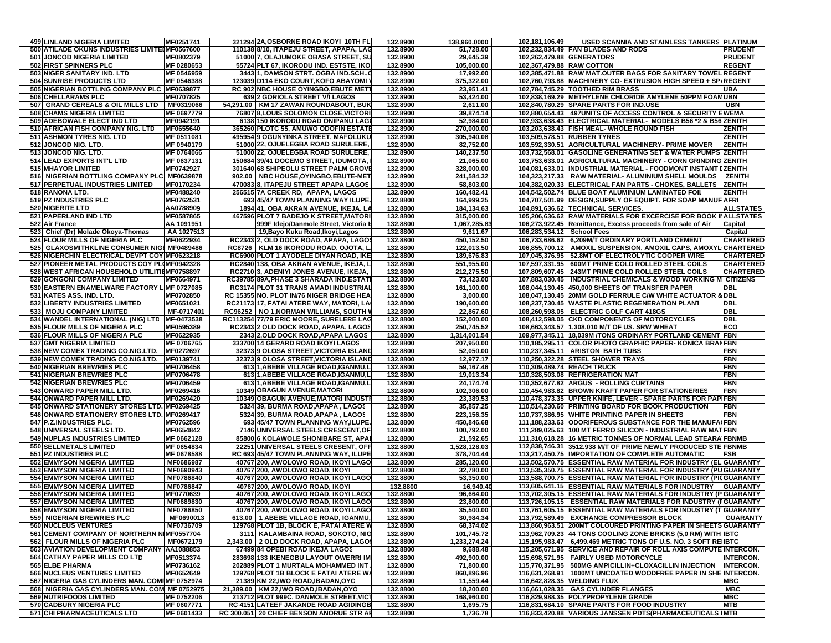|     | <b>499 LINLAND NIGERIA LIMITED</b>               | MF0251741              | 321294 2A, OSBORNE ROAD IKOYI 10TH FL                                      | 132.8900 | 138,960.0000            | 102,181,106.49             | USED SCANNIA AND STAINLESS TANKERS PLATINUM                                                                 |                                      |
|-----|--------------------------------------------------|------------------------|----------------------------------------------------------------------------|----------|-------------------------|----------------------------|-------------------------------------------------------------------------------------------------------------|--------------------------------------|
|     | 500 ATILADE OKUNS INDUSTRIES LIMITE MF0567600    |                        | 110138 8/10, ITAPEJU STREET, APAPA, LAG                                    | 132.8900 | 51,728.00               |                            | 102,232,834.49 FAN BLADES AND RODS                                                                          | <b>PRUDENT</b>                       |
|     | 501 JONCOD NIGERIA LIMITED                       | MF0802379              | 51000 7, OLAJUMOKE OBASA STREET, SU                                        | 132.8900 | 29,645.39               | 102,262,479.88 GENERATORS  |                                                                                                             | <b>PRUDENT</b>                       |
|     | 502 FIRST SPINNERS PLC                           | MF 0280653             | 55724 PLT 67, IKORODU IND. ESTSTE, IKOI                                    | 132.8900 | 105,000.00              | 102,367,479.88 RAW COTTON  |                                                                                                             | <b>REGENT</b>                        |
|     | 503 NIGER SANITARY IND. LTD                      | MF 0546959             | 3443 1, DAMSON STRT. OGBA IND.SCH.,O                                       | 132.8900 | 17,992.00               |                            | 102,385,471.88 RAW MAT.OUTER BAGS FOR SANITARY TOWEL REGENT                                                 |                                      |
|     | 504 SUNRISE PRODUCTS LTD                         | MF 0546388             | 123039 D114 EKO COURT, KOFO ABAYOMI                                        | 132.8900 | 375,322.00              |                            | 102,760,793.88 MACHINERY CO- EXTRUSION HIGH SPEED + SP/REGENT                                               |                                      |
|     | 505 NIGERIAN BOTTLING COMPANY PLC MF0639877      |                        | RC 902 NBC HOUSE OYINGBO, EBUTE MET                                        | 132.8900 | 23,951.41               |                            | 102.784.745.29 TOOTHED RIM BRASS                                                                            | UBA                                  |
|     | 506 CHELLARAMS PLC                               | <b>MF0707825</b>       | 639 2 GORIOLA STREET V/I LAGOS                                             | 132.8900 | 53,424.00               |                            | 102,838,169.29 METHYLENE CHLORIDE AMYLENE 50PPM FOAMUBN                                                     |                                      |
| 507 | <b>GRAND CEREALS &amp; OIL MILLS LTD</b>         | MF0319066              | 54.291.00 KM 17 ZAWAN ROUNDABOUT, BUK                                      | 132.8900 | 2,611.00                |                            | 102,840,780.29 SPARE PARTS FOR IND.USE                                                                      | <b>UBN</b>                           |
|     | <b>508 CHAMS NIGERIA LIMITED</b>                 | MF 0697779             | 76807 8,LOUIS SOLOMON CLOSE, VICTORI                                       | 132.8900 | 39,874.14               |                            | 102,880,654.43   497UNITS OF ACCESS CONTROL & SECURITY EWEMA                                                |                                      |
|     | 509 ADEBOWALE ELECT IND LTD                      | MF0942191              | 6138 150 IKORODU ROAD ONIPANU LAGO                                         | 132.8900 | 52,984.00               |                            | 102,933,638.43 ELECTRICAL MATERIAL- MODELS B56 *2 & B56 ZENITH                                              |                                      |
|     | 510 AFRICAN FISH COMPANY NIG. LTD                | MF0655640              | 365260 PLOTC 55, AMUWO ODOFIN ESTATE                                       | 132.8900 | 270,000.00              |                            | 103,203,638.43 FISH MEAL- WHOLE ROUND FISH                                                                  | <b>ZENITH</b>                        |
|     | 511 ASHMON TYRES NIG. LTD                        | MF 0511081             | 495954 9 OGUNYINKA STREET, MAFOLUKU                                        | 132.8900 | 305,940.08              |                            | 103,509,578.51 RUBBER TYRES                                                                                 | <b>ZENITH</b>                        |
|     | 512 JONCOD NIG. LTD.                             | MF 0940179             | 51000 22, OJUELEGBA ROAD SURULERE,                                         | 132.8900 | 82,752.00               |                            | 103,592,330.51 AGRICULTURAL MACHINERY- PRIME MOVER                                                          | <b>ZENITH</b>                        |
|     |                                                  | MF 0764066             | 51000 22, OJUELEGBA ROAD SURULERE                                          | 132.8900 |                         |                            | 103,732,568.01 GASOLINE GENERATING SET & WATER PUMPS ZENITH                                                 |                                      |
|     | 513 JONCOD NIG. LTD.                             | MF 0637131             | 150684 39/41 DOCEMO STREET, IDUMOTA,                                       | 132.8900 | 140,237.50<br>21,065.00 |                            | 103.753.633.01 AGRICULTURAL MACHINERY - CORN GRINDING ZENITH                                                |                                      |
|     | 514 LEAD EXPORTS INT'L LTD<br>515 MHAYOR LIMITED | MF0742927              |                                                                            | 132.8900 | 328,000.00              |                            | 104.081.633.01 IINDUSTRIAL MATERIAL - FOODMONT INSTANT IZENITH                                              |                                      |
|     |                                                  |                        | 301640 68 SHIPEOLU STREET PALM GROVE                                       |          |                         |                            | 104,323,217.33   RAW MATERIAL- ALUMINIUM SHELL MOULDS                                                       | <b>ZENITH</b>                        |
|     | 516 NIGERIAN BOTTLING COMPANY PLC MF0639878      |                        | 902.00   NBC HOUSE, OYINGBO, EBUTE-MET                                     | 132.8900 | 241,584.32              |                            |                                                                                                             |                                      |
|     | 517 PERPETUAL INDUSTRIES LIMITED                 | MF0170234              | 470083 8, ITAPEJU STREET APAPA LAGOS                                       | 132.8900 | 58,803.00               |                            | 104,382,020.33 ELECTRICAL FAN PARTS - CHOKES, BALLETS                                                       | <b>ZENITH</b>                        |
|     | 518 RANONA LTD.                                  | MF0488240              | 256515 7A CREEK RD, APAPA, LAGOS                                           | 132.8900 | 160,482.41              |                            | 104,542,502.74 BLUE BOAT ALUMINIUM LAMINATED FOIL                                                           | <b>ZENITH</b>                        |
|     | 519 PZ INDUSTRIES PLC                            | <b>MF0762531</b>       | 693 45/47 TOWN PLANNING WAY ILUPE                                          | 132.8800 | 164,999.25              |                            | 104,707,501.99 DESIGN, SUPPLY OF EQUIPT. FOR SOAP MANUF AFRI                                                |                                      |
|     | 520 NIGERITE LTD                                 | AA0788909              | 1894 41, OBA AKRAN AVENUE, IKEJA. LA                                       | 132.8800 | 184,134.63              |                            | 104,891,636.62 TECHNICAL SERVICES.                                                                          | <b>ALLSTATES</b>                     |
|     | 521 PAPERLAND IND LTD                            | <b>MF0587865</b>       | 467596 PLOT 7 BADEJO K STREET, MATORI                                      | 132.8800 | 315,000.00              |                            | 105,206,636.62 RAW MATERIALS FOR EXCERCISE FOR BOOK INALLSTATES                                             |                                      |
|     | 522 Air France                                   | AA 1091951             | 999F Idejo/Danmole Street, Victoria Is                                     | 132.8800 | 1,067,285.83            |                            | 106,273,922.45 Remittance, Excess proceeds from sale of Air                                                 | Capital                              |
|     | 523 Chief (Dr) Molade Okoya-Thomas               | AA 1027513             | 19, Bayo Kuku Road, Ikoyi, Lagos                                           | 132.8800 | 9,611.67                | 106,283,534.12 School Fees |                                                                                                             | Capital                              |
|     | 524 FLOUR MILLS OF NIGERIA PLC                   | MF0622934              | RC2343 2, OLD DOCK ROAD, APAPA, LAGOS                                      | 132.8800 | 450,152.50              |                            | 106,733,686.62 6,209M/T ORDINARY PORTLAND CEMENT                                                            | <b>CHARTERED</b>                     |
|     | 525 GLAXOSMITHKLINE CONSUMER NIGI MF0489486      |                        | RC8726   KLM 16 IKORODU ROAD, OJOTA, L                                     | 132.8800 | 122,013.50              |                            | 106,855,700.12   AMOXIL SUSPENSION, AMOXIL CAPS, AMOXYL CHARTERED                                           |                                      |
|     | 526 NIGERCHIN ELECTRICAL DEVPT COY MF0623218     |                        | RC6900 PLOT 1 AYODELE DIYAN ROAD, IKE                                      | 132.8800 | 189,676.83              |                            | 107,045,376.95   52.8MT OF ELECTROLYTIC COOPER WIRE                                                         | <b>CHARTERED</b>                     |
|     | 527 PIONEER METAL PRODUCTS COY PL(MF0942328      |                        | RC2840 138, OBA AKRAN AVENUE, IKEJA, L                                     | 132.8800 | 551,955.00              |                            | 107,597,331.95   600MT PRIME COLD ROLLED STEEL COILS                                                        | <b>CHARTERED</b>                     |
|     | 528 WEST AFRICAN HOUSEHOLD UTILITIEMF0758897     |                        | RC2710 3, ADENIYI JONES AVENUE, IKEJA,                                     | 132.8800 | 212,275.50              |                            | 107,809,607.45   243MT PRIME COLD ROLLED STEEL COILS                                                        | <b>CHARTERED</b>                     |
|     | 529 GONGONI COMPANY LIMITED                      | MF0664971              | RC39785 89A, PHASE 3 SHARADA IND.ESTATI                                    | 132.8800 | 73,423.00               |                            | 107,883,030.45   INDUSTRIAL CHEMICALS & WOOD WORKING M CITIZENS                                             |                                      |
|     | 530 EASTERN ENAMELWARE FACTORY LIMF 0727085      |                        | <b>RC3174 PLOT 31 TRANS AMADI INDUSTRIAL</b>                               | 132.8800 | 161,100.00              |                            | 108.044.130.45 450.000 SHEETS OF TRANSFER PAPER                                                             | DBL                                  |
|     | 531 KATES ASS. IND. LTD.                         | <b>MF0702850</b>       | RC 15355 NO. PLOT IN/76 NIGER BRIDGE HEA                                   | 132.8800 | 3,000.00                |                            | 108,047,130.45 20MM GOLD FERRULE C/W WHITE ACTUATOR & DBL                                                   |                                      |
|     | 532 LIBERTY INDUSTRIES LIMITED                   | MF0651021              | RC21173 17, FATAI ATERE WAY, MATORI, LA                                    | 132.8800 | 190,600.00              |                            | 108,237,730.45 WASTE PLASTIC REGENERATION PLANT                                                             | <b>DBL</b>                           |
|     | 533 MOJU COMPANY LIMITED                         | MF-0717401             | RC96252   NO 1, NORMAN WILLIAMS, SOUTH V                                   | 132.8800 | 22,867.60               |                            | 108,260,598.05   ELECTRIC GOLF CART 418GS                                                                   | DBI                                  |
|     | 534 WANDEL INTERNATIONAL (NIG) LTD MF-0473538    |                        | RC113254 77/79 ERIC MOORE, SURELERE LAG                                    | 132.8800 | 152.000.00              |                            | 108.412.598.05 CKD COMPONENTS OF MOTORCYCLES                                                                | <b>DBI</b>                           |
|     | 535 FLOUR MILLS OF NIGERIA PLC                   | MF0595389              | RC2343 2 OLD DOCK ROAD, APAPA, LAGOS                                       | 132.8800 | 250.745.52              |                            | 108,663,343.57 1,308,010 M/T OF US. SRW WHEAT                                                               | ECO                                  |
|     | 536 FLOUR MILLS OF NIGERIA PLC                   | MF0622935              | 2343 2, OLD DOCK ROAD, APAPA LAGOS                                         | 132.8800 | 1.314.001.54            |                            | 109,977,345.11   18,039M / TONS ORDINARY PORTLAND CEMENT FBN                                                |                                      |
|     | 537 GMT NIGERIA LIMITED                          | <b>MF 0706765</b>      | 333700 14 GERARD ROAD IKOYI LAGOS                                          | 132.8800 | 207,950.00              |                            | 110,185,295.11   COLOR PHOTO GRAPHIC PAPER- KONICA BRANFBN                                                  |                                      |
|     | 538 NEW COMEX TRADING CO.NIG.LTD.                | MF0272697              | 32373 9 OLOSA STREET, VICTORIA ISLAND                                      | 132.8800 | 52,050.00               |                            | 110,237,345.11   ARISTON BATH TUBS                                                                          | <b>FBN</b>                           |
|     | 539 NEW COMEX TRADING CO.NIG.LTD.                | MF0139741              | 32373 9 OLOSA STREET, VICTORIA ISLAND                                      | 132.8800 | 12,977.17               |                            | 110,250,322.28 STEEL SHOWER TRAYS                                                                           | FBN                                  |
|     | 540 NIGERIAN BREWRIES PLC                        | <b>MF0706458</b>       | 613 1, ABEBE VILLAGE ROAD, IGANMU, L                                       | 132.8800 | 59,167.46               |                            | 110,309,489.74 REACH TRUCK                                                                                  | FBN                                  |
|     | 541 NIGERIAN BREWRIES PLC                        | <b>MF0706478</b>       | 613 1, ABEBE VILLAGE ROAD, IGANMU, L                                       | 132.8800 | 19,013.34               |                            | 110,328,503.08 REFRIGERATION MAT                                                                            | <b>FBN</b>                           |
|     | 542 NIGERIAN BREWRIES PLC                        | MF0706459              | 613 1, ABEBE VILLAGE ROAD, IGANMU, L                                       | 132.8800 | 24,174.74               |                            | 110,352,677.82 ARGUS - ROLLING CURTAINS                                                                     | <b>FBN</b>                           |
|     | 543 ONWARD PAPER MILL LTD.                       | MF0269416              | <b>10349 OBAGUN AVENUE, MATORI</b>                                         | 132.8800 | 102,306.00              |                            | 110,454,983.82 BROWN KRAFT PAPER FOR STATIONERIES                                                           | FBN                                  |
|     | 544 ONWARD PAPER MILL LTD.                       | MF0269420              | 10349 OBAGUN AVENUE, MATORI INDUSTI                                        | 132.8800 | 23,389.53               |                            | 110,478,373.35 UPPER KNIFE, LEVER - SPARE PARTS FOR PAP                                                     | <b>IFBN</b>                          |
|     | 545 ONWARD STATIONERY STORES LTD. MF0269425      |                        | 5324 39, BURMA ROAD, APAPA, LAGOS                                          | 132.8800 | 35,857.25               |                            | 110,514,230.60 PRINTING BOARD FOR BOOK PRODUCTION                                                           | <b>FBN</b>                           |
|     | 546 ONWARD STATIONERY STORES LTD. MF0269417      |                        | 5324 39, BURMA ROAD, APAPA, LAGOS                                          | 132.8800 | 223,156.35              |                            | 110,737,386.95 WHITE PRINTING PAPER IN SHEETS                                                               | <b>FBN</b>                           |
|     | 547 P.Z.INDUSTRIES PLC.                          | MF0762596              | 693 45/47 TOWN PLANNING WAY, ILUPE.                                        | 132.8800 | 450,846.68              |                            | 111,188,233.63 ODORIFEROUS SUBSTANCE FOR THE MANUFA (FBN                                                    |                                      |
|     | 548 UNIVERSAL STEELS LTD.                        | MF0654842              | 7146 UNIVERSAL STEELS CRESCENT, OF                                         | 132.8800 | 100,792.00              |                            | 111,289,025.63 100 MT FERRO SILICON - INDUSTRIAL RAW MAT FBN                                                |                                      |
|     | 549 NUPLAS INDUSTRIES LIMITED                    | MF 0662128             | 85800 6 KOLAWOLE SHONIBARE ST, APAI                                        | 132.8800 | 21,592.65               |                            | 111,310,618.28 16 METRIC TONNES OF NORMAL LEAD STEARA FBNMB                                                 |                                      |
|     | 550 SELLMETALS LIMITED                           | MF 0654834             | 22251 UNIVERSAL STEELS CRESENT, OFF                                        | 132.8800 | 1,528,128.03            |                            | 112,838,746.31 3512.938 M/T OF PRIME NEWLY PRODUCED STE FBNMB                                               |                                      |
|     | 551 PZ INDUSTRIES PLC                            | MF 0678588             | RC 693 45/47 TOWN PLANNING WAY, ILUPE                                      | 132.8800 | 378,704.44              |                            | 113,217,450.75 IMPORTATION OF COMPLETE AUTOMATIC                                                            | FSB                                  |
|     | 552 EMMYSON NIGERIA LIMITED                      | MF0686987              | 40767 200, AWOLOWO ROAD, IKOYI LAGO                                        | 132.8800 | 285,120.00              |                            | 113,502,570.75 ESSENTIAL RAW MATERIAL FOR INDUSTRY (EL GUARANTY                                             |                                      |
|     | 553 EMMYSON NIGERIA LIMITED                      | MF0690943              | 40767 200, AWOLOWO ROAD, IKOYI                                             | 132.8800 | 32,780.00               |                            | 113,535,350.75 ESSENTIAL RAW MATERIAL FOR INDUSTRY (PUGUARANTY                                              |                                      |
|     | <b>554 EMMYSON NIGERIA LIMITED</b>               | MF0786840              | 40767 200, AWOLOWO ROAD, IKOYI LAGO                                        | 132.8800 | 53,350.00               |                            | 113,588,700.75 ESSENTIAL RAW MATERIAL FOR INDUSTRY (PICGUARANTY                                             |                                      |
|     | 555 EMMYSON NIGERIA LIMITED                      | MF0786847              | 40767 200, AWOLOWO ROAD, IKOYI                                             | 132.8800 | 16,940.40               |                            | 113,605,641.15 ESSENTIAL RAW MATERIALS FOR INDUSTRY                                                         | <b>GUARANTY</b>                      |
|     | <b>556 EMMYSON NIGERIA LIMITED</b>               | MF0770639              | 40767 200, AWOLOWO ROAD, IKOYI LAGO                                        | 132.8800 | 96,664.00               |                            | 113,702,305.15 ESSENTIAL RAW MATERIALS FOR INDUSTRY (PGUARANTY                                              |                                      |
|     | <b>557 EMMYSON NIGERIA LIMITED</b>               | MF0689830              | 40767 200, AWOLOWO ROAD, IKOYI LAGO                                        | 132.8800 | 23,800.00               |                            | 113,726,105.15   ESSENTIAL RAW MATERIALS FOR INDUSTRY (HGUARANTY                                            |                                      |
|     | <b>558 EMMYSON NIGERIA LIMITED</b>               | MF0786850              | 40767 200, AWOLOWO ROAD, IKOYI LAGO                                        | 132.8800 | 35,500.00               |                            | 113,761,605.15 ESSENTIAL RAW MATERIALS FOR INDUSTRY (TGUARANTY                                              |                                      |
|     | 559 NIGERIAN BREWRIES PLC                        | MF0690013              | 613.00   1 ABEBE VILLAGE ROAD, IGANMU,                                     | 132.8800 | 30,984.34               |                            | 113,792,589.49   EXCHANGE COMPRESSOR BLOCK                                                                  | <b>GUARANTY</b>                      |
|     | <b>560 NUCLEUS VENTURES</b>                      | MF0736709              | 129768 PLOT 1B, BLOCK E, FATAI ATERE W                                     | 132.8800 | 68.374.02               |                            | 113,860,963.51 200MT COLOURED PRINTING PAPER IN SHEETS GUARANTY                                             |                                      |
|     | 561 CEMENT COMPANY OF NORTHERN NIMF0557704       |                        | 3111 KALAMBAINA ROAD, SOKOTO, NIG                                          |          |                         |                            | 113,962,709.23 44 TONS COOLING ZONE BRICKS (5,0 RM) WITH IBTC                                               |                                      |
|     | 562 FLOUR MILLS OF NIGERIA PLC                   | MF0672179              | 2,343.00 2 OLD DOCK ROAD, APAPA, LAGOS                                     | 132.8800 | 101,745.72              |                            | 115,195,983.47 6,499.469 METRIC TONS OF U.S. NO. 3 SOFT REIIBTC                                             |                                      |
|     |                                                  |                        |                                                                            | 132.8800 | 1,233,274.24            |                            |                                                                                                             |                                      |
|     | 563 AVIATION DEVELOPMENT COMPANY AA1088853       |                        | 67499 84 OPEBI ROAD IKEJA LAGOS                                            | 132.8800 | 9,688.48                |                            | 115,205,671.95 SERVICE AND REPAIR OF ROLL AXIS COMPUTE INTERCON.<br>115,698,571.95   FAIRLY USED MOTORCYCLE |                                      |
|     | 564 CATHAY PAPER MILLS CO LTD<br>565 ELBE PHARMA | MF0513374              | 283698 133 IKENEGBU LAYOUT OWERRI IM<br>202889 PLOT 1 MURTALA MOHAMMED INT | 132.8800 | 492,900.00              |                            |                                                                                                             | <b>INTERCON.</b><br><b>INTERCON.</b> |
|     | <b>566 NUCLEUS VENTURES LIMITED</b>              | MF0736162<br>MF0652649 |                                                                            | 132.8800 | 71,800.00               |                            | 115,770,371.95   500MG AMPICILLIN+CLOXACILLIN INJECTION                                                     |                                      |
|     |                                                  |                        | 129768 PLOT 1B BLOCK E FATAI ATERE WA                                      | 132.8800 | 860,896.96              |                            | 116,631,268.91   1000MT UNCOATED WOODFREE PAPER IN SHE INTERCON.                                            |                                      |
|     | 567 NIGERIA GAS CYLINDERS MAN. COMINF 0752974    |                        | 21389 KM 22, IWO ROAD, IBADAN, OYC                                         | 132.8800 | 11,559.44               |                            | 116,642,828.35 WELDING FLUX                                                                                 | <b>MBC</b>                           |
|     | 568 NIGERIA GAS CYLINDERS MAN. COM MF 0752975    |                        | 21,389.00   KM 22, IWO ROAD, IBADAN, OYC                                   | 132.8800 | 18,200.00               |                            | 116,661,028.35   GAS CYLINDER FLANGES                                                                       | <b>MBC</b>                           |
|     | 569 NUTRIFOODS LIMITED                           | MF 0752206             | 213712 PLOT 999C, DANMOLE STREET, VICT                                     | 132.8800 | 168,960.00              |                            | 116,829,988.35 POLYPROPYLENE GRADE                                                                          | <b>MBC</b>                           |
|     | 570 CADBURY NIGERIA PLC                          | <b>MF 0607771</b>      | RC 4151 LATEEF JAKANDE ROAD AGIDINGB                                       | 132.8800 | 1,695.75                |                            | 116,831,684.10 SPARE PARTS FOR FOOD INDUSTRY                                                                | <b>MTB</b>                           |
|     | 571 CHI PHARMACEUTICALS LTD                      | MF 0601433             | RC 300.051 20 CHIEF BENSON ANORUE STR AF                                   | 132.8800 | 1,736.78                |                            | 116,833,420.88 VARIOUS JANSSEN PDTS(PHARMACEUTICALS IMTB                                                    |                                      |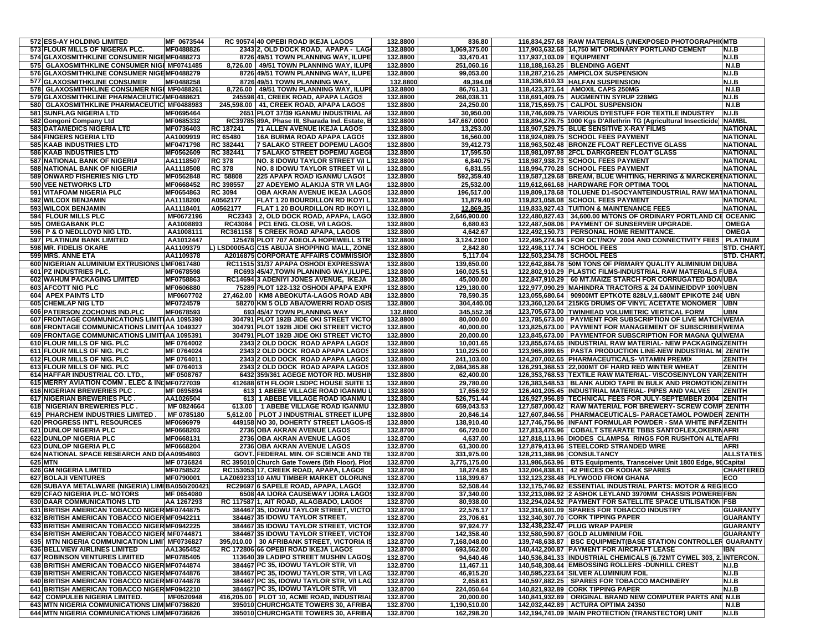| 572 ESS-AY HOLDING LIMITED                                                  | MF 0673544             |                        | RC 90574 40 OPEBI ROAD IKEJA LAGOS                                              | 132.8800             | 836.80                  | 116,834,257.68 RAW MATERIALS (UNEXPOSED PHOTOGRAPHIONTB                                                                     |                                    |
|-----------------------------------------------------------------------------|------------------------|------------------------|---------------------------------------------------------------------------------|----------------------|-------------------------|-----------------------------------------------------------------------------------------------------------------------------|------------------------------------|
| 573 FLOUR MILLS OF NIGERIA PLC.                                             | MF0488826              |                        | 2343 2, OLD DOCK ROAD, APAPA - LAG                                              | 132.8800             | 1,069,375.00            | 117,903,632.68 14,750 M/T ORDINARY PORTLAND CEMENT                                                                          | N.I.B                              |
| 574 GLAXOSMITHKLINE CONSUMER NIGEMF0488273                                  |                        |                        | 8726 49/51 TOWN PLANNING WAY, ILUPE                                             | 132.8800             | 33,470.41               | 117,937,103.09   EQUIPMENT                                                                                                  | <b>N.I.B</b>                       |
| <b>GLAXOSMITHKLINE CONSUMER NIGI MF0741485</b><br>575                       |                        |                        | 8,726.00   49/51 TOWN PLANNING WAY, ILUPE                                       | 132.8800             | 251,060.16              | 118,188,163.25   BLENDING AGENT                                                                                             | <b>N.I.B</b>                       |
| 576 GLAXOSMITHKLINE CONSUMER NIGEMF0488279                                  |                        |                        | 8726 49/51 TOWN PLANNING WAY, ILUPE                                             | 132.8800             | 99,053.00               | 118,287,216.25 AMPICLOX SUSPENSION                                                                                          | N.I.B                              |
| 577 GLAXOSMITHKLINE CONSUMER                                                | MF0488258              |                        | 8726 49/51 TOWN PLANNING WAY                                                    | 132.8800             | 49,394.08               | 118,336,610.33 HALFAN SUSPENSION                                                                                            | N.I.B                              |
| 578 GLAXOSMITHKLINE CONSUMER NIGI MF0488261                                 |                        | 8,726.00               | 49/51 TOWN PLANNING WAY, ILUPE                                                  | 132.8800             | 86,761.31               | 118,423,371.64   AMOXIL CAPS 250MG                                                                                          | <b>N.I.B</b>                       |
| 579 GLAXOSMITHKLINE PHARMACEUTIC/MF0488621                                  |                        |                        | 245598 41, CREEK ROAD, APAPA LAGOS                                              | 132.8800             | 268,038.11              | 118,691,409.75   AUGMENTIN SYRUP 228MG                                                                                      | N.I.B                              |
| 580 GLAXOSMITHKLINE PHARMACEUTIC MF0488983                                  |                        |                        | 245,598.00   41, CREEK ROAD, APAPA LAGOS                                        | 132.8800             | 24,250.00               | 118,715,659.75 CALPOL SUSPENSION                                                                                            | N.I.B                              |
| 581 SUNFLAG NIGERIA LTD                                                     | MF0695464              |                        | 2651 PLOT 37/39 IGANMU INDUSTRIAL AI                                            | 132.8800             | 30,950.00               | 118,746,609.75 VARIOUS DYESTUFF FOR TEXTILE INDUSTRY                                                                        | N.I.B                              |
| 582 Gongoni Company Ltd                                                     | MF0685332              |                        | RC39785 89A, Phase III, Sharada Ind. Estate, B                                  | 132.8800             | 147,667.0000            | 118,894,276.75 1000 Kgs D'Allethrin TG (Agricultural Insecticide)                                                           | <b>NAMBL</b>                       |
| 583 DATAMEDICS NIGERIA LTD                                                  | MF0736403              | RC 187241              | <b>71 ALLEN AVENUE IKEJA LAGOS</b>                                              | 132.8800             | 13,253.00               | 118,907,529.75 BLUE SENSITIVE X-RAY FILMS                                                                                   | <b>NATIONAL</b>                    |
| 584 FINGERS NGERIA LTD                                                      | AA1009919              | RC 65480               | <b>16A BURMA ROAD APAPA LAGOS</b>                                               | 132.8800             | 16,560.00               | 118,924,089.75 SCHOOL FEES PAYMENT                                                                                          | <b>NATIONAL</b>                    |
| 585 KAAB INDUSTRIES LTD<br><b>586 KAAB INDUSTRIES LTD</b>                   | MF0471798              | RC 382441<br>RC 382441 | 7 SALAKO STREET DOPEMU LAGOS                                                    | 132.8800<br>132.8800 | 39,412.73<br>17,595.50  | 118,963,502.48 BRONZE FLOAT REFLECTIVE GLASS                                                                                | <b>NATIONAL</b><br><b>NATIONAL</b> |
| 587 NATIONAL BANK OF NIGERIA                                                | MF0562609<br>AA1118507 | <b>RC 378</b>          | 7 SALAKO STREET DOPEMU AGEGI<br>NO. 8 IDOWU TAYLOR STREET V/I L                 | 132.8800             | 6,840.75                | 118,981,097.98 2FCL DARKGREEN FLOAT GLASS<br>118,987,938.73 SCHOOL FEES PAYMENT                                             | <b>NATIONAL</b>                    |
| 588 NATIONAL BANK OF NIGERIA                                                | AA1118508              | <b>RC 378</b>          | NO. 8 IDOWU TAYLOR STREET V/I L                                                 | 132.8800             | 6,831.55                | 118.994.770.28 SCHOOL FEES PAYMENT                                                                                          | <b>NATIONAL</b>                    |
| 589 ONWARD FISHERIES NIG LTD                                                | MF0562848              | <b>RC 58808</b>        | 225 APAPA ROAD IGANMU LAGOS                                                     | 132.8800             | 592,359.40              | 119,587,129.68 BREAM, BLUE WHITING, HERRING & MARCKERENATIONAL                                                              |                                    |
| 590 VEE NETWORKS LTD                                                        | MF0668452              | <b>RC 398557</b>       | 27 ADEYEMO ALAKIJA STR V/I LAG                                                  | 132.8800             | 25,532.00               | 119,612,661.68 HARDWARE FOR OPTIMA TOOL                                                                                     | <b>NATIONAL</b>                    |
| 591 VITAFOAM NIGERIA PLC                                                    | MF0654863              | <b>RC 3094</b>         | OBA AKRAN AVENUE IKEJA LAGOS                                                    | 132.8800             | 196,517.00              | 119,809,178.68 TOLUENE D1-ISOCYANTEINDUSTRIAL RAW MATNATIONAL                                                               |                                    |
| 592 WILCOX BENJAMIN                                                         | AA1118200              | A0562177               | FLAT 1 20 BOURDILLON RD IKOYI L                                                 | 132.8800             | 11,879.40               | 119,821,058.08 SCHOOL FEES PAYMENT                                                                                          | <b>NATIONAL</b>                    |
| 593 WILCOX BENJAMIN                                                         | AA1118401              | A0562177               | FLAT 1 20 BOURDILLON RD IKOYI L                                                 | 132.8800             | 12,869.35               | 119,833,927.43 TUITION & MAINTENANCE FEES                                                                                   | <b>NATIONAL</b>                    |
| 594 FLOUR MILLS PLC                                                         | MF0672196              | <b>RC2343</b>          | 2, OLD DOCK ROAD, APAPA, LAGO                                                   | 132.8800             | 2,646,900.00            | 122,480,827.43 34,600.00 M/TONS OF ORDINARY PORTLAND CE OCEANIC                                                             |                                    |
| 595 OMEGABANK PLC                                                           | AA1008893              |                        | RC43084   PC1 ENG. CLOSE, V/I LAGOS.                                            | 132.8800             | 6,680.63                | 122,487,508.06   PAYMENT OF SUNSERVER UPGRADE.                                                                              | <b>OMEGA</b>                       |
| 596 P & O NEDLLOYD NIG LTD.                                                 | AA1008111              | RC361158               | 5 CREEK ROAD APAPA, LAGOS                                                       | 132.8800             | 4,642.67                | 122,492,150.73   PERSONAL HOME REMITTANCE.                                                                                  | <b>OMEGA</b>                       |
| 597 PLATINUM BANK LIMITED                                                   | AA1012447              |                        | 125478 PLOT 707 ADEOLA HOPEWELL STR                                             | 132.8800             | 3.124.2100              | 122,495,274.94   FOR OCT/NOV 2004 AND CONNECTIVITY FEES                                                                     | <b>PLATINUM</b>                    |
| 598 MR. FIDELIS OKARE                                                       | AA1109379              |                        | ) LSD0005AG C15 ABUJA SHOPPING MALL, ZONE                                       | 132.8800             | 2,842.80                | 122,498,117.74 SCHOOL FEES                                                                                                  | <b>STD. CHART</b>                  |
| 599 MRS. ANNE ETA                                                           | AA1109378              |                        | A2016875 CORPORATE AFFAIRS COMMISSION                                           | 132.8800             | 5,117.04                | 122,503,234.78   SCHOOL FEES                                                                                                | <b>STD. CHART</b>                  |
| 600 NIGERIAN ALUMINIUM EXTRUSIONS LMF0617480                                |                        |                        | RC11515 31/37 APAPA OSHODI EXPRESSWA                                            | 132.8800             | 139,650.00              | 122,642,884.78 50M TONS OF PRIMARY QUALITY ALIMINIUM DILUBA                                                                 |                                    |
| 601 PZ INDUSTRIES PLC.                                                      | MF0678598              |                        | RC693 45/47, TOWN PLANNING WAY, ILUPE                                           | 132.8800             | 160,025.51              | 122,802,910.29 PLASTIC FILMS-INDUSTRIAL RAW MATERIALS FUBA                                                                  |                                    |
| 602 WAHUM PACKAGING LIMITED                                                 | MF0758863              |                        | RC14694 3 ADENIYI JONES AVENUE, IKEJA.                                          | 132.8800             | 45,000.00               | 122,847,910.29   60 MT.MAIZE STARCH FOR CORRUGATED BOAIUBA                                                                  |                                    |
| 603 AFCOTT NIG PLC                                                          | MF0606880              |                        | 75289 PLOT 122-132 OSHODI APAPA EXPR                                            | 132.8800             | 129,180.00              | 122,977,090.29 MAHINDRA TRACTORS & 24 DAMINE/DDVP 100% UBN                                                                  |                                    |
| <b>604 APEX PAINTS LTD</b>                                                  | MF0607702              |                        | 27,462.00   KM8 ABEOKUTA-LAGOS ROAD AB                                          | 132.8800             | 78,590.35               | 123,055,680.64   90900MT EPTKOTE 828LV,1.680MT EPIKOTE 246 UBN                                                              |                                    |
| 605 CHEMLAP NIG LTD                                                         | MF0724579              |                        | 58270 KM 5 OLD ABA/OWERRI ROAD OSIS                                             | 132.8800             | 304,440.00              | 123,360,120.64 215KG DRUMS OF VINYL ACETATE MONOMER UBN                                                                     |                                    |
| <b>PATERSON ZOCHONIS IND.PLC</b><br>606                                     | MF0678593              |                        | 693 45/47 TOWN PLANNING WAY                                                     | 132.8800             | 345,552.36              | 123,705,673.00 TWINHEAD VOLUMETRIC VERTICAL FORM                                                                            | <b>UBN</b>                         |
| 607 FRONTAGE COMMUNICATIONS LIMITIAA 1095390                                |                        |                        | 304791 PLOT 192B JIDE OKI STREET VICTO                                          | 132.8800<br>132,8800 | 80,000.00               | 123,785,673.00   PAYMENT FOR SUBSCRIPTION OF LIVE MATCH WEMA                                                                |                                    |
| 608 FRONTAGE COMMUNICATIONS LIMITIAA 1049327                                |                        |                        | 304791 PLOT 192B JIDE OKI STREET VICTO                                          |                      | 40,000.00               | 123,825,673.00   PAYMENT FOR MANAGEMENT OF SUBSCRIBERWEMA                                                                   |                                    |
| 609 FRONTAGE COMMUNICATIONS LIMITIAA 1095391<br>610 FLOUR MILLS OF NIG. PLC | MF 0764002             |                        | 304791 PLOT 192B JIDE OKI STREET VICTO<br>2343 2 OLD DOCK ROAD APAPA LAGOS      | 132.8800<br>132.8800 | 20,000.00<br>10,001.65  | 123,845,673.00   PAYMENTFOR SUBSCRIPTION FOR MAGNA QUIWEMA<br>123,855,674.65  INDUSTRIAL RAW MATERIAL- NEW PACKAGING ZENITH |                                    |
| 611 FLOUR MILLS OF NIG. PLC                                                 | MF 0764024             |                        | 2343 2 OLD DOCK ROAD APAPA LAGOS                                                | 132.8800             | 110,225.00              | 123,965,899.65   PASTA PRODUCTION LINE-NEW INDUSTRIAL MI ZENITH                                                             |                                    |
| 612 FLOUR MILLS OF NIG. PLC                                                 | MF 0764011             |                        | 2343 2 OLD DOCK ROAD APAPA LAGOS                                                | 132.8800             | 241,103.00              | 124,207,002.65 PHARMACEUTICALS- VITAMIN PREMIX                                                                              | <b>ZENITH</b>                      |
| 613 FLOUR MILLS OF NIG. PLC                                                 | MF 0764013             |                        | 2343 2 OLD DOCK ROAD APAPA LAGOS                                                | 132.8800             | 2,084,365.88            | 126,291,368.53 22,000MT OF HARD RED WINTER WHEAT                                                                            | <b>ZENITH</b>                      |
| 614 HAFFAR INDUSTRIAL CO. LTD.,                                             | MF 0508767             |                        | 6432 359/361 AGEGE MOTOR RD. MUSHIN                                             | 132.8800             | 62,400.00               | 126,353,768.53 TEXTILE RAW MATERIAL- VISCOSE/NYLON YAR ZENITH                                                               |                                    |
| 615 MERRY AVIATION COMM. ELEC & INDMF0727039                                |                        |                        | 412688 6TH FLOOR LSDPC HOUSE SUITE 1                                            | 132.8800             | 29,780.00               | 126,383,548.53   BLANK AUDIO TAPE IN BULK AND PROMOTION ZENITH                                                              |                                    |
| 616 NIGERIAN BREWERIES PLC.                                                 | MF 0695894             |                        | 613 1 ABEBE VILLAGE ROAD IGANMU L                                               | 132.8800             | 17,656.92               | 126,401,205.45 INDUSTRIAL MATERIAL- PIPES AND VALVES                                                                        | <b>ZENITH</b>                      |
| 617 NIGERIAN BREWERIES PLC.                                                 | AA1026504              |                        | 613 1 ABEBE VILLAGE ROAD IGANMU L                                               | 132.8800             | 526,751.44              | 126,927,956.89 TECHNICAL FEES FOR JULY-SEPTEMBER 2004 ZENITH                                                                |                                    |
| 618 NIGERIAN BREWERIES PLC.                                                 | MF 0824664             | 613.00                 | <b>1 ABEBE VILLAGE ROAD IGANMU</b>                                              | 132.8800             | 659,043.53              | 127,587,000.42   RAW MATERIAL FOR BREWERY- SCREW COMP ZENITH                                                                |                                    |
| 619 PHARCHEM INDUSTRIES LIMITED.                                            | MF 0785180             |                        | 5,612.00 PLOT J INDUSTRIAL STREET ILUPE                                         | 132.8800             | 20,846.14               | 127,607,846.56   PHARMACEUTICALS- PARACETAMOL POWDER ZENITH                                                                 |                                    |
| 620 PROGRESS INT'L RESOURCES                                                | MF0696979              |                        | 449158 NO 30, DOHERTY STREET LAGOS-IS                                           | 132.8800             | 138,910.40              | 127,746,756.96 INFANT FORMULAR POWDER - SMA WHITE INFAZENITH                                                                |                                    |
| 621 DUNLOP NIGERIA PLC                                                      | MF0668203              |                        | 2736 OBA AKRAN AVENUE LAGOS                                                     | 132.8700             | 66,720.00               | 127,813,476.96   COBALT STEARATE TBBS SANTOFLEX, OKERINAFRI                                                                 |                                    |
| 622 DUNLOP NIGERIA PLC                                                      | MF0668131              |                        | 2736 OBA AKRAN AVENUE LAGOS                                                     | 132.8700             | 4,637.00                | 127,818,113.96 DIODES CLAMPS& RINGS FOR RUSHTON ALTEAFRI                                                                    |                                    |
| 623 DUNLOP NIGERIA PLC                                                      | MF0668204              |                        | 2736 OBA AKRAN AVENUE LAGOS                                                     | 132.8700             | 61,300.00               | 127,879,413.96 STEELCORD STRANDED WIRE                                                                                      | AFRI                               |
| 624 NATIONAL SPACE RESEARCH AND DIAA0954803                                 |                        |                        | GOVT. FEDERAL MIN. OF SCIENCE AND TE                                            | 132.8700             | 331,975.00              | 128,211,388.96 CONSULTANCY                                                                                                  | <b>ALLSTATES</b>                   |
| 625 MTN                                                                     | MF 0736824             |                        | RC 395010 Church Gate Towers (5th Floor), Plot                                  | 132.8700             | 3,775,175.00            | 131,986,563.96   BTS Equipments, Transceiver Unit 1800 Edge, 90 Capital                                                     |                                    |
| <b>626 GM NIGERIA LIMITED</b><br>627 BOLAJI VENTURES                        | MF0758522<br>MF0790001 |                        | RC153053 17, CREEK ROAD, APAPA, LAGOS<br>LAZ069233 10 AMU TIMBER MARKET OLORUNS | 132.8700<br>132.8700 | 18,274.85<br>118,399.67 | 132,004,838.81   42 PIECES OF KODIAK SPARES<br>132,123,238.48 PLYWOOD FROM GHANA                                            | <b>CHARTERED</b><br>ECO            |
| 628 SUBAYA METALWARE (NIGERIA) LIMI BA050/200421                            |                        |                        | RC29697 6 SAPELE ROAD, APAPA, LAGOS                                             | 132.8700             | 52,508.44               | 132,175,746.92 ESSENTIAL INDUSTRIAL PARTS: MOTOR & REG ECO                                                                  |                                    |
| 629 CFAO NIGERIA PLC- MOTORS                                                | MF 0654080             |                        | 6508 4A IJORA CAUSEWAY IJORA LAGOS                                              | 132,8700             | 37,340.00               | 132,213,086.92 2 ASHOK LEYLAND 3970MM CHASSIS POWERE FBN                                                                    |                                    |
| 630 DAAR COMMUNICATIONS LTD                                                 | AA 1267293             |                        | RC 117587 1, AIT ROAD, ALAGBADO, LAGOS                                          | 132.8700             | 80,938.00               | 132,294,024.92 PAYMENT FOR SATELLITE SPACE UTILISATION FSB                                                                  |                                    |
| 631 BRITISH AMERICAN TOBACCO NIGER MF0744875                                |                        |                        | 384467 35, IDOWU TAYLOR STREET, VICTOI                                          | 132.8700             | 22,576.17               | 132,316,601.09 SPARES FOR TOBACCO INDUSTRY                                                                                  | <b>GUARANTY</b>                    |
| 632 BRITISH AMERICAN TOBACCO NIGER MF0942211                                |                        |                        | 384467 35 IDOWU TAYLOR STREET,                                                  | 132.8700             | 23,706.61               | 132,340,307.70 CORK TIPPING PAPER                                                                                           | <b>GUARANTY</b>                    |
| 633 BRITISH AMERICAN TOBACCO NIGER MF0942225                                |                        |                        | 384467 35 IDOWU TAYLOR STREET, VICTOR                                           | 132.8700             | 97,924.77               | 132,438,232.47 PLUG WRAP PAPER                                                                                              | <b>GUARANTY</b>                    |
| 634 BRITISH AMERICAN TOBACCO NIGER MF0744871                                |                        |                        | <b>384467 35 IDOWU TAYLOR STREET, VICTOR</b>                                    | 132.8700             | 142,358.40              | 132,580,590.87 GOLD ALUMINIUM FOIL                                                                                          | <b>GUARANTY</b>                    |
| 635 MTN NIGERIA COMMUNICATION LIMI MF0736827                                |                        |                        | 395,010.00 30 AFRIBANK STREET, VICTORIA IS                                      | 132.8700             | 7,168,048.00            | 139,748,638.87 BSC EQUIPMENT(BASE STATION CONTROLLER GUARANTY                                                               |                                    |
| 636 BELLVIEW AIRLINES LIMITED                                               | AA1365452              |                        | RC 172806 66 OPEBI ROAD IKEJA LAGOS                                             | 132.8700             | 693,562.00              | 140,442,200.87 PAYMENT FOR AIRCRAFT LEASE                                                                                   | IBN                                |
| <b>637 ROBINSON VENTURES LIMITED</b>                                        | MF0785405              |                        | 113640 39 LADIPO STREET MUSHIN LAGOS                                            | 132.8700             | 94,640.46               | 140,536,841.33   INDUSTRIAL CHEMICALS (6.72MT CYMEL 303, 2. INTERCON.                                                       |                                    |
| 638 BRITISH AMERICAN TOBACCO NIGER MF0744874                                |                        |                        | 384467 PC 35, IDOWU TAYLOR STR, V/I                                             | 132.8700             | 11,467.11               | 140,548,308.44 EMBOSSING ROLLERS -DUNHILL CREST                                                                             | N.I.B                              |
| 639 BRITISH AMERICAN TOBACCO NIGER MF0744876                                |                        |                        | 384467 PC 35, IDOWU TAYLOR STR, V/I LAG                                         | 132.8700             | 46,915.20               | 140,595,223.64 SILVER ALUMINIUM FOIL                                                                                        | N.I.B                              |
| 640 BRITISH AMERICAN TOBACCO NIGER MF0744878                                |                        |                        | 384467 PC 35, IDOWU TAYLOR STR, V/I LAG                                         | 132.8700             | 2,658.61                | 140,597,882.25   SPARES FOR TOBACCO MACHINERY                                                                               | N.I.B                              |
| 641 BRITISH AMERICAN TOBACCO NIGER MF0942210                                |                        |                        | 384467 PC 35, IDOWU TAYLOR STR, V/I                                             | 132.8700             | 224,050.64              | 140,821,932.89 CORK TIPPING PAPER                                                                                           | N.I.B                              |
| 642 COMPULEB NIGERIA LIMITED.                                               | MF0520948              |                        | 416,205.00   PLOT 10, ACME ROAD, INDUSTRIAL                                     | 132.8700             | 20,000.00               | 140,841,932.89   ORIGINAL BRAND NEW COMPUTER PARTS AND N.I.B                                                                |                                    |
| 643 MTN NIGERIA COMMUNICATIONS LIM MF0736820                                |                        |                        | 395010 CHURCHGATE TOWERS 30, AFRIBA                                             | 132.8700             | 1,190,510.00            | 142.032.442.89 ACTURA OPTIMA 24350                                                                                          | <b>N.I.B</b>                       |
| 644 MTN NIGERIA COMMUNICATIONS LIM MF0736826                                |                        |                        | 395010 CHURCHGATE TOWERS 30, AFRIBA                                             | 132.8700             | 162,298.20              | 142,194,741.09 MAIN PROTECTION (TRANSTECTOR) UNIT                                                                           | <b>N.I.B</b>                       |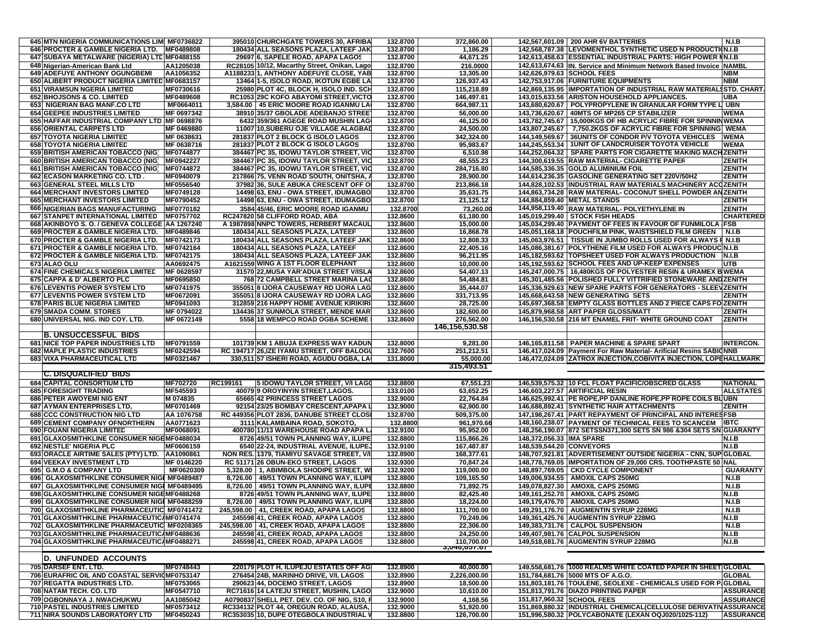| 645 MTN NIGERIA COMMUNICATIONS LIMI MF0736822 |                 |          | 395010 CHURCHGATE TOWERS 30, AFRIBA          | 132.8700 | 372.860.00     |                            | 142,567,601.09   200 AHR 6V BATTERIES                              | N.I.B            |
|-----------------------------------------------|-----------------|----------|----------------------------------------------|----------|----------------|----------------------------|--------------------------------------------------------------------|------------------|
| 646 PROCTER & GAMBLE NIGERIA LTD.             | MF0489808       |          | 180434 ALL SEASONS PLAZA, LATEEF JAK         | 132.8700 | 1,186.29       |                            | 142,568,787.38 LEVOMENTHOL SYNTHETIC USED N PRODUCTION.I.B         |                  |
|                                               |                 |          |                                              |          |                |                            |                                                                    |                  |
| 647 SUBAYA METALWARE (NIGERIA) LTL MF0488155  |                 |          | 29697 6, SAPELE ROAD, APAPA LAGOS            | 132.8700 | 44,671.25      |                            | 142,613,458.63 ESSENTIAL INDUSTRIAL PARTS: HIGH POWER NN.I.B       |                  |
| 648 Nigerian-American Bank Ltd                | AA1205038       |          | RC28105 10/12, Macarthy Street, Onikan, Lago | 132.8700 | 216.0000       |                            | 142,613,674.63 IN. Service and Minimum Network Based Invoice       | <b>NAMBL</b>     |
| <b>649 ADEFUYE ANTHONY OGUNGBEMI</b>          | AA1056352       |          | A11882331, ANTHONY ADEFUYE CLOSE, YAB        | 132.8700 | 13,305.00      | 142,626,979.63 SCHOOL FEES |                                                                    | NBM              |
| 650 ALIBERT PRODUCT NIGERIA LIMITED MF0683157 |                 |          | 13464 1-5, ISOLO ROAD, IKOTUN EGBE LA        | 132.8700 | 126,937.43     |                            | 142,753,917.06 FURNITURE EQUIPMENTS                                | NBM              |
| 651 VIRAMSUN NGERIA LIMITED                   | MF0730616       |          | 25980 PLOT 4C, BLOCK H, ISOLO IND. SCI       | 132.8700 | 115,218.89     |                            | 142,869,135.95 IMPORTATION OF INDUSTRIAL RAW MATERIALSSTD. CHART   |                  |
| 652 BHOJSONS & CO. LIMITED                    | MF0489608       |          | RC1053 29C KOFO ABAYOMI STREET, VICTO        | 132.8700 | 146,497.61     |                            | 143,015,633.56 ARISTON HOUSEHOLD APPLIANCES                        | UBA              |
| 653 NIGERIAN BAG MANF.CO LTD                  | MF0664011       |          | 3,584.00   45 ERIC MOORE ROAD IGANMU LA      | 132,8700 | 664,987.11     |                            | 143,680,620.67   POLYPROPYLENE IN GRANULAR FORM TYPE LI UBN        |                  |
| 654 GEEPEE INDUSTRIES LIMITED                 | MF 0697342      |          | 38910 35/37 GBOLADE ADEBANJO STREE           | 132.8700 | 56,000.00      |                            | 143,736,620.67   40MTS OF MP265 CP STABILIZER                      | WEMA             |
|                                               |                 |          |                                              |          |                |                            |                                                                    |                  |
| 655 HAFFAR INDUSTRIAL COMPANY LTD MF 0698876  |                 |          | 6432 359/361 AGEGE ROAD MUSHIN LAG           | 132.8700 | 46,125.00      |                            | 143,782,745.67   15,000KGS OF HB ACRYLIC FIBRE FOR SPINNINWEMA     |                  |
| 656 ORIENTAL CARPETS LTD                      | MF 0469880      |          | 11007 10, SUBERU OJE VILLAGE ALAGBAD         | 132.8700 | 24,500.00      |                            | 143,807,245.67   7,750.2KGS OF ACRYLIC FIBRE FOR SPINNING          | <b>WEMA</b>      |
| 657 TOYOTA NIGERIA LIMITED                    | MF 0638631      |          | 281837 PLOT 2 BLOCK G ISOLO LAGOS            | 132.8700 | 342,324.00     |                            | 144,149,569.67 36UNITS OF CONDOR P/V TOYOTA VEHICLES               | WEMA             |
| <b>658 TOYOTA NIGERIA LIMITED</b>             | MF 0638716      |          | 281837 PLOT 2 BLOCK G ISOLO LAGOS            | 132.8700 | 95,983.67      |                            | 144.245.553.34   1UNIT OF LANDCRUISER TOYOTA VEHICLE               | WEMA             |
| 659 BRITISH AMERICAN TOBACCO (NIG)            | MF0744877       |          | 384467 PC 35, IDOWU TAYLOR STREET, VIC       | 132.8700 | 6,510.98       |                            | 144,252,064.32 SPARE PARTS FOR CIGARETTE MAKING MACHZENITH         |                  |
| 660 BRITISH AMERICAN TOBACCO (NIG)            | MF0942227       |          | 384467 PC 35, IDOWU TAYLOR STREET, VIC       | 132.8700 | 48,555.23      |                            | 144,300,619.55 RAW MATERIAL- CIGARETTE PAPER                       | ZENITH           |
| 661 BRITISH AMERICAN TOBACCO (NIG)            | MF0744872       |          |                                              | 132.8700 | 284.716.80     |                            | 144,585,336.35 GOLD ALUMINIUM FOIL                                 | ZENITH           |
|                                               |                 |          | 384467 PC 35, IDOWU TAYLOR STREET, VIC       |          |                |                            |                                                                    |                  |
| 662 ECASON MARKETING CO. LTD                  | MF0940079       |          | 217866 75, VENN ROAD SOUTH, ONITSHA, A       | 132.8700 | 28.900.00      |                            | 144,614,236.35 GASOLINE GENERATING SET 220V/50HZ                   | ZENITH           |
| 663 GENERAL STEEL MILLS LTD                   | MF0556540       |          | 37982 36, SULE ABUKA CRESCENT OFF O          | 132.8700 | 213.866.18     |                            | 144,828,102.53 IINDUSTRIAL RAW MATERIALS MACHINERY ACCZENITH       |                  |
| <b>664 MERCHANT INVESTORS LIMITED</b>         | MF0749128       |          | 14498 63, ENU - OWA STREET, IDUMAGBO         | 132.8700 | 35,631.75      |                            | 144,863,734.28 RAW MATERIAL- COCONUT SHELL POWDER ANZENITH         |                  |
| <b>665 MERCHANT INVESTORS LIMITED</b>         | MF0790452       |          | 14498 63, ENU - OWA STREET, IDUMAGBO         | 132.8700 | 21,125.12      |                            | 144,884,859.40 METAL STANDS                                        | ZENITH           |
| 666 NIGERIAN BAGS MANUFACTURING               | MF0770182       |          | 3584 45/46, ERIC MOORE ROAD IGANMU           | 132.8700 | 73,260.00      |                            | 144,958,119.40 RAW MATERIAL- POLYETHYLENE IN                       | ZENITH           |
|                                               | MF0757702       |          |                                              | 132.8600 |                |                            |                                                                    | <b>CHARTERED</b> |
| <b>667 STANPET INTERNATIONAL LIMITED</b>      |                 |          | RC247820 58 CLIFFORD ROAD, ABA               |          | 61,180.00      |                            | 145,019,299.40   STOCK FISH HEADS                                  |                  |
| 668 AKINBOYO S.O. / GENEVA COLLEGE AA 1267240 |                 |          | A 1987898 NNPC TOWERS, HERBERT MACAUL        | 132.8600 | 15,000.00      |                            | 145,034,299.40 PAYMENT OF FEES IN FAVOUR OF FUNMILOLA              | <b>IFSB</b>      |
| 669 PROCTER & GAMBLE NIGERIA LTD.             | MF0489846       |          | 180434 ALL SEASONS PLAZA, LATEEF             | 132.8600 | 16,868.78      |                            | 145,051,168.18 POUCHFILM PINK, WAISTSHIELD FILM GREEN              | N.I.B            |
| 670 PROCTER & GAMBLE NIGERIA LTD.             | MF0742173       |          | 180434 ALL SEASONS PLAZA, LATEEF JAK         | 132.8600 | 12,808.33      |                            | 145,063,976.51   TISSUE IN JUMBO ROLLS USED FOR ALWAYS F N.I.B     |                  |
| 671 PROCTER & GAMBLE NIGERIA LTD.             | MF0742164       |          | 180434 ALL SEASONS PLAZA, LATEEF             | 132.8600 | 22,405.16      |                            | 145,086,381.67 POLYTHENE FILM USED FOR ALWAYS PRODUCIN.I.B         |                  |
| 672 PROCTER & GAMBLE NIGERIA LTD.             | MF0742175       |          | 180434 ALL SEASONS PLAZA, LATEEF JAK         | 132.8600 | 96,211.95      |                            | 145,182,593.62 TOPSHEET USED FOR ALWAYS PRODUCTION                 | <b>N.I.B</b>     |
| 673 ALAO OLU                                  | AA0692475       |          | A1621559 WING A 1ST FLOOR ELEPHANT           | 132.8600 | 10,000.00      |                            | 145,192,593.62 SCHOOL FEES AND UP-KEEP EXPENSES                    | UTB              |
|                                               |                 |          |                                              |          |                |                            |                                                                    |                  |
| 674 FINE CHEMICALS NIGERIA LIMITED            | MF 0628597      |          | 31570 22, MUSA YAR'ADUA STREET V/ISLA        | 132.8600 | 54,407.13      |                            | 145,247,000.75   16,480KGS OF POLYESTER RESIN & URAMEX B WEMA      |                  |
| 675 CAPPA & D' ALBERTO PLC                    | MF0695850       |          | 768 72 CAMPBELL STREET MARINA LAC            | 132.8600 | 54,484.81      |                            | 145,301,485.56 POLISHED FULLY VITTRIFIED STONEWARE AND ZENITH      |                  |
| <b>676 LEVENTIS POWER SYSTEM LTD</b>          | MF0741975       |          | 355051 8 IJORA CAUSEWAY RD IJORA LAG         | 132.8600 | 35,444.07      |                            | 145,336,929.63 NEW SPARE PARTS FOR GENERATORS - SLEEVZENITH        |                  |
| 677 LEVENTIS POWER SYSTEM LTD                 | MF0672091       |          | 355051 8 IJORA CAUSEWAY RD IJORA LAG         | 132.8600 | 331,713.95     |                            | 145,668,643.58 NEW GENERATING SETS                                 | ZENITH           |
| 678 PARIS BLUE NIGERIA LIMITED                | MF0941093       |          | 312859 216 HAPPY HOME AVENUE KIRIKIRI        | 132.8600 | 28,725.00      |                            | 145,697,368.58 EMPTY GLASS BOTTLES AND 2 PIECE CAPS FO ZENITH      |                  |
| 679 SMADA COMM. STORES                        | MF 0794022      |          | 134436 37 SUNMOLA STREET, MENDE MAR          | 132.8600 | 182,600.00     |                            | 145,879,968.58 ART PAPER GLOSS/MATT                                | ZENITH           |
|                                               |                 |          |                                              |          |                |                            |                                                                    |                  |
| 680 UNIVERSAL NIG. IND COY. LTD.              | MF 0672149      |          | 5558 18 WEMPCO ROAD OGBA SCHEME              | 132.8600 | 276,562.00     |                            | 146,156,530.58 216 MT ENAMEL FRIT-WHITE GROUND COAT                | ZENITH           |
|                                               |                 |          |                                              |          | 146,156,530.58 |                            |                                                                    |                  |
| B. UNSUCCESSFUL  BIDS                         |                 |          |                                              |          |                |                            |                                                                    |                  |
|                                               |                 |          |                                              |          |                |                            |                                                                    |                  |
| 681 NICE TOP PAPER INDUSTRIES LTD             | MF0791559       |          | 101739 KM 1 ABUJA EXPRESS WAY KADUN          | 132.8000 | 9,281.00       |                            | 146,165,811.58   PAPER MACHINE & SPARE SPART                       | <b>INTERCON.</b> |
|                                               |                 |          |                                              |          |                |                            |                                                                    |                  |
| <b>682 MAPLE PLASTIC INDUSTRIES</b>           | MF0242594       |          | RC 194717 26, IZE IYAMU STREET, OFF BALOGI   | 132.7600 | 251,212.51     |                            | 146,417,024.09 Payment For Raw Material- Arificial Resins SABIONNB |                  |
| <b>683 VIXA PHARMACEUTICAL LTD</b>            | MF0321467       |          | 330,511 57 ISHERI ROAD, AGUDU OGBA, LA       | 131.8000 | 55,000.00      |                            | 146,472,024.09 ZATROX INJECTION, COBIVITA INJECTION, LOPEHALLMARK  |                  |
|                                               |                 |          |                                              |          | 315,493.51     |                            |                                                                    |                  |
| <u>IC. DISQUALIFIED BIDS</u>                  |                 |          |                                              |          |                |                            |                                                                    |                  |
| <b>684 CAPITAL CONSORTIUM LTD</b>             | <b>MF702720</b> | RC199161 | 5 IDOWU TAYLOR STREET, V/I LAGO              | 132.8800 | 67,551.23      |                            | 146,539,575.32 10 FCL FLOAT PACIFIC/OBSCRED GLASS                  | NATIONAL         |
| <b>685 FORESIGHT TRADING</b>                  | MF545593        |          | 40079 9 OROYINYIN STREET, LAGOS.             | 133.0100 | 63,652.25      |                            | 146,603,227.57 ARTIFICIAL RESIN                                    | <b>ALLSTATES</b> |
| <b>686 PETER AWOYEMI NIG ENT</b>              | M 074835        |          | 65665 42 PRINCESS STREET LAGOS               | 132.9000 | 22,764.84      |                            | 146,625,992.41 PE ROPE,PP DANLINE ROPE,PP ROPE COILS BLUBN         |                  |
|                                               |                 |          |                                              |          |                |                            |                                                                    |                  |
| 687 AYMAN ENTERPRISES LTD,                    | MF0701469       |          | 92154 23/25 BOMBAY CRESCENT, APAPA L         | 132.9000 | 62,900.00      |                            | 146,688,892.41 SYNTHETIC HAIR ATTACHMENTS                          | <b>ZENITH</b>    |
| <b>688 CCC CONSTRUCTION NIG LTD</b>           | AA 1076758      |          | RC 449356 PLOT 2836, DANUBE STREET CLOSI     | 132.8700 | 509,375.00     |                            | 147,198,267.41 PART REPAYMENT OF PRINCIPAL AND INTERESFSB          |                  |
| 689 CEMENT COMPANY OFNORTHERN                 | AA0771623       |          | 3111 KALAMBAINA ROAD, SOKOTO                 | 132.8800 | 961,970.66     |                            | 148,160,238.07 PAYMENT OF TECHNICAL FEES TO SCANCEM                | IBTC             |
| 690 FOUANI NIGERIA LIMITED                    | MF0068091       |          | 400780 11/13 WAREHOUSE ROAD APAPA I          | 132.9100 | 95,952.00      |                            | 148,256,190.07 872 SETSSN371,300 SETS SN 986 &304 SETS SN          | <b>GUARANTY</b>  |
| 691 GLAXOSMITHKLINE CONSUMER NIGEMF0488034    |                 |          | 8726 49/51 TOWN PLANNING WAY, ILUPE          | 132.8800 | 115,866.26     | 148,372,056.33 IMA SPARE   |                                                                    | N.I.B            |
| 692 NESTLE' NIGERIA PLC                       | MF0606159       |          | 6540 22-24, INDUSTRIAL AVENUE, ILUPE         | 132.9100 | 167,487.87     | 148,539,544.20 CONVEYORS   |                                                                    | N.I.B            |
| 693 ORACLE AIRTIME SALES (PTY) LTD.           | AA1090861       |          | NON RES. 1379, TIAMIYU SAVAGE STREET, V/I    | 132.8900 | 168,377.61     |                            | 148,707,921.81 ADVERTISEMENT OUTSIDE NIGERIA - CNN, SUP GLOBAL     |                  |
|                                               |                 |          |                                              |          |                |                            |                                                                    |                  |
| 694 VEEKAY INVESTMENT LTD                     | MF 0146220      |          | RC 51171 26 OBUN-EKO STREET, LAGOS           | 132.9300 | 70,847.24      |                            | 148,778,769.05 IMPORTATION OF 29,000 CRS. TOOTHPASTE 50 NAL        |                  |
| 695 G.M.O & COMPANY LTD                       | MF0620309       |          | 5,328.00   1, ABIMBOLA SHODIPE STREET, W     | 132.9200 | 119.000.00     |                            | 148,897,769.05 CKD CYCLE COMPONENT                                 | <b>GUARANTY</b>  |
| 696 GLAXOSMITHKLINE CONSUMER NIGI MF0489487   |                 |          | 8,726.00 49/51 TOWN PLANNING WAY, ILUPE      | 132.8800 | 109,165.50     |                            | 149,006,934.55 AMOXIL CAPS 250MG                                   | <b>N.I.B</b>     |
| 697 GLAXOSMITHKLINE CONSUMER NIGI MF0489495   |                 | 8,726.00 | 49/51 TOWN PLANNING WAY, ILUPI               | 132.8800 | 71,892.75      |                            | 149,078,827.30   AMOXIL CAPS 250MG                                 | N.I.B            |
| 698 GLAXOSMITHKLINE CONSUMER NIGEMF0488268    |                 |          | 8726 49/51 TOWN PLANNING WAY, ILUPE          | 132.8800 | 82,425.40      |                            | 149,161,252.70   AMOXIL CAPS 250MG                                 | N.I.B            |
| 699 GLAXOSMITHKLINE CONSUMER NIGI MF0488259   |                 |          | 8,726.00   49/51 TOWN PLANNING WAY, ILUPE    | 132.8800 | 18,224.00      |                            | 149,179,476.70 AMOXIL CAPS 250MG                                   | N.I.B            |
|                                               |                 |          |                                              |          |                |                            |                                                                    |                  |
| 700 GLAXOSMITHKLINE PHARMACEUTIC MF0741472    |                 |          | 245,598.00   41, CREEK ROAD, APAPA LAGOS     | 132.8800 | 111,700.00     |                            | 149,291,176.70   AUGMENTIN SYRUP 228MG                             | <b>N.I.B</b>     |
| 701 GLAXOSMITHKLINE PHARMACEUTIC/MF0741474    |                 |          | 245598 41, CREEK ROAD, APAPA LAGOS           | 132.8800 | 70,249.06      |                            | 149,361,425.76 AUGMENTIN SYRUP 228MG                               | N.I.B            |
| 702 GLAXOSMITHKLINE PHARMACEUTIC MF0208365    |                 |          | 245,598.00   41, CREEK ROAD, APAPA LAGOS     | 132.8800 | 22,306.00      |                            | 149,383,731.76 CALPOL SUSPENSION                                   | <b>N.I.B</b>     |
| 703 GLAXOSMITHKLINE PHARMACEUTIC/MF0488636    |                 |          | 245598 41, CREEK ROAD, APAPA LAGOS           | 132.8800 | 24,250.00      |                            | 149,407,981.76 CALPOL SUSPENSION                                   | N.I.B            |
| 704 GLAXOSMITHKLINE PHARMACEUTIC/MF0488271    |                 |          | 245598 41, CREEK ROAD, APAPA LAGOS           | 132.8800 | 110,700.00     |                            | 149,518,681.76 AUGMENTIN SYRUP 228MG                               | N.I.B            |
|                                               |                 |          |                                              |          | 3,040,037.07   |                            |                                                                    |                  |
|                                               |                 |          |                                              |          |                |                            |                                                                    |                  |
| <b>D. UNFUNDED ACCOUNTS</b>                   |                 |          |                                              |          |                |                            |                                                                    |                  |
| 705 DARSEF ENT. LTD.                          | MF0748443       |          | 220179 PLOT H, ILUPEJU ESTATES OFF AGI       | 132.8900 | 40,000.00      |                            | 149,558,681.76 1000 REALMS WHITE COATED PAPER IN SHEETIGLOBAL      |                  |
| 706 EURAFRIC OIL AND COASTAL SERVICMF0753147  |                 |          | 276454 24B, MARINHO DRIVE, V/I, LAGOS        | 132.8900 | 2,226,000.00   |                            | 151,784,681.76 5000 MTS OF A.G.O.                                  | GLOBAL           |
| 707 REGATTA INDUSTRIES LTD.                   | MF0753065       |          | 290623 44, DOCEMO STREET, LAGOS              | 132.8900 | 18,500.00      |                            | 151,803,181.76 TOULENE, SEOLEXE - CHEMICALS USED FOR PIGLOBAL      |                  |
| 708 NATAM TECH. CO. LTD                       | MF0547710       |          | RC71616 14 LATEJU STREET, MUSHIN, LAGO       | 132.9000 | 10,610.00      |                            | 151,813,791.76 DIAZO PRINTING PAPER                                | <b>ASSURANCE</b> |
| 709 OGBONNAYA J. NWACHUKWU                    | AA1085042       |          | A0790837 SHELL PET. DEV. CO. OF NIG, S10, F  | 132.9000 | 4,168.56       | 151,817,960.32 SCHOOL FEES |                                                                    | <b>ASSURANCE</b> |
| 710 PASTEL INDUSTRIES LIMITED                 | MF0573412       |          | RC334132 PLOT 44, OREGUN ROAD, ALAUSA,       | 132.9000 | 51,920.00      |                            | 151,869,880.32   INDUSTRIAL CHEMICAL (CELLULOSE DERIVATIVASSURANCE |                  |
| 711 NIRA SOUNDS LABORATORY LTD                | MF0450243       |          | RC353035 10, DUPE OTEGBOLA INDUSTRIAL V      | 132.8800 | 126,700.00     |                            | 151,996,580.32 POLYCABONATE (LEXAN OQJ020/1025-112)                | <b>ASSURANCE</b> |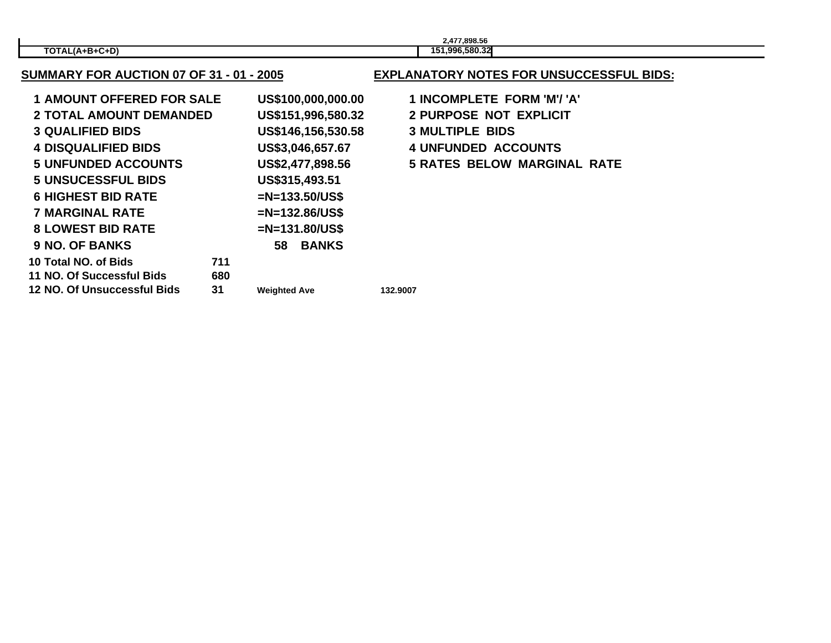|                         | 2.477.898.56                    |  |
|-------------------------|---------------------------------|--|
| $-C+D'$<br>TOTAL(A+B+C- | 1.996.580.32<br>15 <sup>4</sup> |  |

**Weighted Ave 132.9007**

**SUMMARY FOR AUCTION 07 OF 31 - 01 - 2005**

| <b>1 AMOUNT OFFERED FOR SALE</b> |     |                     | US\$100,000,000.00 |
|----------------------------------|-----|---------------------|--------------------|
| <b>2 TOTAL AMOUNT DEMANDED</b>   |     |                     | US\$151,996,580.32 |
| <b>3 QUALIFIED BIDS</b>          |     |                     | US\$146,156,530.58 |
| <b>4 DISQUALIFIED BIDS</b>       |     |                     | US\$3,046,657.67   |
| <b>5 UNFUNDED ACCOUNTS</b>       |     |                     | US\$2,477,898.56   |
| <b>5 UNSUCESSFUL BIDS</b>        |     |                     | US\$315,493.51     |
| <b>6 HIGHEST BID RATE</b>        |     |                     | $=N=133.50/US$ \$  |
| <b>7 MARGINAL RATE</b>           |     |                     | $=N=132.86/US$ \$  |
| <b>8 LOWEST BID RATE</b>         |     |                     | $=N=131.80/US$ \$  |
| <b>9 NO. OF BANKS</b>            |     | 58                  | <b>BANKS</b>       |
| 10 Total NO. of Bids             | 711 |                     |                    |
| <b>11 NO. Of Successful Bids</b> | 680 |                     |                    |
| 12 NO. Of Unsuccessful Bids      | 31  | <b>Weighted Ave</b> |                    |
|                                  |     |                     |                    |

## **EXPLANATORY NOTES FOR UNSUCCESSFUL BIDS:**

 **AMOUNT OFFERED FOR SALE US\$100,000,000.00 1 INCOMPLETE FORM 'M'/ 'A'**

- **TOTAL AMOUNT DEMANDED US\$151,996,580.32 2 PURPOSE NOT EXPLICIT**
- **QUALIFIED BIDS US\$146,156,530.58 3 MULTIPLE BIDS**
- **DISQUALIFIED BIDS US\$3,046,657.67 4 UNFUNDED ACCOUNTS**
- **UNFUNDED ACCOUNTS US\$2,477,898.56 5 RATES BELOW MARGINAL RATE**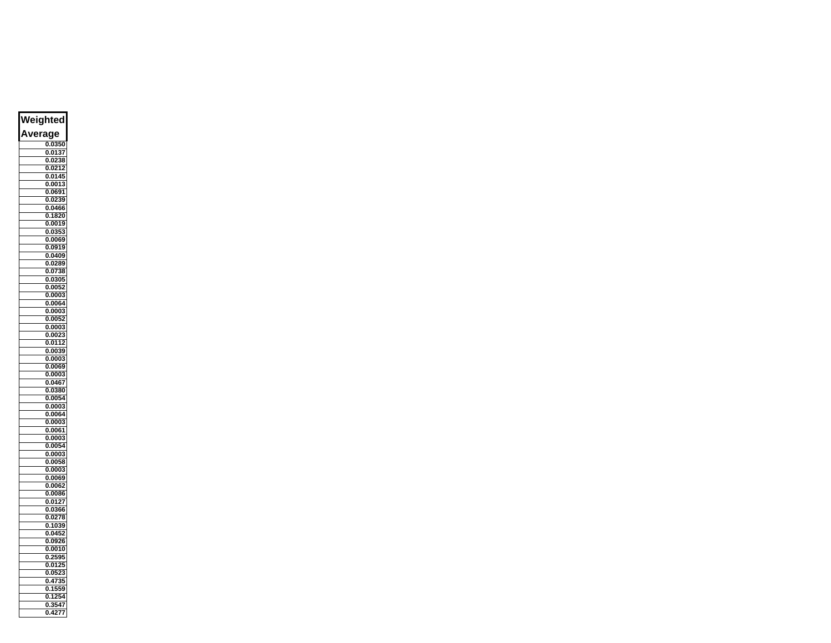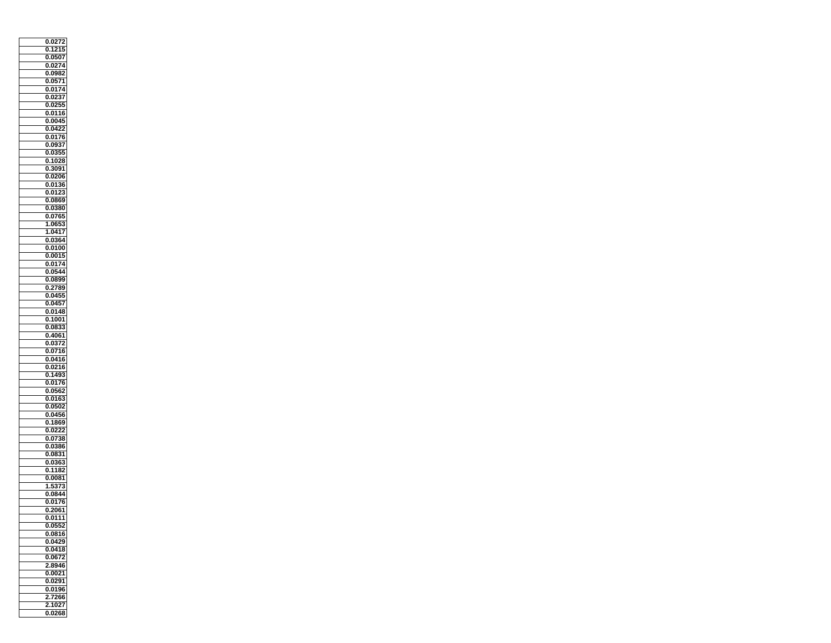| 027<br>2<br>0                       |
|-------------------------------------|
| 0.1215                              |
| 0507<br>0.                          |
| 0.0274                              |
|                                     |
| 0982<br>0.                          |
| 0.0571                              |
| 74<br>0.01                          |
| 0.<br>02<br>37                      |
| 0.0255                              |
| 0.0116                              |
|                                     |
| $00\overline{4}$<br>0.              |
| 0422<br>0.                          |
| 0.0176                              |
| 0937<br>0                           |
| 0.0355                              |
| 0<br>1028                           |
| 0.3091                              |
| 0206<br>0.                          |
|                                     |
| 0.<br>.01<br>36                     |
| 0<br>0123                           |
| 0.0869                              |
| 0<br>0380                           |
| 0765<br>0.<br>5                     |
| 0653<br>1                           |
| 1.0417                              |
|                                     |
| 0364<br>0.                          |
| 0.0100                              |
| 0015<br>0.                          |
| 0.0174                              |
| 054<br>4<br>0.                      |
| 0.0899                              |
|                                     |
| 0.2789                              |
| 0.0455                              |
| 0.045<br>7                          |
| $01\overline{48}$<br>0.             |
| 0.1001                              |
| 0833<br>O.                          |
| 0.4061                              |
|                                     |
| 0372<br>0                           |
| 0.0716                              |
| 0<br>0416                           |
| 0.0216                              |
| 1493<br>O.                          |
| 0.0176                              |
| 0562<br>0                           |
|                                     |
| 016<br>0.<br>3                      |
| 0<br>0<br>502                       |
| 0456<br>0.                          |
| 0<br>1869                           |
| 0.<br>0222                          |
| 0738<br>0.                          |
|                                     |
| 0.0386                              |
| 0831<br>0.                          |
| 0.0363                              |
| 1182<br>0.                          |
| 0.0081                              |
| 3<br>37                             |
| 0844<br>0                           |
| ï                                   |
| $\overline{1}$<br>Ò<br>).<br>(<br>7 |
| 0.2061                              |
| 0.011<br>1                          |
| 0552<br>0.                          |
| 0.0816                              |
| 0429<br>0                           |
| 0.0418                              |
|                                     |
|                                     |
| 0.0672                              |
| 2.8946                              |
| .0021<br>O.                         |
| 0.0291                              |
| Ō.<br>0196                          |
|                                     |
| 7266<br>2                           |
| 1027<br>2<br>0.0268                 |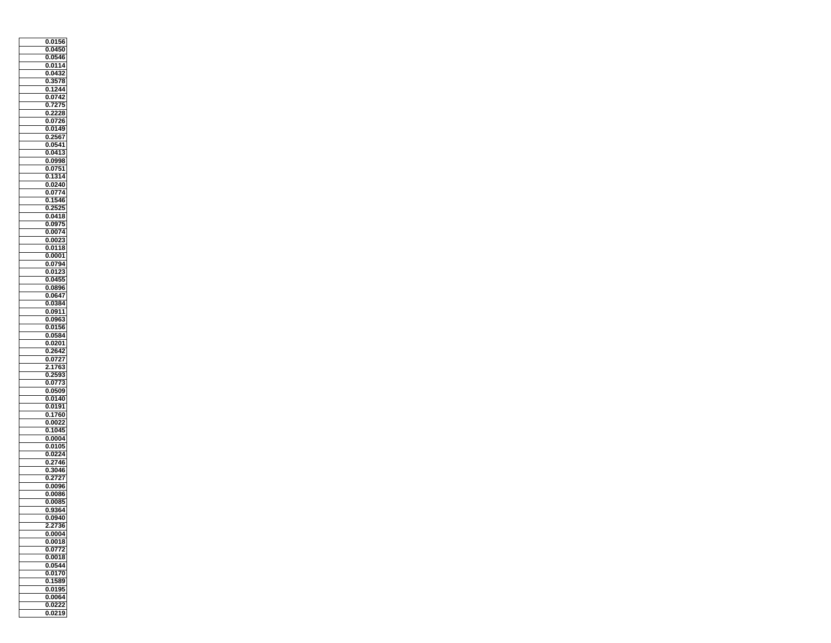| 0.0156          |
|-----------------|
| 0.0450          |
| 46<br>0.05      |
| 0114<br>0       |
| 0.0432          |
| 3578<br>0.      |
| 0.1244          |
| 0742<br>0       |
| 0.7275          |
| 2228<br>o       |
| 0.0726          |
| 0149<br>0.      |
| 0.2567          |
| 0<br>0541       |
| 0.0413          |
| O.<br>0998      |
| 0.0751          |
| 0<br>1314       |
| 0.0240          |
| 0774<br>0.      |
| 0.1546          |
| 2525<br>0.      |
| 0.0418          |
| 0.0975          |
| 0.0074          |
| 0.0023          |
| 0118<br>0       |
| 0.0001          |
| 0794<br>0.      |
| 0.01            |
| 0455<br>0.      |
| 0.0896          |
| .0647<br>o      |
| 0.0384          |
| .0911<br>o      |
| 0.0963          |
| 0156<br>O.      |
| 0.05<br>84      |
| 0<br>0201       |
| 0.<br>2642      |
| 0<br>0727       |
| 2<br>1763       |
| O.<br>2<br>593  |
| 0.0773          |
| 0.0509          |
| 0.0140          |
| 0191<br>0.      |
| 0.1760          |
| 0022<br>0.      |
| 0.<br>1045.     |
| 0.0004          |
| 0.0105          |
| 24<br>0.02      |
| 2746<br>0       |
| _<br>3046<br>0. |
| 2727<br>0.      |
| 0.0096          |
| 0086<br>0       |
| 0.0085          |
| 9364<br>0       |
| 0.0940          |
| .2736<br>2      |
| 0.0004          |
| 0<br>0018       |
| 0.0772          |
| 0018<br>0       |
| 0.0544          |
| O.<br>0170      |
| 0.1589          |
| 0.0195          |
| 0.0064          |
| 0.0222          |
| 0.0219          |
|                 |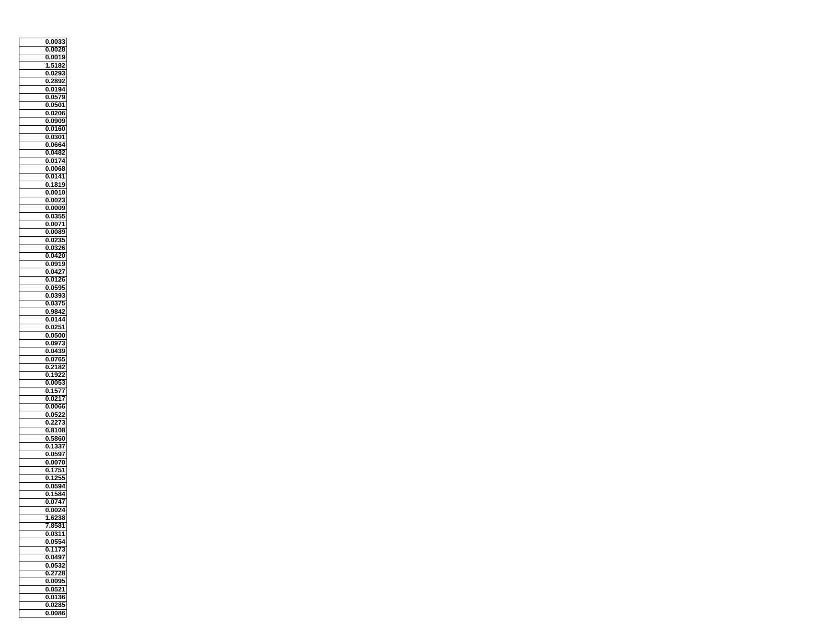| 0.0033                      |
|-----------------------------|
| 0.0028                      |
| 0.0019                      |
| 2<br>1<br>Į<br>:18          |
| 0.0293                      |
| 2892<br>0                   |
| 0.0194                      |
| 0579<br>Ō                   |
| 0.0501                      |
| .0206<br>o                  |
| 0.0909                      |
| O.<br>0160                  |
| 0.0301                      |
| 0<br>0664                   |
| 0.0482                      |
| O.<br>0174                  |
| 0.0068                      |
| 0141<br>0                   |
| 0.1819                      |
| 0.0010                      |
| 0.0023                      |
| 0.0009                      |
| 0.0355                      |
| 0.0071                      |
| 0.0089                      |
| š.<br>0.0                   |
| 26<br>0<br>0<br>3           |
| 0.0420                      |
| 0.0919                      |
| <u>0.0427</u>               |
| 0126<br>0                   |
| 0.0595                      |
| 0393<br>o                   |
| 0.0375                      |
| ō<br>984<br>2               |
| 0.0144                      |
| 0251<br>O.                  |
| 0.0500                      |
| O.<br>0973                  |
| 0.0439                      |
| 0<br>0765                   |
| 0.<br>2182                  |
| 1922<br>0                   |
| 0.0053                      |
| 1577<br>0.                  |
| 0.0217                      |
| 0066<br>0.                  |
| 0.0522                      |
| 3<br>227<br>0.              |
| 8108<br>0.                  |
| 5860<br>Ö.                  |
| 337<br>1:<br>0              |
| 597<br>0.05                 |
| 0<br>0070                   |
| ï1<br>$\overline{0.1}$<br>ı |
| 2!<br>1<br>5<br>0.          |
| 0.0594                      |
| .1584<br>0                  |
| 0.0747                      |
| 0.0024                      |
| 1.6238                      |
| 8581<br>7                   |
| 0.0311                      |
| 0554<br>0.                  |
| 1173<br>0.                  |
| 0<br>0497                   |
| 0.0532                      |
| 0<br>2728                   |
| 0.0095                      |
| 0.0521                      |
| 0.0136                      |
| 0.0285                      |
| 0.0086                      |
|                             |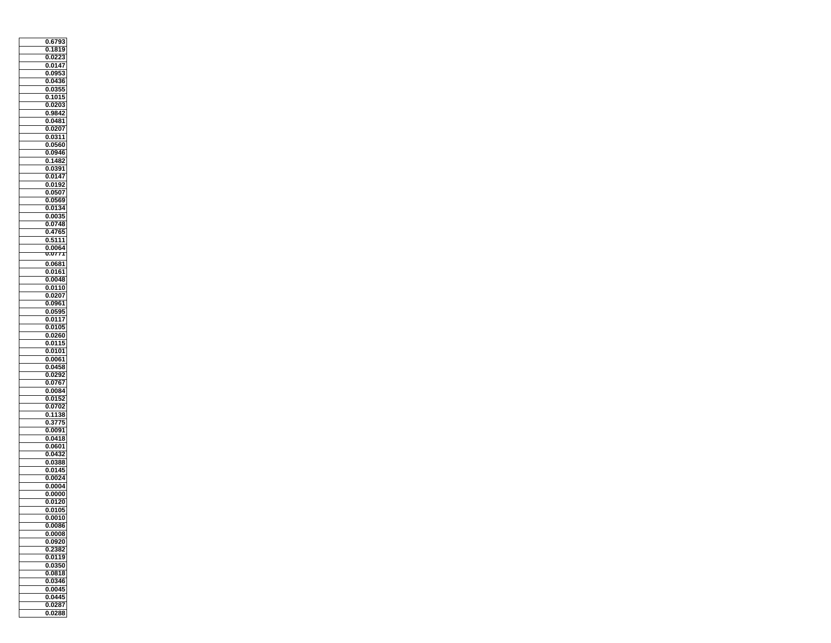| 0.6793              |
|---------------------|
| 181<br>ļ<br>١<br>0. |
| 0.0                 |
| 0147<br>0           |
| 0.095               |
| 0436<br>0.          |
| 0.0355              |
| o<br>.101<br>ŧ<br>j |
|                     |
| 0.0203<br>o<br>9842 |
|                     |
| 0.0481              |
| 0207<br>0.          |
| 0.0311              |
| 0560<br>0           |
| 0<br>0946.          |
| 0<br>1482           |
| 0391<br>0.          |
| 0147<br>0           |
| 0.0192              |
| 0.0507              |
| 0.0569              |
| .01<br>0.<br>3<br>4 |
| 0.0035              |
| 0.0748              |
| 0.4765              |
| , 111<br>0.<br>Į    |
| 0064                |
| 7<br>U7<br>T        |
| 0.0681              |
| 0.0161              |
| 0048<br>0.          |
| 0.0110              |
| o<br>0207           |
| 0.0961              |
| 0595<br>o           |
| 0.0117              |
| 0105<br>O.          |
| 0260                |
| 0.                  |
| 0<br>0115           |
| 0101<br>0.          |
| 0<br>0061           |
| 0458<br>0.          |
| 0292<br>0           |
| 0.0767              |
| 0084<br>0.          |
| 0.0152              |
| 0702<br>0.          |
| 0.1138              |
| 3775<br>0.          |
| 0<br>0091           |
| 0.0418              |
| 0601<br>0           |
| 0.0                 |
| 0<br>0<br>388       |
| 0.0145<br>5         |
| 0024<br>O.          |
| 0.0004              |
| 0000<br>0           |
| 0.0120              |
| 0.0105              |
| 0.0010              |
| 0086<br>O.          |
| 0.0008              |
| 0<br>0920           |
| 2382<br>0           |
| 0119<br>0.          |
| 0.0350              |
| 0818<br>0.          |
| 0.0346              |
| 0.0045              |
| 0.0445              |
| 0.0287              |
| 0.0288              |
|                     |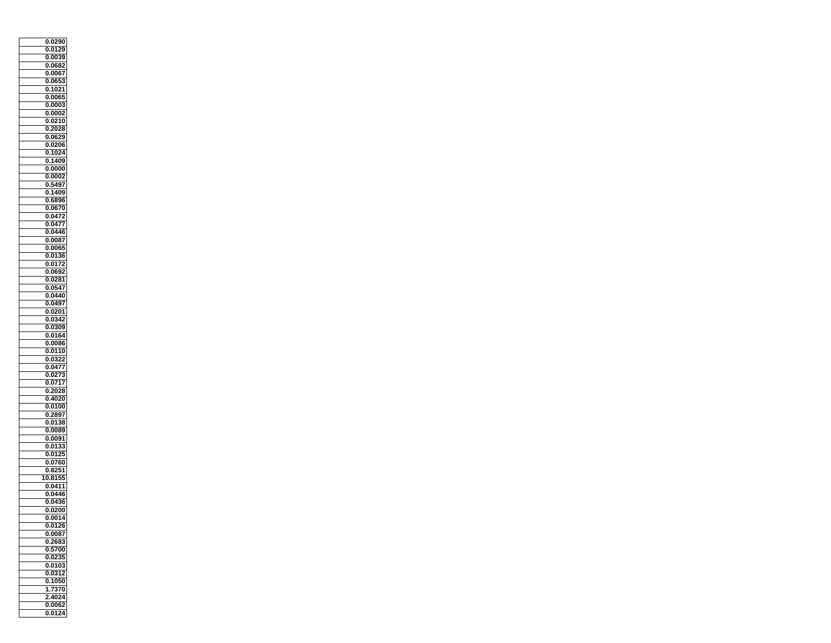|   | 0.0290                             |
|---|------------------------------------|
|   | 0.0129<br>١                        |
|   | 0.00                               |
|   | 0.<br>.068<br>2                    |
|   | 57<br>0.00                         |
|   | 065<br>0.                          |
|   |                                    |
|   | 0.<br>.1021                        |
|   | 0065<br>0                          |
|   | 0.0003                             |
|   | 0002<br>0                          |
|   | 0.0210                             |
|   | 0.<br>2028.                        |
|   | 0.0629                             |
|   | 0<br>0206                          |
|   | 1024<br>0.                         |
|   | 1409<br>0                          |
|   | 0.0000                             |
|   | Ō<br>0002                          |
|   | 0.5497                             |
|   | .1409<br>0.                        |
|   | 0.6896                             |
|   | 0670<br>0.                         |
|   | 0.0472                             |
|   | 0.0477                             |
|   | 0.0446                             |
|   |                                    |
|   | 0.0087                             |
|   | 0<br>0065                          |
|   | 0.01<br>36<br>72                   |
|   | 0.01                               |
|   | 3.<br>0.06                         |
|   | .0281<br>0                         |
|   | 0.0547                             |
|   | 0440<br>0                          |
|   | 0.0497                             |
|   | 0<br>.0201                         |
|   | 0.0342                             |
|   | 0309<br>0                          |
|   | 0.0164                             |
|   | O.<br>0086                         |
|   | 0.0110                             |
|   | 0<br>0322                          |
|   | 0.<br>0477.                        |
|   | 02<br>7<br>3<br>0                  |
|   | 0.0717                             |
|   | 2028<br>0.                         |
|   | 4020<br>0.                         |
|   | 0.0100                             |
|   | 0.2897                             |
|   | 0138                               |
|   | 0.                                 |
|   | 0.0089                             |
|   | 0.0091                             |
|   | 0.0133                             |
|   | 0.01                               |
|   | 0.<br>0760                         |
|   | $\overline{2}$<br>i1<br>$0.\delta$ |
| 1 | 815 <sup>1</sup><br>0              |
|   | 0.0411                             |
|   | 0446<br>0                          |
|   | 36<br>0.04                         |
|   | 0.0200                             |
|   | 0.0014                             |
|   | 0.0126                             |
|   | 0.0087                             |
|   | 2683<br>0                          |
|   | 0.5700                             |
|   | 0.<br>0235                         |
|   | 0.0103                             |
|   |                                    |
|   |                                    |
|   | 0312<br>O.                         |
|   | 0.1050                             |
|   | 1.7370                             |
|   | 2.4024                             |
|   | 0.0062<br>0.0124                   |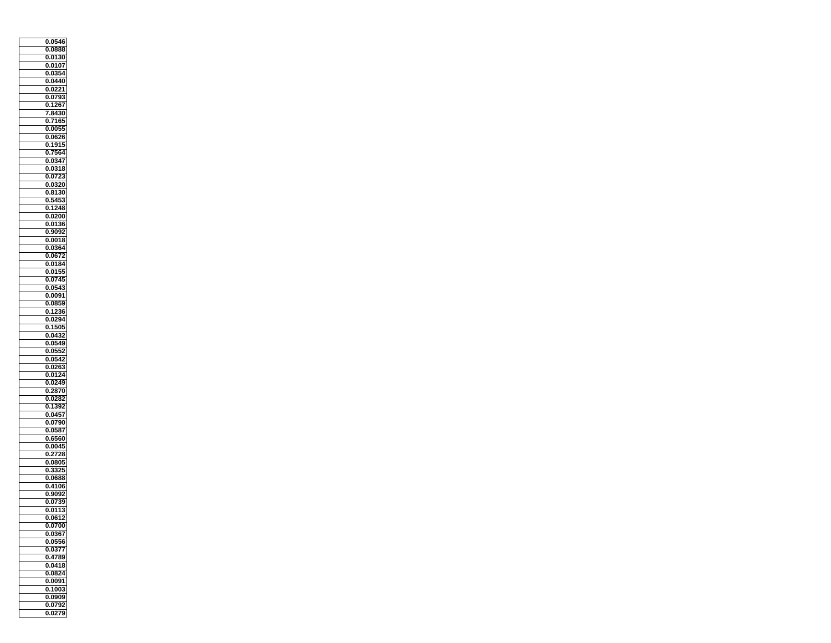| 0.0546                  |
|-------------------------|
| 0.0888                  |
| 0.01<br>30              |
| 0107<br>0               |
| 0.0354                  |
| 0440<br>0.              |
| 0.0221                  |
| 0793<br>0               |
| 1267<br>0.              |
| 8430<br>7               |
| 7165<br>O.              |
| 0.0055                  |
| 0.0626                  |
| 1915<br>0               |
| 5<br>7!<br>564          |
| 0.<br>0347<br>O.        |
|                         |
| 0318<br>0.<br>0723<br>0 |
| 0.0320                  |
|                         |
| 8130<br>0.              |
| 0.5453                  |
| 1248<br>0.              |
| 0.0200                  |
| 0.0136                  |
| 0.9092                  |
| 0.0018                  |
| j4<br>0<br>036          |
| 0.0672                  |
| 0184<br>0.              |
| 0.01<br>51              |
| 0745<br>0               |
| 0.0543                  |
| 0091<br>o               |
| 0.0859                  |
| o<br>1<br>2<br>36       |
| 0.0294                  |
| 1505<br>O.              |
| 0.0432                  |
| O.<br>0549              |
| 0.0552                  |
| 0<br>0542               |
| 0.<br>0263              |
| 01<br>24<br>0.          |
| 0.0249                  |
| 2870<br>0.              |
| 0.0282                  |
| 1392<br>0.              |
| 0.0457                  |
| 0790<br>0.              |
| 0.0587                  |
| 0.6560                  |
| 0.0045                  |
| 28<br>0.2<br>1          |
| 0<br>.080.              |
| $0.3^{\circ}$<br>بع     |
| .0688<br>O.             |
| 0.4106                  |
| .9092<br>0              |
| 0.0739<br>0.0113        |
|                         |
| 0.0612                  |
| 0.0700                  |
| 0.0367                  |
| 0<br>0556               |
| 0.0377                  |
| 0<br>4789               |
| 0.0418                  |
| 0<br>0824               |
| 0.0091                  |
| 0.1003                  |
| 0.0909                  |
| 0.0792                  |
| 0.0279                  |
|                         |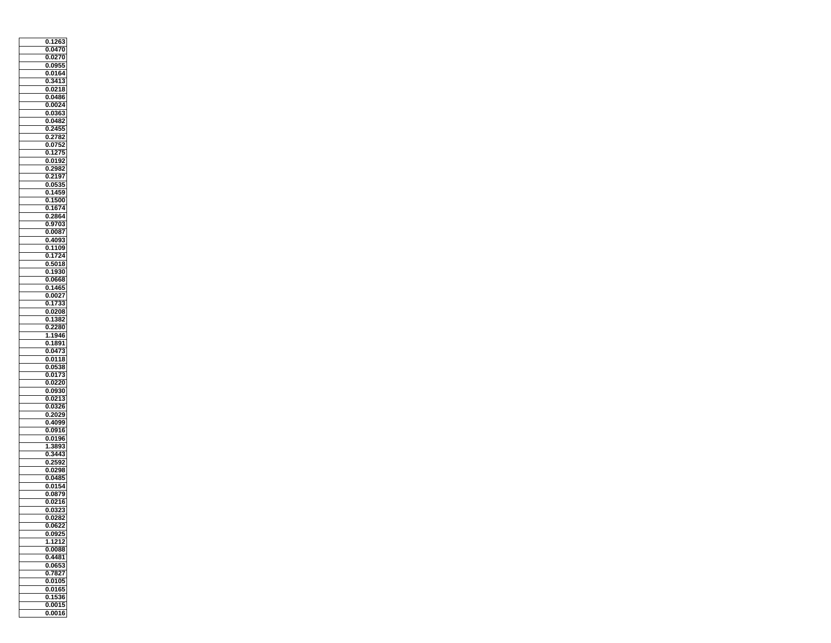| 1263<br>0.                 |
|----------------------------|
| O.<br>04<br>70             |
| Ō<br>0.0                   |
| í<br>0.                    |
| 095<br>ï.                  |
| 0164<br>0.                 |
| 3413<br>0.                 |
| 0.0218                     |
| o<br>0486                  |
| 0.0024                     |
| 0363<br>o                  |
| 0.0482                     |
| 2455<br>0.                 |
| 0.2782                     |
| 0<br>07<br>$\frac{1}{2}$   |
|                            |
| 27.<br>0.<br>1<br>5        |
| 0.<br>0192                 |
| 2982<br>0                  |
| 0<br>2197                  |
| 0.0535                     |
| 1459<br>0                  |
| 0.1500                     |
| 1674<br>0.                 |
| 2864<br>0.                 |
| 9703<br>0                  |
| 0.0087                     |
| 4093<br>0.                 |
| 1109<br>0                  |
| 1724                       |
| Ō.                         |
| 5018<br>0.                 |
| 30<br>0.<br>19             |
| 0<br>0668                  |
| 0.1465                     |
| 0027<br>0                  |
| 0.1<br>733                 |
| o<br>0<br>208              |
| 382<br>0.1                 |
| O.<br>2280                 |
| 1946<br>1                  |
| 1891<br>0                  |
| 0.0473                     |
| 0<br>0118                  |
|                            |
| 0538<br>0.                 |
| 0<br>0173                  |
| 0.0220                     |
| 0930.<br>0.                |
| 0.0213                     |
| 0.0326                     |
| 0.2029                     |
| 4099<br>0.                 |
| 0916<br>0.                 |
| 0.0196                     |
| 3893<br>1                  |
| o.<br>Ì                    |
| 2<br>0.<br>25<br>į<br>J,   |
| 0.0298                     |
| j<br>048!<br>j,<br>ı       |
|                            |
| 0.0154                     |
| 0879<br>0                  |
| 0.0216                     |
| $0.\overline{0323}$        |
| 0.0282                     |
| 0.0622                     |
| 0.0925                     |
| 121<br>$\overline{2}$<br>1 |
| 0.0088                     |
| 4481<br>0                  |
| 0.0653                     |
| O.<br>7827                 |
| 0.0105                     |
|                            |
| 0.0165                     |
| 0.1536                     |
| 0.0015                     |
| 0.0016                     |
|                            |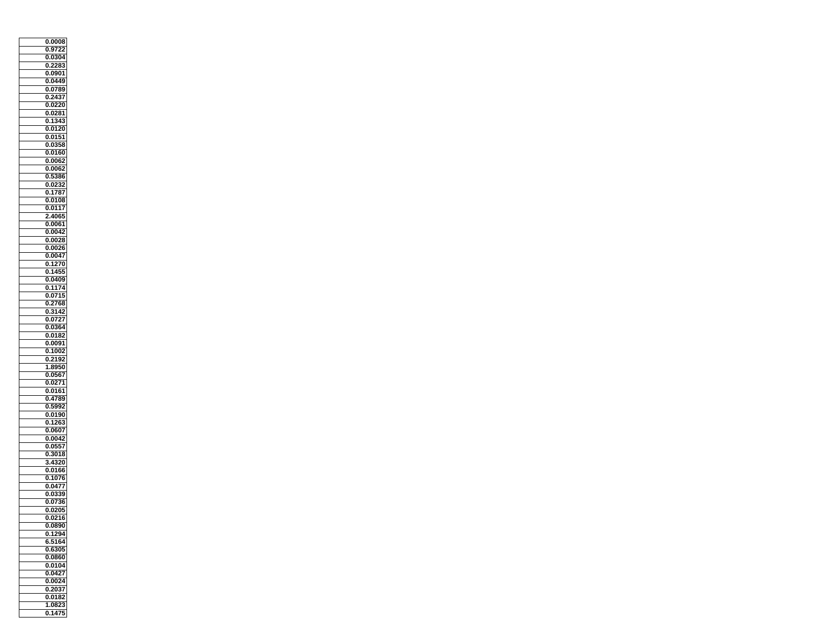| 0.0008                         |
|--------------------------------|
| 0.9722                         |
| 804<br>0.0                     |
| 2<br>283<br>0.                 |
| 0.0901                         |
| 0449<br>0                      |
| 0.0789                         |
| 0<br>$\overline{2}$<br>4<br>37 |
|                                |
| 0.0220<br>0281                 |
| 0                              |
| 343<br>0<br>.1                 |
| 0.0120                         |
| 0.0151                         |
| 0358<br>O.                     |
| 0.0160                         |
| O.<br>0062                     |
| 0.0062                         |
| 0<br>Į<br>386                  |
| 0.0232                         |
| 1787<br>0.                     |
| 0.0108                         |
| 0117<br>0.                     |
| 4065<br>2.                     |
| 0.0061                         |
| 0.0042                         |
| $0.\overline{0028}$            |
| 0.<br>0026                     |
| 0.0047                         |
| 1270<br>0.                     |
| 14<br>0<br>ä                   |
| 0409<br>0.                     |
| 0.1174                         |
| .0715<br>0                     |
| 0.2768                         |
| 0<br>31<br>4<br>2              |
| 0.0727                         |
| 0364<br>0                      |
| 0.0182                         |
| O.<br>0091                     |
| 0.<br>1002                     |
| 2192<br>0                      |
| 8950<br>1                      |
| o<br>0567                      |
| 0.0271                         |
| 0161.<br>0.                    |
| 0.4789                         |
| 5992<br>0.                     |
| 0.0190                         |
| 1263<br>0                      |
| 0.0607                         |
| 0.0042                         |
| 0.0557                         |
| 8018<br>0.                     |
| 4<br>3<br>20<br>3.             |
| 0.0166<br>j                    |
| 1076<br>0.                     |
| 0.0477                         |
| 0339<br>0.                     |
| 0.0736                         |
| 0.0205                         |
| 0.0216                         |
| .0890<br>O.                    |
| 1294<br>Ō.                     |
| 5164<br>6                      |
| 0.6305                         |
| 0<br>0860                      |
| 0.0104                         |
| 0<br>0427                      |
| 0.0024                         |
| 0.2037                         |
| 0.0182                         |
| 3<br>1.082                     |
| 0.1475                         |
|                                |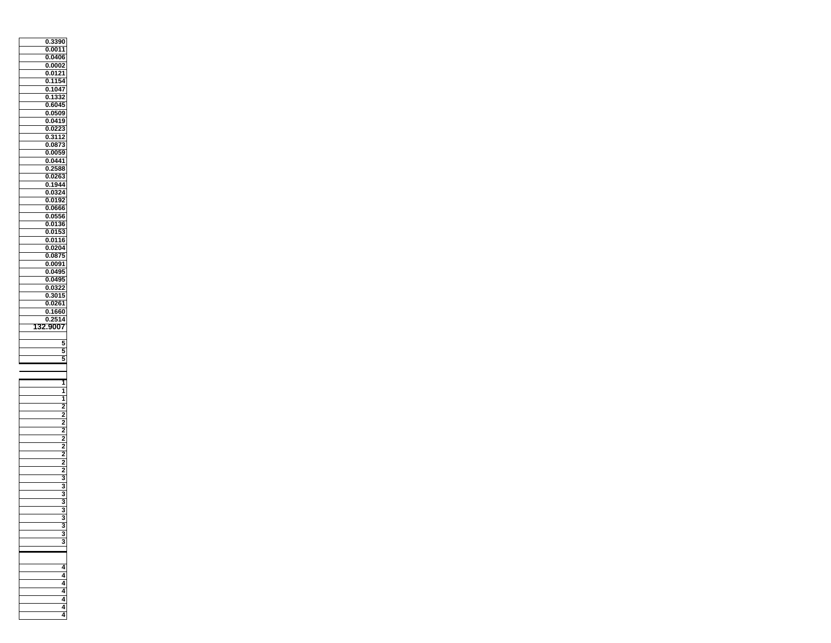